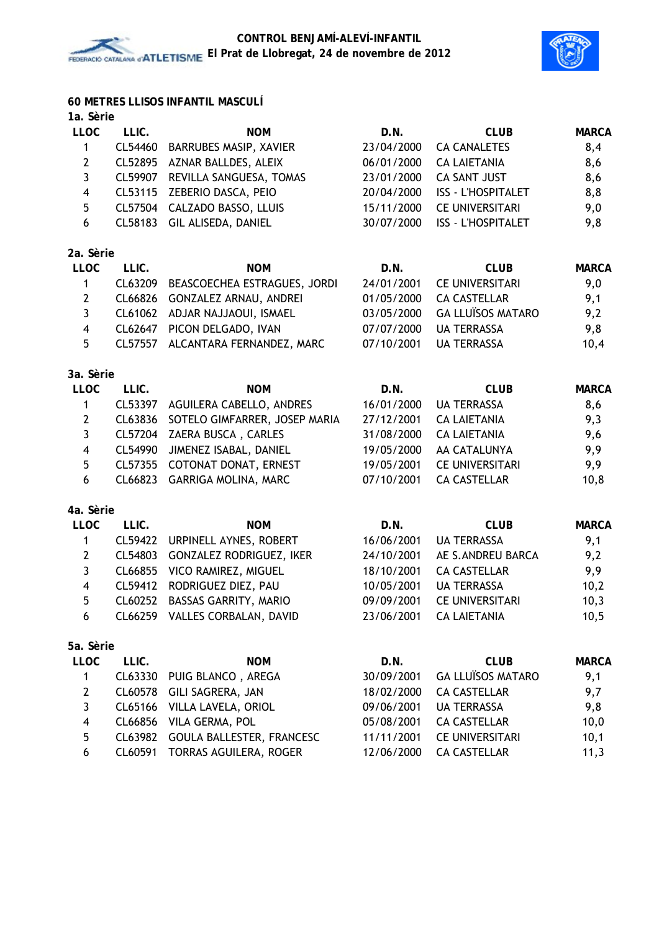

### **60 METRES LLISOS INFANTIL MASCULÍ**

**1a. Sèrie**

| ia. Serie               |         |                                 |            |                           |              |
|-------------------------|---------|---------------------------------|------------|---------------------------|--------------|
| <b>LLOC</b>             | LLIC.   | <b>NOM</b>                      | D.N.       | <b>CLUB</b>               | <b>MARCA</b> |
| 1                       | CL54460 | BARRUBES MASIP, XAVIER          | 23/04/2000 | <b>CA CANALETES</b>       | 8,4          |
| $\mathbf{2}$            | CL52895 | AZNAR BALLDES, ALEIX            | 06/01/2000 | <b>CA LAIETANIA</b>       | 8,6          |
| 3                       | CL59907 | REVILLA SANGUESA, TOMAS         | 23/01/2000 | <b>CA SANT JUST</b>       | 8,6          |
| $\overline{\mathbf{4}}$ | CL53115 | ZEBERIO DASCA, PEIO             | 20/04/2000 | ISS - L'HOSPITALET        | 8,8          |
| 5                       | CL57504 | CALZADO BASSO, LLUIS            | 15/11/2000 | <b>CE UNIVERSITARI</b>    | 9,0          |
| 6                       | CL58183 | GIL ALISEDA, DANIEL             | 30/07/2000 | <b>ISS - L'HOSPITALET</b> | 9,8          |
| 2a. Sèrie               |         |                                 |            |                           |              |
| <b>LLOC</b>             | LLIC.   | <b>NOM</b>                      | D.N.       | <b>CLUB</b>               | <b>MARCA</b> |
| 1                       | CL63209 | BEASCOECHEA ESTRAGUES, JORDI    | 24/01/2001 | <b>CE UNIVERSITARI</b>    | 9,0          |
| $\mathbf{2}$            | CL66826 | GONZALEZ ARNAU, ANDREI          | 01/05/2000 | <b>CA CASTELLAR</b>       | 9,1          |
| $\mathbf{3}$            | CL61062 | ADJAR NAJJAOUI, ISMAEL          | 03/05/2000 | <b>GA LLUÏSOS MATARO</b>  | 9,2          |
| $\overline{\mathbf{4}}$ | CL62647 | PICON DELGADO, IVAN             | 07/07/2000 | <b>UA TERRASSA</b>        | 9,8          |
| 5                       | CL57557 | ALCANTARA FERNANDEZ, MARC       | 07/10/2001 | <b>UA TERRASSA</b>        | 10,4         |
| 3a. Sèrie               |         |                                 |            |                           |              |
| <b>LLOC</b>             | LLIC.   | <b>NOM</b>                      | D.N.       | <b>CLUB</b>               | <b>MARCA</b> |
| 1                       | CL53397 | AGUILERA CABELLO, ANDRES        | 16/01/2000 | <b>UA TERRASSA</b>        | 8,6          |
| $\mathbf{2}$            | CL63836 | SOTELO GIMFARRER, JOSEP MARIA   | 27/12/2001 | <b>CA LAIETANIA</b>       | 9,3          |
| 3                       | CL57204 | ZAERA BUSCA, CARLES             | 31/08/2000 | <b>CA LAIETANIA</b>       | 9,6          |
| $\overline{\mathbf{4}}$ | CL54990 | JIMENEZ ISABAL, DANIEL          | 19/05/2000 | AA CATALUNYA              | 9,9          |
| 5                       | CL57355 | COTONAT DONAT, ERNEST           | 19/05/2001 | <b>CE UNIVERSITARI</b>    | 9,9          |
| 6                       | CL66823 | <b>GARRIGA MOLINA, MARC</b>     | 07/10/2001 | <b>CA CASTELLAR</b>       | 10,8         |
| 4a. Sèrie               |         |                                 |            |                           |              |
| <b>LLOC</b>             | LLIC.   | <b>NOM</b>                      | D.N.       | <b>CLUB</b>               | <b>MARCA</b> |
| $\mathbf 1$             | CL59422 | URPINELL AYNES, ROBERT          | 16/06/2001 | <b>UA TERRASSA</b>        | 9,1          |
| $\overline{2}$          | CL54803 | <b>GONZALEZ RODRIGUEZ, IKER</b> | 24/10/2001 | AE S.ANDREU BARCA         | 9,2          |

|   | CL66855 VICO RAMIREZ, MIGUEL |
|---|------------------------------|
| 4 | CL59412 RODRIGUEZ DIEZ, PAU  |

|  |  | CL60252 BASSAS GARRITY, MARIO |  | 09/09/2001 CE UNIVERSITARI | 10,3 |
|--|--|-------------------------------|--|----------------------------|------|
|--|--|-------------------------------|--|----------------------------|------|

#### **5a. Sèrie**

| LLIC. | <b>NOM</b> | D.N.                                                                                                                                                                                     | <b>CLUB</b>              | <b>MARCA</b> |
|-------|------------|------------------------------------------------------------------------------------------------------------------------------------------------------------------------------------------|--------------------------|--------------|
|       |            | 30/09/2001                                                                                                                                                                               | <b>GA LLUÏSOS MATARO</b> | 9,1          |
|       |            | 18/02/2000                                                                                                                                                                               | <b>CA CASTELLAR</b>      | 9,7          |
|       |            | 09/06/2001                                                                                                                                                                               | <b>UA TERRASSA</b>       | 9,8          |
|       |            | 05/08/2001                                                                                                                                                                               | <b>CA CASTELLAR</b>      | 10,0         |
|       |            | 11/11/2001                                                                                                                                                                               | <b>CE UNIVERSITARI</b>   | 10,1         |
|       |            | 12/06/2000                                                                                                                                                                               | <b>CA CASTELLAR</b>      | 11,3         |
|       |            | CL63330 PUIG BLANCO, AREGA<br>CL60578 GILI SAGRERA, JAN<br>CL65166 VILLA LAVELA, ORIOL<br>CL66856 VILA GERMA, POL<br>CL63982 GOULA BALLESTER, FRANCESC<br>CL60591 TORRAS AGUILERA, ROGER |                          |              |

6 CL66259 VALLES CORBALAN, DAVID 23/06/2001 CA LAIETANIA 10,5

18/10/2001 CA CASTELLAR 9,9 10/05/2001 UA TERRASSA 10,2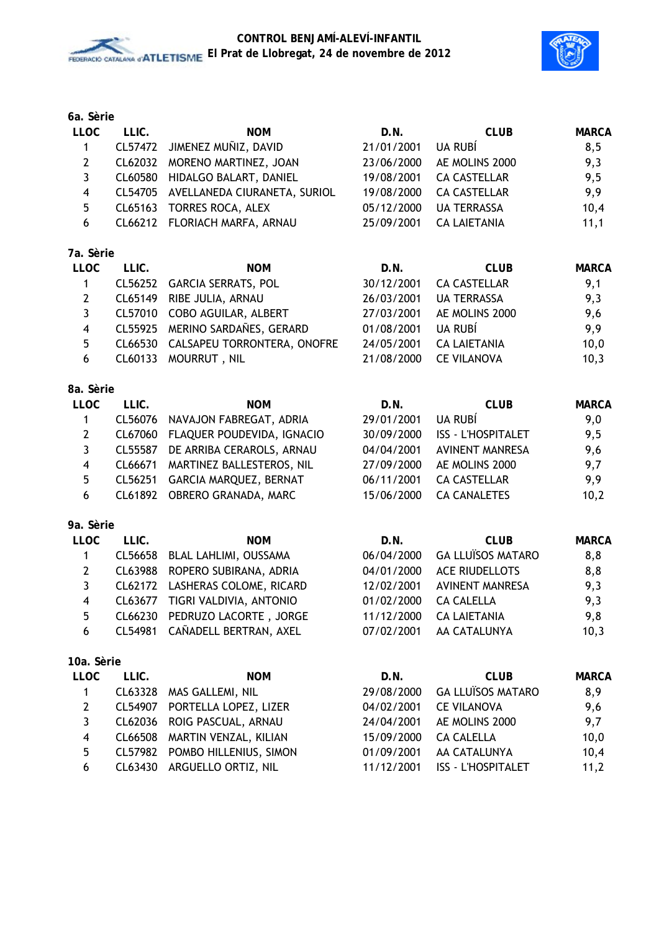



| 6a. Sèrie               |         |                              |            |                           |              |
|-------------------------|---------|------------------------------|------------|---------------------------|--------------|
| <b>LLOC</b>             | LLIC.   | <b>NOM</b>                   | D.N.       | <b>CLUB</b>               | <b>MARCA</b> |
| $\mathbf{1}$            | CL57472 | JIMENEZ MUÑIZ, DAVID         | 21/01/2001 | UA RUBÍ                   | 8,5          |
| $\mathbf{2}$            | CL62032 | MORENO MARTINEZ, JOAN        | 23/06/2000 | AE MOLINS 2000            | 9,3          |
| 3                       | CL60580 | HIDALGO BALART, DANIEL       | 19/08/2001 | <b>CA CASTELLAR</b>       | 9,5          |
| $\overline{\mathbf{4}}$ | CL54705 | AVELLANEDA CIURANETA, SURIOL | 19/08/2000 | <b>CA CASTELLAR</b>       | 9,9          |
| 5                       | CL65163 | TORRES ROCA, ALEX            | 05/12/2000 | <b>UA TERRASSA</b>        | 10,4         |
| 6                       | CL66212 | FLORIACH MARFA, ARNAU        | 25/09/2001 | <b>CA LAIETANIA</b>       | 11,1         |
| 7a. Sèrie               |         |                              |            |                           |              |
| <b>LLOC</b>             | LLIC.   | <b>NOM</b>                   | D.N.       | <b>CLUB</b>               | <b>MARCA</b> |
| 1                       | CL56252 | <b>GARCIA SERRATS, POL</b>   | 30/12/2001 | <b>CA CASTELLAR</b>       | 9,1          |
| $\mathbf{2}$            | CL65149 | RIBE JULIA, ARNAU            | 26/03/2001 | <b>UA TERRASSA</b>        | 9,3          |
| 3                       | CL57010 | COBO AGUILAR, ALBERT         | 27/03/2001 | AE MOLINS 2000            | 9,6          |
| 4                       | CL55925 | MERINO SARDAÑES, GERARD      | 01/08/2001 | UA RUBÍ                   | 9,9          |
| 5                       | CL66530 | CALSAPEU TORRONTERA, ONOFRE  | 24/05/2001 | <b>CA LAIETANIA</b>       | 10,0         |
| 6                       | CL60133 | MOURRUT, NIL                 | 21/08/2000 | <b>CE VILANOVA</b>        | 10,3         |
| 8a. Sèrie               |         |                              |            |                           |              |
| <b>LLOC</b>             | LLIC.   | <b>NOM</b>                   | D.N.       | <b>CLUB</b>               | <b>MARCA</b> |
| $\mathbf{1}$            | CL56076 | NAVAJON FABREGAT, ADRIA      | 29/01/2001 | UA RUBÍ                   | 9,0          |
| $\mathbf{2}$            | CL67060 | FLAQUER POUDEVIDA, IGNACIO   | 30/09/2000 | <b>ISS - L'HOSPITALET</b> | 9,5          |
| 3                       | CL55587 | DE ARRIBA CERAROLS, ARNAU    | 04/04/2001 | <b>AVINENT MANRESA</b>    | 9,6          |
| 4                       | CL66671 | MARTINEZ BALLESTEROS, NIL    | 27/09/2000 | AE MOLINS 2000            | 9,7          |
| $\overline{5}$          | CL56251 | GARCIA MARQUEZ, BERNAT       | 06/11/2001 | <b>CA CASTELLAR</b>       | 9,9          |
| 6                       | CL61892 | OBRERO GRANADA, MARC         | 15/06/2000 | <b>CA CANALETES</b>       | 10,2         |
| 9a. Sèrie               |         |                              |            |                           |              |
| LLOC                    | LLIC.   | <b>NOM</b>                   | D.N.       | <b>CLUB</b>               | <b>MARCA</b> |
| $\mathbf{1}$            | CL56658 | BLAL LAHLIMI, OUSSAMA        | 06/04/2000 | <b>GA LLUÏSOS MATARO</b>  | 8,8          |
| $\overline{2}$          | CL63988 | ROPERO SUBIRANA, ADRIA       | 04/01/2000 | <b>ACE RIUDELLOTS</b>     | 8,8          |
| 3                       | CL62172 | LASHERAS COLOME, RICARD      | 12/02/2001 | <b>AVINENT MANRESA</b>    | 9,3          |
| 4                       | CL63677 | TIGRI VALDIVIA, ANTONIO      | 01/02/2000 | <b>CA CALELLA</b>         | 9,3          |
| 5                       | CL66230 | PEDRUZO LACORTE, JORGE       | 11/12/2000 | <b>CA LAIETANIA</b>       | 9,8          |
| 6                       | CL54981 | CAÑADELL BERTRAN, AXEL       | 07/02/2001 | AA CATALUNYA              | 10,3         |
| 10a. Sèrie              |         |                              |            |                           |              |
| <b>LLOC</b>             | LLIC.   | <b>NOM</b>                   | D.N.       | <b>CLUB</b>               | <b>MARCA</b> |
| 1                       | CL63328 | MAS GALLEMI, NIL             | 29/08/2000 | <b>GA LLUÏSOS MATARO</b>  | 8,9          |
| $\mathbf{2}$            | CL54907 | PORTELLA LOPEZ, LIZER        | 04/02/2001 | <b>CE VILANOVA</b>        | 9,6          |
| 3                       | CL62036 | ROIG PASCUAL, ARNAU          | 24/04/2001 | AE MOLINS 2000            | 9,7          |
| 4                       | CL66508 | MARTIN VENZAL, KILIAN        | 15/09/2000 | <b>CA CALELLA</b>         | 10,0         |
| 5                       | CL57982 | POMBO HILLENIUS, SIMON       | 01/09/2001 | AA CATALUNYA              | 10,4         |
| 6                       | CL63430 | ARGUELLO ORTIZ, NIL          | 11/12/2001 | ISS - L'HOSPITALET        | 11,2         |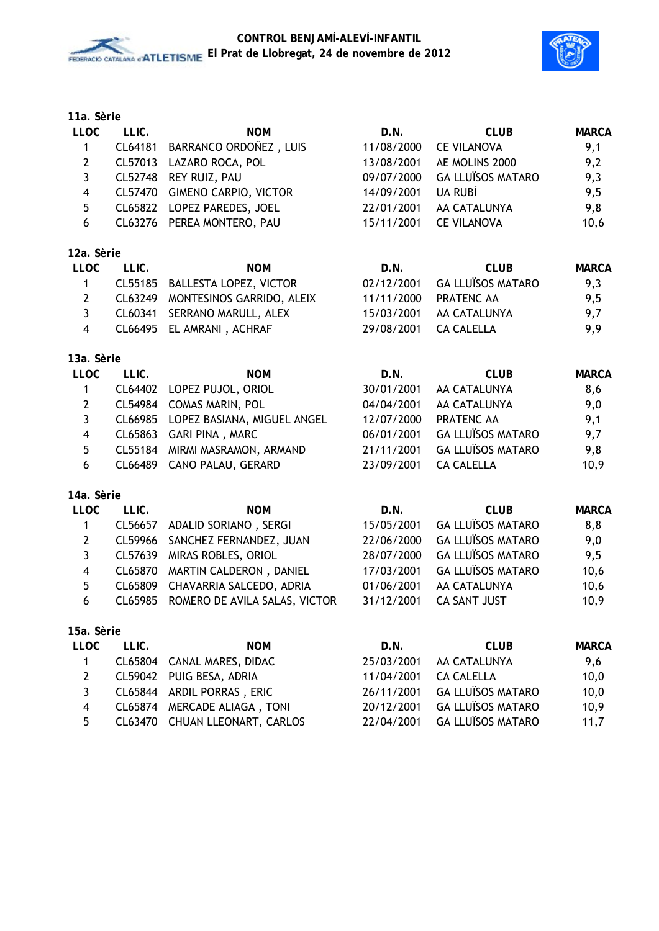

| 11a. Sèrie              |         |                               |            |                          |              |
|-------------------------|---------|-------------------------------|------------|--------------------------|--------------|
| <b>LLOC</b>             | LLIC.   | <b>NOM</b>                    | D.N.       | <b>CLUB</b>              | <b>MARCA</b> |
| $\mathbf{1}$            | CL64181 | BARRANCO ORDOÑEZ, LUIS        | 11/08/2000 | <b>CE VILANOVA</b>       | 9,1          |
| $\mathbf{2}$            | CL57013 | LAZARO ROCA, POL              | 13/08/2001 | AE MOLINS 2000           | 9,2          |
| $\mathbf{3}$            | CL52748 | REY RUIZ, PAU                 | 09/07/2000 | <b>GA LLUÏSOS MATARO</b> | 9,3          |
| $\overline{\mathbf{4}}$ | CL57470 | <b>GIMENO CARPIO, VICTOR</b>  | 14/09/2001 | UA RUBÍ                  | 9,5          |
| 5                       | CL65822 | LOPEZ PAREDES, JOEL           | 22/01/2001 | AA CATALUNYA             | 9,8          |
| 6                       |         | CL63276 PEREA MONTERO, PAU    | 15/11/2001 | <b>CE VILANOVA</b>       | 10,6         |
| 12a. Sèrie              |         |                               |            |                          |              |
| <b>LLOC</b>             | LLIC.   | <b>NOM</b>                    | D.N.       | <b>CLUB</b>              | <b>MARCA</b> |
| $\mathbf 1$             | CL55185 | <b>BALLESTA LOPEZ, VICTOR</b> | 02/12/2001 | <b>GA LLUÏSOS MATARO</b> | 9,3          |
| $\mathbf{2}$            | CL63249 | MONTESINOS GARRIDO, ALEIX     | 11/11/2000 | PRATENC AA               | 9,5          |
| $\mathbf{3}$            | CL60341 | SERRANO MARULL, ALEX          | 15/03/2001 | AA CATALUNYA             | 9,7          |
| $\overline{\mathbf{4}}$ |         | CL66495 EL AMRANI, ACHRAF     | 29/08/2001 | <b>CA CALELLA</b>        | 9,9          |
| 13a. Sèrie              |         |                               |            |                          |              |
| <b>LLOC</b>             | LLIC.   | <b>NOM</b>                    | D.N.       | <b>CLUB</b>              | <b>MARCA</b> |
| 1                       | CL64402 | LOPEZ PUJOL, ORIOL            | 30/01/2001 | AA CATALUNYA             | 8,6          |
| $\mathbf{2}$            |         | CL54984 COMAS MARIN, POL      | 04/04/2001 | AA CATALUNYA             | 9,0          |
| $\mathbf{3}$            | CL66985 | LOPEZ BASIANA, MIGUEL ANGEL   | 12/07/2000 | PRATENC AA               | 9,1          |
| 4                       |         | CL65863 GARI PINA, MARC       | 06/01/2001 | <b>GA LLUÏSOS MATARO</b> | 9,7          |
| 5                       | CL55184 | MIRMI MASRAMON, ARMAND        | 21/11/2001 | <b>GA LLUÏSOS MATARO</b> | 9,8          |
| 6                       | CL66489 | CANO PALAU, GERARD            | 23/09/2001 | <b>CA CALELLA</b>        | 10,9         |
| 14a. Sèrie              |         |                               |            |                          |              |
| <b>LLOC</b>             | LLIC.   | <b>NOM</b>                    | D.N.       | <b>CLUB</b>              | <b>MARCA</b> |
| $\mathbf{1}$            |         | CL56657 ADALID SORIANO, SERGI | 15/05/2001 | <b>GA LLUÏSOS MATARO</b> | 8,8          |
| $\mathbf{2}$            | CL59966 | SANCHEZ FERNANDEZ, JUAN       | 22/06/2000 | <b>GA LLUÏSOS MATARO</b> | 9,0          |
| $\mathbf{3}$            | CL57639 | MIRAS ROBLES, ORIOL           | 28/07/2000 | <b>GA LLUÏSOS MATARO</b> | 9,5          |
| $\overline{\mathbf{4}}$ | CL65870 | MARTIN CALDERON, DANIEL       | 17/03/2001 | <b>GA LLUÏSOS MATARO</b> | 10,6         |
| 5                       | CL65809 | CHAVARRIA SALCEDO, ADRIA      | 01/06/2001 | AA CATALUNYA             | 10,6         |
| 6                       | CL65985 | ROMERO DE AVILA SALAS, VICTOR | 31/12/2001 | CA SANT JUST             | 10,9         |
| 15a. Sèrie              |         |                               |            |                          |              |
| <b>LLOC</b>             | LLIC.   | <b>NOM</b>                    | D.N.       | <b>CLUB</b>              | <b>MARCA</b> |
| $\mathbf{1}$            | CL65804 | CANAL MARES, DIDAC            | 25/03/2001 | AA CATALUNYA             | 9,6          |
| $\overline{2}$          | CL59042 | PUIG BESA, ADRIA              | 11/04/2001 | <b>CA CALELLA</b>        | 10,0         |

3 CL65844 ARDIL PORRAS, ERIC 26/11/2001 GA LLUÏSOS MATARO 10,0 4 CL65874 MERCADE ALIAGA, TONI 20/12/2001 GA LLUÏSOS MATARO 10,9 5 CL63470 CHUAN LLEONART, CARLOS 22/04/2001 GA LLUÏSOS MATARO 11,7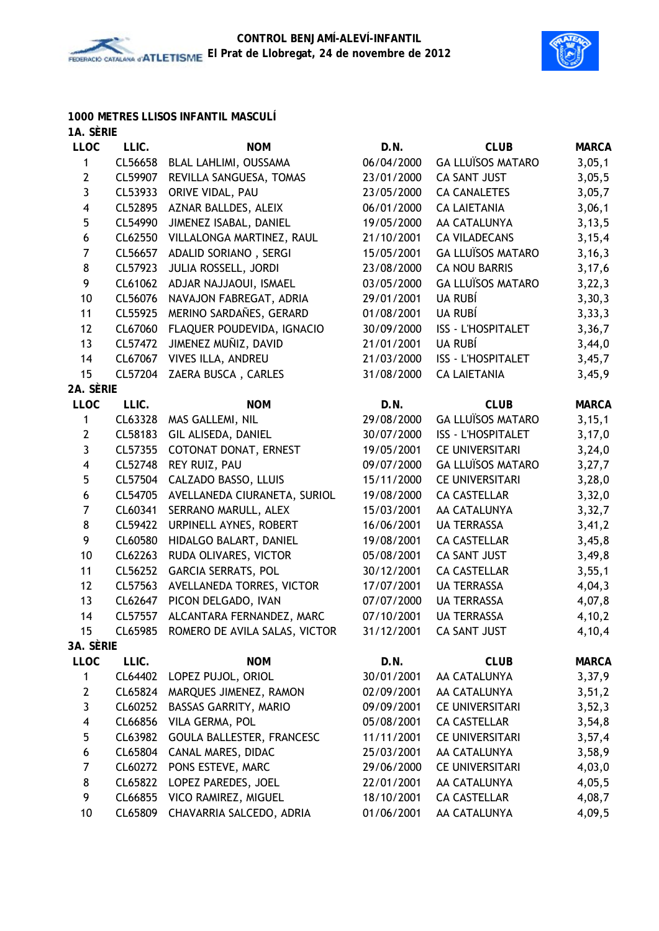

#### **1000 METRES LLISOS INFANTIL MASCULÍ 1A. SÈRIE**

| <b>LLOC</b>             | LLIC.   | <b>NOM</b>                               | D.N.       | <b>CLUB</b>               | <b>MARCA</b> |
|-------------------------|---------|------------------------------------------|------------|---------------------------|--------------|
| 1                       | CL56658 | BLAL LAHLIMI, OUSSAMA                    | 06/04/2000 | <b>GA LLUÏSOS MATARO</b>  | 3,05,1       |
| $\mathbf 2$             | CL59907 | REVILLA SANGUESA, TOMAS                  | 23/01/2000 | CA SANT JUST              | 3,05,5       |
| 3                       | CL53933 | ORIVE VIDAL, PAU                         | 23/05/2000 | <b>CA CANALETES</b>       | 3,05,7       |
| $\overline{\mathbf{4}}$ | CL52895 | AZNAR BALLDES, ALEIX                     | 06/01/2000 | <b>CA LAIETANIA</b>       | 3,06,1       |
| 5                       | CL54990 | JIMENEZ ISABAL, DANIEL                   | 19/05/2000 | AA CATALUNYA              | 3, 13, 5     |
| 6                       | CL62550 | VILLALONGA MARTINEZ, RAUL                | 21/10/2001 | <b>CA VILADECANS</b>      | 3, 15, 4     |
| $\overline{7}$          | CL56657 | ADALID SORIANO, SERGI                    | 15/05/2001 | <b>GA LLUÏSOS MATARO</b>  | 3, 16, 3     |
| 8                       | CL57923 | JULIA ROSSELL, JORDI                     | 23/08/2000 | <b>CA NOU BARRIS</b>      | 3, 17, 6     |
| 9                       | CL61062 | ADJAR NAJJAOUI, ISMAEL                   | 03/05/2000 | <b>GA LLUÏSOS MATARO</b>  | 3,22,3       |
| 10                      | CL56076 | NAVAJON FABREGAT, ADRIA                  | 29/01/2001 | UA RUBÍ                   | 3,30,3       |
| 11                      | CL55925 | MERINO SARDAÑES, GERARD                  | 01/08/2001 | UA RUBÍ                   | 3,33,3       |
| 12                      | CL67060 | FLAQUER POUDEVIDA, IGNACIO               | 30/09/2000 | <b>ISS - L'HOSPITALET</b> | 3,36,7       |
| 13                      | CL57472 | JIMENEZ MUÑIZ, DAVID                     | 21/01/2001 | UA RUBÍ                   | 3,44,0       |
| 14                      | CL67067 | VIVES ILLA, ANDREU                       | 21/03/2000 | <b>ISS - L'HOSPITALET</b> | 3,45,7       |
| 15                      | CL57204 | ZAERA BUSCA, CARLES                      | 31/08/2000 | <b>CA LAIETANIA</b>       | 3,45,9       |
| 2A. SÈRIE               |         |                                          |            |                           |              |
| <b>LLOC</b>             | LLIC.   | <b>NOM</b>                               | D.N.       | <b>CLUB</b>               | <b>MARCA</b> |
| $\mathbf{1}$            | CL63328 | MAS GALLEMI, NIL                         | 29/08/2000 | <b>GA LLUÏSOS MATARO</b>  | 3, 15, 1     |
| $\mathbf{2}$            | CL58183 | GIL ALISEDA, DANIEL                      | 30/07/2000 | <b>ISS - L'HOSPITALET</b> | 3, 17, 0     |
| $\mathbf{3}$            | CL57355 | COTONAT DONAT, ERNEST                    | 19/05/2001 | <b>CE UNIVERSITARI</b>    | 3,24,0       |
| $\overline{\mathbf{4}}$ | CL52748 | REY RUIZ, PAU                            | 09/07/2000 | <b>GA LLUÏSOS MATARO</b>  | 3,27,7       |
| 5                       | CL57504 | CALZADO BASSO, LLUIS                     | 15/11/2000 | <b>CE UNIVERSITARI</b>    | 3,28,0       |
| 6                       | CL54705 | AVELLANEDA CIURANETA, SURIOL             | 19/08/2000 | <b>CA CASTELLAR</b>       | 3,32,0       |
| $\overline{7}$          | CL60341 | SERRANO MARULL, ALEX                     | 15/03/2001 | AA CATALUNYA              | 3,32,7       |
| $\bf 8$                 | CL59422 | URPINELL AYNES, ROBERT                   | 16/06/2001 | <b>UA TERRASSA</b>        | 3,41,2       |
| 9                       | CL60580 | HIDALGO BALART, DANIEL                   | 19/08/2001 | <b>CA CASTELLAR</b>       | 3,45,8       |
| 10                      | CL62263 | RUDA OLIVARES, VICTOR                    | 05/08/2001 | CA SANT JUST              | 3,49,8       |
| 11                      | CL56252 | <b>GARCIA SERRATS, POL</b>               | 30/12/2001 | <b>CA CASTELLAR</b>       | 3, 55, 1     |
| 12                      | CL57563 | AVELLANEDA TORRES, VICTOR                | 17/07/2001 | <b>UA TERRASSA</b>        | 4,04,3       |
| 13                      | CL62647 | PICON DELGADO, IVAN                      | 07/07/2000 | <b>UA TERRASSA</b>        | 4,07,8       |
| 14                      | CL57557 | ALCANTARA FERNANDEZ, MARC                | 07/10/2001 | <b>UA TERRASSA</b>        | 4, 10, 2     |
|                         |         | 15 CL65985 ROMERO DE AVILA SALAS, VICTOR |            | 31/12/2001 CA SANT JUST   | 4,10,4       |
| 3A. SÈRIE               |         |                                          |            |                           |              |
| LLOC                    | LLIC.   | <b>NOM</b>                               | D.N.       | <b>CLUB</b>               | <b>MARCA</b> |
| 1                       | CL64402 | LOPEZ PUJOL, ORIOL                       | 30/01/2001 | AA CATALUNYA              | 3,37,9       |
| $\mathbf{2}$            | CL65824 | MARQUES JIMENEZ, RAMON                   | 02/09/2001 | AA CATALUNYA              | 3,51,2       |
| 3                       | CL60252 | <b>BASSAS GARRITY, MARIO</b>             | 09/09/2001 | <b>CE UNIVERSITARI</b>    | 3,52,3       |
| $\overline{\mathbf{4}}$ | CL66856 | VILA GERMA, POL                          | 05/08/2001 | <b>CA CASTELLAR</b>       | 3,54,8       |
| 5                       | CL63982 | <b>GOULA BALLESTER, FRANCESC</b>         | 11/11/2001 | <b>CE UNIVERSITARI</b>    | 3,57,4       |
| 6                       | CL65804 | CANAL MARES, DIDAC                       | 25/03/2001 | AA CATALUNYA              | 3,58,9       |
| $\overline{7}$          | CL60272 | PONS ESTEVE, MARC                        | 29/06/2000 | <b>CE UNIVERSITARI</b>    | 4,03,0       |
| 8                       | CL65822 | LOPEZ PAREDES, JOEL                      | 22/01/2001 | AA CATALUNYA              | 4,05,5       |
| 9                       | CL66855 | VICO RAMIREZ, MIGUEL                     | 18/10/2001 | <b>CA CASTELLAR</b>       | 4,08,7       |
| 10                      |         | CL65809 CHAVARRIA SALCEDO, ADRIA         | 01/06/2001 | AA CATALUNYA              | 4,09,5       |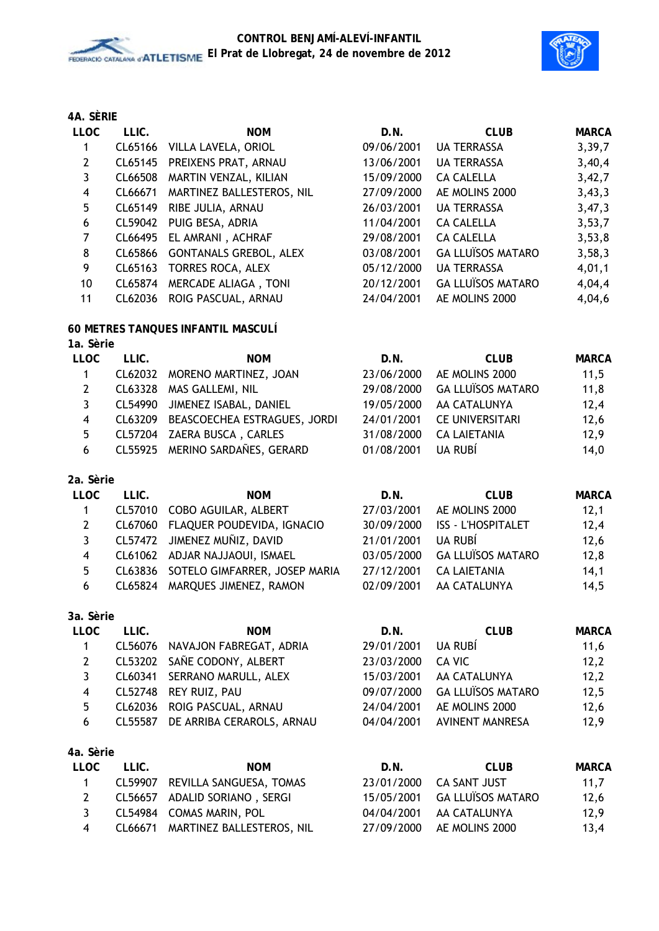

| 4A. SÈRIE               |         |                                    |            |                           |              |
|-------------------------|---------|------------------------------------|------------|---------------------------|--------------|
| <b>LLOC</b>             | LLIC.   | <b>NOM</b>                         | D.N.       | <b>CLUB</b>               | <b>MARCA</b> |
| 1                       | CL65166 | VILLA LAVELA, ORIOL                | 09/06/2001 | <b>UA TERRASSA</b>        | 3,39,7       |
| $\mathbf{2}$            | CL65145 | PREIXENS PRAT, ARNAU               | 13/06/2001 | <b>UA TERRASSA</b>        | 3,40,4       |
| 3                       | CL66508 | MARTIN VENZAL, KILIAN              | 15/09/2000 | <b>CA CALELLA</b>         | 3,42,7       |
| $\overline{\mathbf{4}}$ | CL66671 | MARTINEZ BALLESTEROS, NIL          | 27/09/2000 | AE MOLINS 2000            | 3,43,3       |
| 5                       | CL65149 | RIBE JULIA, ARNAU                  | 26/03/2001 | <b>UA TERRASSA</b>        | 3,47,3       |
| 6                       | CL59042 | PUIG BESA, ADRIA                   | 11/04/2001 | <b>CA CALELLA</b>         | 3,53,7       |
| $\overline{7}$          | CL66495 | EL AMRANI, ACHRAF                  | 29/08/2001 | <b>CA CALELLA</b>         | 3,53,8       |
| 8                       | CL65866 | <b>GONTANALS GREBOL, ALEX</b>      | 03/08/2001 | <b>GA LLUÏSOS MATARO</b>  | 3,58,3       |
| 9                       | CL65163 | TORRES ROCA, ALEX                  | 05/12/2000 | <b>UA TERRASSA</b>        | 4,01,1       |
| 10                      | CL65874 | MERCADE ALIAGA, TONI               | 20/12/2001 | <b>GA LLUÏSOS MATARO</b>  | 4,04,4       |
| 11                      | CL62036 | ROIG PASCUAL, ARNAU                | 24/04/2001 | AE MOLINS 2000            | 4,04,6       |
|                         |         | 60 METRES TANQUES INFANTIL MASCULÍ |            |                           |              |
| 1a. Sèrie               |         |                                    |            |                           |              |
| <b>LLOC</b>             | LLIC.   | <b>NOM</b>                         | D.N.       | <b>CLUB</b>               | <b>MARCA</b> |
| 1                       | CL62032 | MORENO MARTINEZ, JOAN              | 23/06/2000 | AE MOLINS 2000            | 11,5         |
| $\mathbf{2}$            | CL63328 | MAS GALLEMI, NIL                   | 29/08/2000 | <b>GA LLUÏSOS MATARO</b>  | 11,8         |
| 3                       | CL54990 | JIMENEZ ISABAL, DANIEL             | 19/05/2000 | AA CATALUNYA              | 12,4         |
| $\overline{\mathbf{4}}$ | CL63209 | BEASCOECHEA ESTRAGUES, JORDI       | 24/01/2001 | <b>CE UNIVERSITARI</b>    | 12,6         |
| 5                       | CL57204 | ZAERA BUSCA, CARLES                | 31/08/2000 | <b>CA LAIETANIA</b>       | 12,9         |
| 6                       | CL55925 | MERINO SARDAÑES, GERARD            | 01/08/2001 | UA RUBÍ                   | 14,0         |
|                         |         |                                    |            |                           |              |
| 2a. Sèrie               |         |                                    |            |                           |              |
| <b>LLOC</b>             | LLIC.   | <b>NOM</b>                         | D.N.       | <b>CLUB</b>               | <b>MARCA</b> |
| 1                       | CL57010 | COBO AGUILAR, ALBERT               | 27/03/2001 | AE MOLINS 2000            | 12,1         |
| $\mathbf{2}$            | CL67060 | FLAQUER POUDEVIDA, IGNACIO         | 30/09/2000 | <b>ISS - L'HOSPITALET</b> | 12,4         |
| 3                       | CL57472 | JIMENEZ MUÑIZ, DAVID               | 21/01/2001 | UA RUBÍ                   | 12,6         |
| $\overline{\mathbf{4}}$ | CL61062 | ADJAR NAJJAOUI, ISMAEL             | 03/05/2000 | <b>GA LLUÏSOS MATARO</b>  | 12,8         |
| 5                       | CL63836 | SOTELO GIMFARRER, JOSEP MARIA      | 27/12/2001 | <b>CA LAIETANIA</b>       | 14,1         |
| 6                       | CL65824 | MARQUES JIMENEZ, RAMON             | 02/09/2001 | AA CATALUNYA              | 14,5         |
| 3a. Sèrie               |         |                                    |            |                           |              |
| <b>LLOC</b>             | LLIC.   | <b>NOM</b>                         | D.N.       | <b>CLUB</b>               | <b>MARCA</b> |
| 1                       | CL56076 | NAVAJON FABREGAT, ADRIA            | 29/01/2001 | UA RUBÍ                   | 11,6         |
| $\mathbf{2}$            | CL53202 | SAÑE CODONY, ALBERT                | 23/03/2000 | CA VIC                    | 12,2         |
| 3                       | CL60341 | SERRANO MARULL, ALEX               | 15/03/2001 | AA CATALUNYA              | 12,2         |
| 4                       | CL52748 | REY RUIZ, PAU                      | 09/07/2000 | <b>GA LLUÏSOS MATARO</b>  | 12,5         |
| 5                       | CL62036 | ROIG PASCUAL, ARNAU                | 24/04/2001 | AE MOLINS 2000            | 12,6         |
| 6                       | CL55587 | DE ARRIBA CERAROLS, ARNAU          | 04/04/2001 | <b>AVINENT MANRESA</b>    | 12,9         |
| 4a. Sèrie               |         |                                    |            |                           |              |
| LLOC                    | LLIC.   | <b>NOM</b>                         | D.N.       | <b>CLUB</b>               | <b>MARCA</b> |
| 1                       | CL59907 | REVILLA SANGUESA, TOMAS            | 23/01/2000 | <b>CA SANT JUST</b>       | 11,7         |
| $\mathbf{2}$            | CL56657 | ADALID SORIANO, SERGI              | 15/05/2001 | <b>GA LLUÏSOS MATARO</b>  | 12,6         |
| 3                       | CL54984 | COMAS MARIN, POL                   | 04/04/2001 | AA CATALUNYA              | 12,9         |
| 4                       | CL66671 | MARTINEZ BALLESTEROS, NIL          | 27/09/2000 | AE MOLINS 2000            | 13,4         |
|                         |         |                                    |            |                           |              |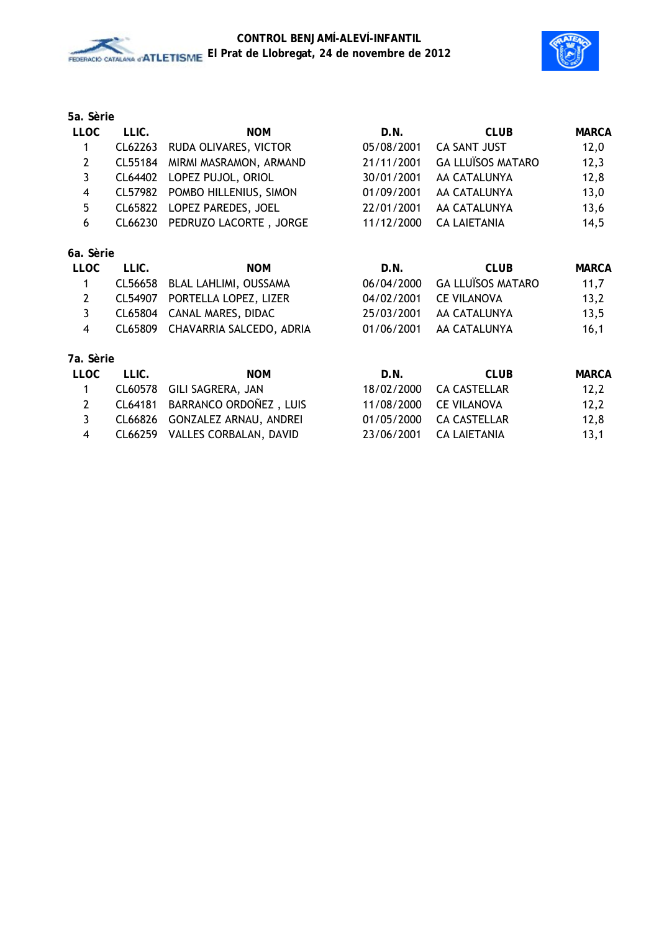

| 5a. Sèrie               |         |                               |            |                          |              |
|-------------------------|---------|-------------------------------|------------|--------------------------|--------------|
| <b>LLOC</b>             | LLIC.   | <b>NOM</b>                    | D.N.       | <b>CLUB</b>              | <b>MARCA</b> |
| 1                       | CL62263 | RUDA OLIVARES, VICTOR         | 05/08/2001 | CA SANT JUST             | 12,0         |
| $\overline{2}$          | CL55184 | MIRMI MASRAMON, ARMAND        | 21/11/2001 | <b>GA LLUÏSOS MATARO</b> | 12,3         |
| $\mathbf{3}$            | CL64402 | LOPEZ PUJOL, ORIOL            | 30/01/2001 | AA CATALUNYA             | 12,8         |
| $\overline{\mathbf{4}}$ | CL57982 | POMBO HILLENIUS, SIMON        | 01/09/2001 | AA CATALUNYA             | 13,0         |
| 5                       | CL65822 | LOPEZ PAREDES, JOEL           | 22/01/2001 | AA CATALUNYA             | 13,6         |
| 6                       | CL66230 | PEDRUZO LACORTE, JORGE        | 11/12/2000 | <b>CA LAIETANIA</b>      | 14,5         |
| 6a. Sèrie               |         |                               |            |                          |              |
| <b>LLOC</b>             | LLIC.   | <b>NOM</b>                    | D.N.       | <b>CLUB</b>              | <b>MARCA</b> |
| 1                       | CL56658 | BLAL LAHLIMI, OUSSAMA         | 06/04/2000 | <b>GA LLUÏSOS MATARO</b> | 11,7         |
| $\mathbf{2}$            | CL54907 | PORTELLA LOPEZ, LIZER         | 04/02/2001 | <b>CE VILANOVA</b>       | 13,2         |
| $\mathbf{3}$            | CL65804 | CANAL MARES, DIDAC            | 25/03/2001 | AA CATALUNYA             | 13,5         |
| $\overline{4}$          | CL65809 | CHAVARRIA SALCEDO, ADRIA      | 01/06/2001 | AA CATALUNYA             | 16,1         |
| 7a. Sèrie               |         |                               |            |                          |              |
| <b>LLOC</b>             | LLIC.   | <b>NOM</b>                    | D.N.       | <b>CLUB</b>              | <b>MARCA</b> |
| $\mathbf{1}$            | CL60578 | GILI SAGRERA, JAN             | 18/02/2000 | <b>CA CASTELLAR</b>      | 12,2         |
| $\overline{2}$          | CL64181 | BARRANCO ORDOÑEZ, LUIS        | 11/08/2000 | <b>CE VILANOVA</b>       | 12,2         |
| $\mathbf{3}$            | CL66826 | GONZALEZ ARNAU, ANDREI        | 01/05/2000 | <b>CA CASTELLAR</b>      | 12,8         |
| 4                       | CL66259 | <b>VALLES CORBALAN, DAVID</b> | 23/06/2001 | <b>CA LAIETANIA</b>      | 13,1         |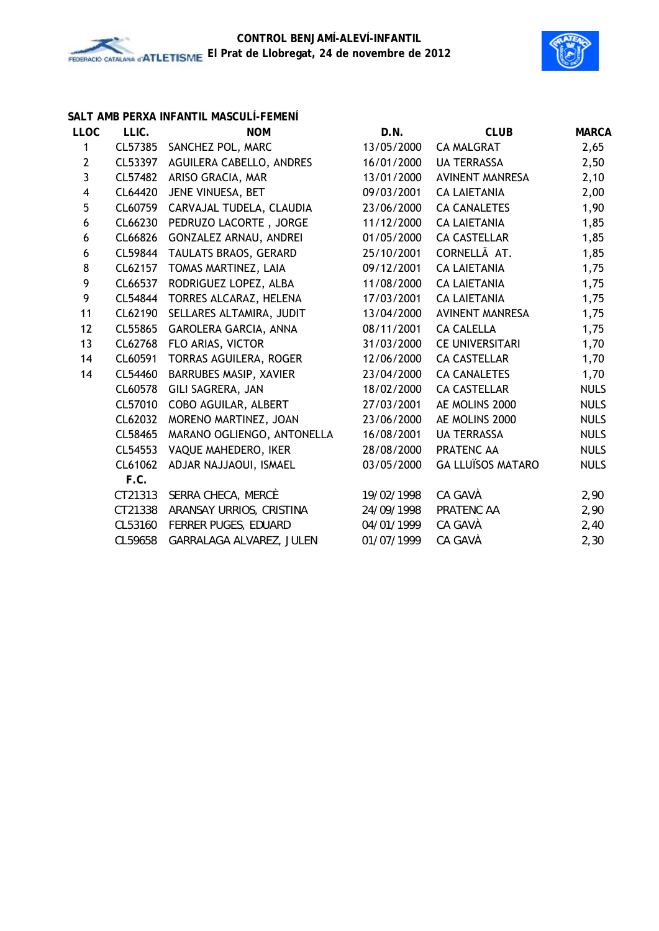

## **SALT AMB PERXA INFANTIL MASCULÍ-FEMENÍ**

| LLOC                    | LLIC.   | <b>NOM</b>                 | D.N.       | <b>CLUB</b>              | <b>MARCA</b> |
|-------------------------|---------|----------------------------|------------|--------------------------|--------------|
| $\mathbf 1$             |         | CL57385 SANCHEZ POL, MARC  | 13/05/2000 | <b>CA MALGRAT</b>        | 2,65         |
| $\mathbf{2}$            | CL53397 | AGUILERA CABELLO, ANDRES   | 16/01/2000 | <b>UA TERRASSA</b>       | 2,50         |
| 3                       | CL57482 | ARISO GRACIA, MAR          | 13/01/2000 | <b>AVINENT MANRESA</b>   | 2,10         |
| $\overline{\mathbf{4}}$ | CL64420 | JENE VINUESA, BET          | 09/03/2001 | <b>CA LAIETANIA</b>      | 2,00         |
| 5                       | CL60759 | CARVAJAL TUDELA, CLAUDIA   | 23/06/2000 | <b>CA CANALETES</b>      | 1,90         |
| 6                       | CL66230 | PEDRUZO LACORTE, JORGE     | 11/12/2000 | <b>CA LAIETANIA</b>      | 1,85         |
| 6                       | CL66826 | GONZALEZ ARNAU, ANDREI     | 01/05/2000 | <b>CA CASTELLAR</b>      | 1,85         |
| 6                       | CL59844 | TAULATS BRAOS, GERARD      | 25/10/2001 | CORNELLÃ AT.             | 1,85         |
| 8                       | CL62157 | TOMAS MARTINEZ, LAIA       | 09/12/2001 | <b>CA LAIETANIA</b>      | 1,75         |
| 9                       | CL66537 | RODRIGUEZ LOPEZ, ALBA      | 11/08/2000 | <b>CA LAIETANIA</b>      | 1,75         |
| 9                       | CL54844 | TORRES ALCARAZ, HELENA     | 17/03/2001 | <b>CA LAIETANIA</b>      | 1,75         |
| 11                      | CL62190 | SELLARES ALTAMIRA, JUDIT   | 13/04/2000 | <b>AVINENT MANRESA</b>   | 1,75         |
| 12                      | CL55865 | GAROLERA GARCIA, ANNA      | 08/11/2001 | <b>CA CALELLA</b>        | 1,75         |
| 13                      | CL62768 | FLO ARIAS, VICTOR          | 31/03/2000 | <b>CE UNIVERSITARI</b>   | 1,70         |
| 14                      | CL60591 | TORRAS AGUILERA, ROGER     | 12/06/2000 | <b>CA CASTELLAR</b>      | 1,70         |
| 14                      | CL54460 | BARRUBES MASIP, XAVIER     | 23/04/2000 | <b>CA CANALETES</b>      | 1,70         |
|                         | CL60578 | GILI SAGRERA, JAN          | 18/02/2000 | <b>CA CASTELLAR</b>      | <b>NULS</b>  |
|                         | CL57010 | COBO AGUILAR, ALBERT       | 27/03/2001 | AE MOLINS 2000           | <b>NULS</b>  |
|                         | CL62032 | MORENO MARTINEZ, JOAN      | 23/06/2000 | AE MOLINS 2000           | <b>NULS</b>  |
|                         | CL58465 | MARANO OGLIENGO, ANTONELLA | 16/08/2001 | <b>UA TERRASSA</b>       | <b>NULS</b>  |
|                         | CL54553 | VAQUE MAHEDERO, IKER       | 28/08/2000 | PRATENC AA               | <b>NULS</b>  |
|                         | CL61062 | ADJAR NAJJAOUI, ISMAEL     | 03/05/2000 | <b>GA LLUÏSOS MATARO</b> | <b>NULS</b>  |
|                         | F.C.    |                            |            |                          |              |
|                         | CT21313 | SERRA CHECA, MERCÈ         | 19/02/1998 | CA GAVÀ                  | 2,90         |
|                         | CT21338 | ARANSAY URRIOS, CRISTINA   | 24/09/1998 | PRATENC AA               | 2,90         |
|                         | CL53160 | FERRER PUGES, EDUARD       | 04/01/1999 | CA GAVÀ                  | 2,40         |
|                         | CL59658 | GARRALAGA ALVAREZ, JULEN   | 01/07/1999 | CA GAVÀ                  | 2,30         |
|                         |         |                            |            |                          |              |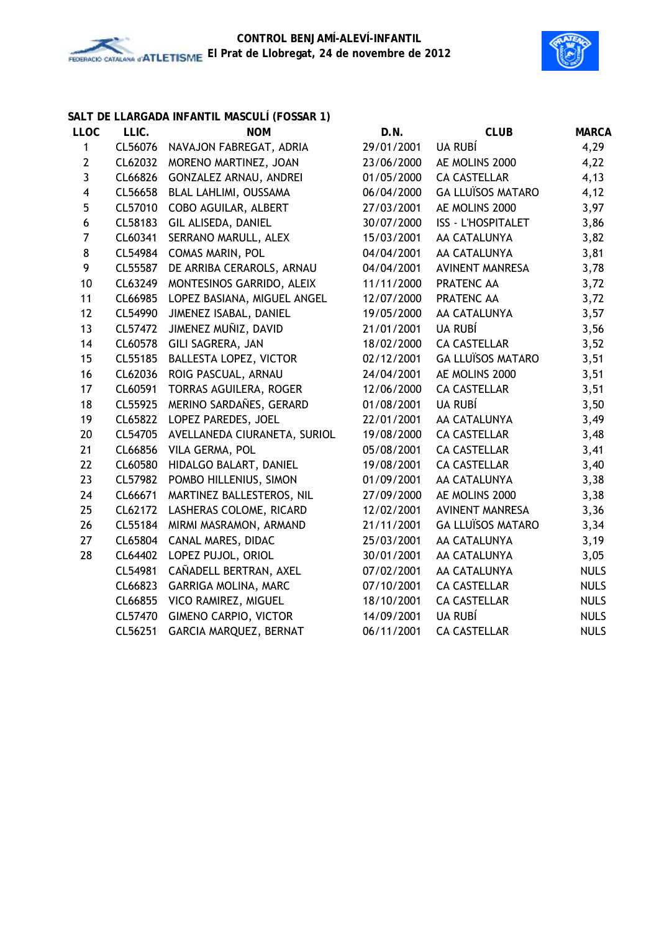

# **SALT DE LLARGADA INFANTIL MASCULÍ (FOSSAR 1)**

| LLOC                    | LLIC.   | <b>NOM</b>                    | D.N.       | <b>CLUB</b>               | <b>MARCA</b> |
|-------------------------|---------|-------------------------------|------------|---------------------------|--------------|
| $\mathbf{1}$            | CL56076 | NAVAJON FABREGAT, ADRIA       | 29/01/2001 | UA RUBÍ                   | 4,29         |
| $\mathbf{2}$            | CL62032 | MORENO MARTINEZ, JOAN         | 23/06/2000 | AE MOLINS 2000            | 4,22         |
| $\mathsf{3}$            | CL66826 | GONZALEZ ARNAU, ANDREI        | 01/05/2000 | <b>CA CASTELLAR</b>       | 4,13         |
| $\overline{\mathbf{4}}$ | CL56658 | BLAL LAHLIMI, OUSSAMA         | 06/04/2000 | <b>GA LLUÏSOS MATARO</b>  | 4,12         |
| 5                       | CL57010 | COBO AGUILAR, ALBERT          | 27/03/2001 | AE MOLINS 2000            | 3,97         |
| $\boldsymbol{6}$        | CL58183 | GIL ALISEDA, DANIEL           | 30/07/2000 | <b>ISS - L'HOSPITALET</b> | 3,86         |
| $\overline{7}$          | CL60341 | SERRANO MARULL, ALEX          | 15/03/2001 | AA CATALUNYA              | 3,82         |
| 8                       | CL54984 | COMAS MARIN, POL              | 04/04/2001 | AA CATALUNYA              | 3,81         |
| 9                       | CL55587 | DE ARRIBA CERAROLS, ARNAU     | 04/04/2001 | <b>AVINENT MANRESA</b>    | 3,78         |
| 10                      | CL63249 | MONTESINOS GARRIDO, ALEIX     | 11/11/2000 | PRATENC AA                | 3,72         |
| 11                      | CL66985 | LOPEZ BASIANA, MIGUEL ANGEL   | 12/07/2000 | PRATENC AA                | 3,72         |
| 12                      | CL54990 | JIMENEZ ISABAL, DANIEL        | 19/05/2000 | AA CATALUNYA              | 3,57         |
| 13                      | CL57472 | JIMENEZ MUÑIZ, DAVID          | 21/01/2001 | UA RUBÍ                   | 3,56         |
| 14                      | CL60578 | GILI SAGRERA, JAN             | 18/02/2000 | <b>CA CASTELLAR</b>       | 3,52         |
| 15                      | CL55185 | <b>BALLESTA LOPEZ, VICTOR</b> | 02/12/2001 | <b>GA LLUÏSOS MATARO</b>  | 3,51         |
| 16                      | CL62036 | ROIG PASCUAL, ARNAU           | 24/04/2001 | AE MOLINS 2000            | 3,51         |
| 17                      | CL60591 | TORRAS AGUILERA, ROGER        | 12/06/2000 | <b>CA CASTELLAR</b>       | 3,51         |
| 18                      | CL55925 | MERINO SARDAÑES, GERARD       | 01/08/2001 | UA RUBÍ                   | 3,50         |
| 19                      | CL65822 | LOPEZ PAREDES, JOEL           | 22/01/2001 | AA CATALUNYA              | 3,49         |
| 20                      | CL54705 | AVELLANEDA CIURANETA, SURIOL  | 19/08/2000 | <b>CA CASTELLAR</b>       | 3,48         |
| 21                      | CL66856 | VILA GERMA, POL               | 05/08/2001 | <b>CA CASTELLAR</b>       | 3,41         |
| 22                      | CL60580 | HIDALGO BALART, DANIEL        | 19/08/2001 | <b>CA CASTELLAR</b>       | 3,40         |
| 23                      | CL57982 | POMBO HILLENIUS, SIMON        | 01/09/2001 | AA CATALUNYA              | 3,38         |
| 24                      | CL66671 | MARTINEZ BALLESTEROS, NIL     | 27/09/2000 | AE MOLINS 2000            | 3,38         |
| 25                      | CL62172 | LASHERAS COLOME, RICARD       | 12/02/2001 | <b>AVINENT MANRESA</b>    | 3,36         |
| 26                      | CL55184 | MIRMI MASRAMON, ARMAND        | 21/11/2001 | <b>GA LLUÏSOS MATARO</b>  | 3,34         |
| 27                      | CL65804 | CANAL MARES, DIDAC            | 25/03/2001 | AA CATALUNYA              | 3,19         |
| 28                      | CL64402 | LOPEZ PUJOL, ORIOL            | 30/01/2001 | AA CATALUNYA              | 3,05         |
|                         | CL54981 | CAÑADELL BERTRAN, AXEL        | 07/02/2001 | AA CATALUNYA              | <b>NULS</b>  |
|                         | CL66823 | GARRIGA MOLINA, MARC          | 07/10/2001 | <b>CA CASTELLAR</b>       | <b>NULS</b>  |
|                         | CL66855 | VICO RAMIREZ, MIGUEL          | 18/10/2001 | <b>CA CASTELLAR</b>       | <b>NULS</b>  |
|                         | CL57470 | <b>GIMENO CARPIO, VICTOR</b>  | 14/09/2001 | UA RUBÍ                   | <b>NULS</b>  |
|                         | CL56251 | GARCIA MARQUEZ, BERNAT        | 06/11/2001 | <b>CA CASTELLAR</b>       | <b>NULS</b>  |
|                         |         |                               |            |                           |              |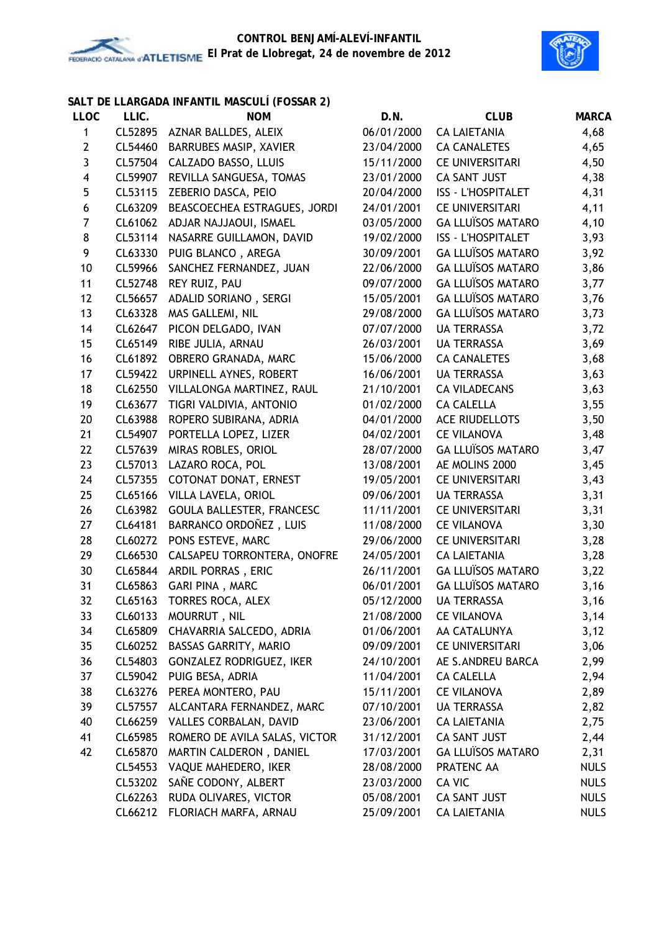

# **SALT DE LLARGADA INFANTIL MASCULÍ (FOSSAR 2)**

| <b>LLOC</b>      | LLIC.   | <b>NOM</b>                       | D.N.       | <b>CLUB</b>               | <b>MARCA</b> |
|------------------|---------|----------------------------------|------------|---------------------------|--------------|
| 1                | CL52895 | AZNAR BALLDES, ALEIX             | 06/01/2000 | <b>CA LAIETANIA</b>       | 4,68         |
| $\mathbf{2}$     | CL54460 | BARRUBES MASIP, XAVIER           | 23/04/2000 | <b>CA CANALETES</b>       | 4,65         |
| 3                | CL57504 | CALZADO BASSO, LLUIS             | 15/11/2000 | <b>CE UNIVERSITARI</b>    | 4,50         |
| 4                | CL59907 | REVILLA SANGUESA, TOMAS          | 23/01/2000 | <b>CA SANT JUST</b>       | 4,38         |
| 5                | CL53115 | ZEBERIO DASCA, PEIO              | 20/04/2000 | ISS - L'HOSPITALET        | 4,31         |
| 6                | CL63209 | BEASCOECHEA ESTRAGUES, JORDI     | 24/01/2001 | <b>CE UNIVERSITARI</b>    | 4,11         |
| $\boldsymbol{7}$ | CL61062 | ADJAR NAJJAOUI, ISMAEL           | 03/05/2000 | <b>GA LLUÏSOS MATARO</b>  | 4,10         |
| 8                | CL53114 | NASARRE GUILLAMON, DAVID         | 19/02/2000 | <b>ISS - L'HOSPITALET</b> | 3,93         |
| 9                | CL63330 | PUIG BLANCO, AREGA               | 30/09/2001 | <b>GA LLUÏSOS MATARO</b>  | 3,92         |
| 10               | CL59966 | SANCHEZ FERNANDEZ, JUAN          | 22/06/2000 | <b>GA LLUÏSOS MATARO</b>  | 3,86         |
| 11               | CL52748 | REY RUIZ, PAU                    | 09/07/2000 | <b>GA LLUÏSOS MATARO</b>  | 3,77         |
| 12               | CL56657 | ADALID SORIANO, SERGI            | 15/05/2001 | <b>GA LLUÏSOS MATARO</b>  | 3,76         |
| 13               | CL63328 | MAS GALLEMI, NIL                 | 29/08/2000 | <b>GA LLUÏSOS MATARO</b>  | 3,73         |
| 14               | CL62647 | PICON DELGADO, IVAN              | 07/07/2000 | <b>UA TERRASSA</b>        | 3,72         |
| 15               | CL65149 | RIBE JULIA, ARNAU                | 26/03/2001 | <b>UA TERRASSA</b>        | 3,69         |
| 16               | CL61892 | OBRERO GRANADA, MARC             | 15/06/2000 | <b>CA CANALETES</b>       | 3,68         |
| 17               | CL59422 | URPINELL AYNES, ROBERT           | 16/06/2001 | <b>UA TERRASSA</b>        | 3,63         |
| 18               | CL62550 | VILLALONGA MARTINEZ, RAUL        | 21/10/2001 | <b>CA VILADECANS</b>      | 3,63         |
| 19               | CL63677 | TIGRI VALDIVIA, ANTONIO          | 01/02/2000 | <b>CA CALELLA</b>         | 3,55         |
| 20               | CL63988 | ROPERO SUBIRANA, ADRIA           | 04/01/2000 | <b>ACE RIUDELLOTS</b>     | 3,50         |
| 21               | CL54907 | PORTELLA LOPEZ, LIZER            | 04/02/2001 | <b>CE VILANOVA</b>        | 3,48         |
| 22               | CL57639 | MIRAS ROBLES, ORIOL              | 28/07/2000 | <b>GA LLUÏSOS MATARO</b>  | 3,47         |
| 23               | CL57013 | LAZARO ROCA, POL                 | 13/08/2001 | AE MOLINS 2000            | 3,45         |
| 24               | CL57355 | COTONAT DONAT, ERNEST            | 19/05/2001 | <b>CE UNIVERSITARI</b>    | 3,43         |
| 25               | CL65166 | VILLA LAVELA, ORIOL              | 09/06/2001 | <b>UA TERRASSA</b>        | 3,31         |
| 26               | CL63982 | <b>GOULA BALLESTER, FRANCESC</b> | 11/11/2001 | <b>CE UNIVERSITARI</b>    | 3,31         |
| 27               | CL64181 | BARRANCO ORDOÑEZ, LUIS           | 11/08/2000 | <b>CE VILANOVA</b>        | 3,30         |
| 28               | CL60272 | PONS ESTEVE, MARC                | 29/06/2000 | <b>CE UNIVERSITARI</b>    | 3,28         |
| 29               | CL66530 | CALSAPEU TORRONTERA, ONOFRE      | 24/05/2001 | <b>CA LAIETANIA</b>       | 3,28         |
| 30               | CL65844 | ARDIL PORRAS, ERIC               | 26/11/2001 | <b>GA LLUÏSOS MATARO</b>  | 3,22         |
| 31               | CL65863 | <b>GARI PINA, MARC</b>           | 06/01/2001 | <b>GA LLUÏSOS MATARO</b>  | 3,16         |
| 32               | CL65163 | TORRES ROCA, ALEX                | 05/12/2000 | <b>UA TERRASSA</b>        | 3,16         |
| 33               | CL60133 | MOURRUT, NIL                     | 21/08/2000 | <b>CE VILANOVA</b>        | 3,14         |
| 34               | CL65809 | CHAVARRIA SALCEDO, ADRIA         | 01/06/2001 | AA CATALUNYA              | 3,12         |
| 35               | CL60252 | <b>BASSAS GARRITY, MARIO</b>     | 09/09/2001 | <b>CE UNIVERSITARI</b>    | 3,06         |
| 36               | CL54803 | <b>GONZALEZ RODRIGUEZ, IKER</b>  | 24/10/2001 | AE S.ANDREU BARCA         | 2,99         |
| 37               | CL59042 | PUIG BESA, ADRIA                 | 11/04/2001 | <b>CA CALELLA</b>         | 2,94         |
| 38               | CL63276 | PEREA MONTERO, PAU               | 15/11/2001 | <b>CE VILANOVA</b>        | 2,89         |
| 39               | CL57557 | ALCANTARA FERNANDEZ, MARC        | 07/10/2001 | <b>UA TERRASSA</b>        | 2,82         |
| 40               | CL66259 | <b>VALLES CORBALAN, DAVID</b>    | 23/06/2001 | <b>CA LAIETANIA</b>       | 2,75         |
| 41               | CL65985 | ROMERO DE AVILA SALAS, VICTOR    | 31/12/2001 | CA SANT JUST              | 2,44         |
| 42               | CL65870 | MARTIN CALDERON, DANIEL          | 17/03/2001 | <b>GA LLUÏSOS MATARO</b>  | 2,31         |
|                  | CL54553 | VAQUE MAHEDERO, IKER             | 28/08/2000 | PRATENC AA                | <b>NULS</b>  |
|                  | CL53202 | SAÑE CODONY, ALBERT              | 23/03/2000 | CA VIC                    | <b>NULS</b>  |
|                  | CL62263 | RUDA OLIVARES, VICTOR            | 05/08/2001 | CA SANT JUST              | <b>NULS</b>  |
|                  |         | CL66212 FLORIACH MARFA, ARNAU    | 25/09/2001 | <b>CA LAIETANIA</b>       | <b>NULS</b>  |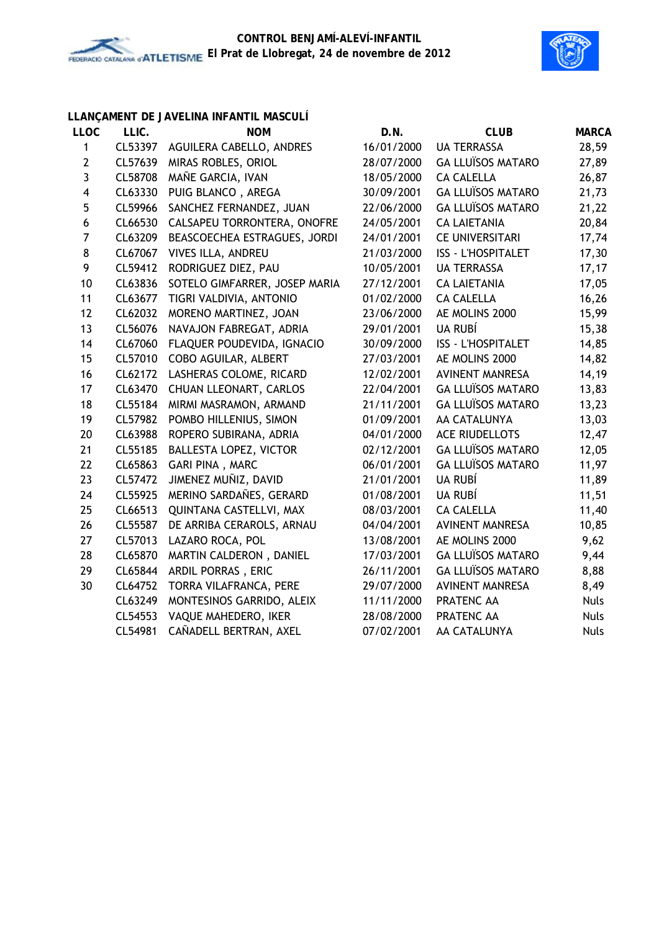

# **LLANÇAMENT DE JAVELINA INFANTIL MASCULÍ**

| <b>LLOC</b>    | LLIC.   | <b>NOM</b>                    | D.N.       | <b>CLUB</b>               | <b>MARCA</b> |
|----------------|---------|-------------------------------|------------|---------------------------|--------------|
| $\mathbf{1}$   | CL53397 | AGUILERA CABELLO, ANDRES      | 16/01/2000 | <b>UA TERRASSA</b>        | 28,59        |
| $\mathbf{2}$   | CL57639 | MIRAS ROBLES, ORIOL           | 28/07/2000 | <b>GA LLUÏSOS MATARO</b>  | 27,89        |
| 3              | CL58708 | MAÑE GARCIA, IVAN             | 18/05/2000 | <b>CA CALELLA</b>         | 26,87        |
| 4              | CL63330 | PUIG BLANCO, AREGA            | 30/09/2001 | <b>GA LLUÏSOS MATARO</b>  | 21,73        |
| 5              | CL59966 | SANCHEZ FERNANDEZ, JUAN       | 22/06/2000 | <b>GA LLUÏSOS MATARO</b>  | 21,22        |
| 6              | CL66530 | CALSAPEU TORRONTERA, ONOFRE   | 24/05/2001 | <b>CA LAIETANIA</b>       | 20,84        |
| $\overline{7}$ | CL63209 | BEASCOECHEA ESTRAGUES, JORDI  | 24/01/2001 | <b>CE UNIVERSITARI</b>    | 17,74        |
| 8              | CL67067 | VIVES ILLA, ANDREU            | 21/03/2000 | ISS - L'HOSPITALET        | 17,30        |
| 9              | CL59412 | RODRIGUEZ DIEZ, PAU           | 10/05/2001 | <b>UA TERRASSA</b>        | 17, 17       |
| 10             | CL63836 | SOTELO GIMFARRER, JOSEP MARIA | 27/12/2001 | <b>CA LAIETANIA</b>       | 17,05        |
| 11             | CL63677 | TIGRI VALDIVIA, ANTONIO       | 01/02/2000 | <b>CA CALELLA</b>         | 16,26        |
| 12             | CL62032 | MORENO MARTINEZ, JOAN         | 23/06/2000 | AE MOLINS 2000            | 15,99        |
| 13             | CL56076 | NAVAJON FABREGAT, ADRIA       | 29/01/2001 | UA RUBÍ                   | 15,38        |
| 14             | CL67060 | FLAQUER POUDEVIDA, IGNACIO    | 30/09/2000 | <b>ISS - L'HOSPITALET</b> | 14,85        |
| 15             | CL57010 | COBO AGUILAR, ALBERT          | 27/03/2001 | AE MOLINS 2000            | 14,82        |
| 16             | CL62172 | LASHERAS COLOME, RICARD       | 12/02/2001 | <b>AVINENT MANRESA</b>    | 14,19        |
| 17             | CL63470 | <b>CHUAN LLEONART, CARLOS</b> | 22/04/2001 | <b>GA LLUÏSOS MATARO</b>  | 13,83        |
| 18             | CL55184 | MIRMI MASRAMON, ARMAND        | 21/11/2001 | <b>GA LLUÏSOS MATARO</b>  | 13,23        |
| 19             | CL57982 | POMBO HILLENIUS, SIMON        | 01/09/2001 | AA CATALUNYA              | 13,03        |
| 20             | CL63988 | ROPERO SUBIRANA, ADRIA        | 04/01/2000 | <b>ACE RIUDELLOTS</b>     | 12,47        |
| 21             | CL55185 | BALLESTA LOPEZ, VICTOR        | 02/12/2001 | <b>GA LLUÏSOS MATARO</b>  | 12,05        |
| 22             | CL65863 | <b>GARI PINA, MARC</b>        | 06/01/2001 | <b>GA LLUÏSOS MATARO</b>  | 11,97        |
| 23             | CL57472 | JIMENEZ MUÑIZ, DAVID          | 21/01/2001 | UA RUBÍ                   | 11,89        |
| 24             | CL55925 | MERINO SARDAÑES, GERARD       | 01/08/2001 | UA RUBÍ                   | 11,51        |
| 25             | CL66513 | QUINTANA CASTELLVI, MAX       | 08/03/2001 | <b>CA CALELLA</b>         | 11,40        |
| 26             | CL55587 | DE ARRIBA CERAROLS, ARNAU     | 04/04/2001 | <b>AVINENT MANRESA</b>    | 10,85        |
| 27             | CL57013 | LAZARO ROCA, POL              | 13/08/2001 | AE MOLINS 2000            | 9,62         |
| 28             | CL65870 | MARTIN CALDERON, DANIEL       | 17/03/2001 | <b>GA LLUÏSOS MATARO</b>  | 9,44         |
| 29             | CL65844 | ARDIL PORRAS, ERIC            | 26/11/2001 | <b>GA LLUÏSOS MATARO</b>  | 8,88         |
| 30             | CL64752 | TORRA VILAFRANCA, PERE        | 29/07/2000 | <b>AVINENT MANRESA</b>    | 8,49         |
|                | CL63249 | MONTESINOS GARRIDO, ALEIX     | 11/11/2000 | PRATENC AA                | <b>Nuls</b>  |
|                | CL54553 | VAQUE MAHEDERO, IKER          | 28/08/2000 | PRATENC AA                | <b>Nuls</b>  |
|                | CL54981 | CAÑADELL BERTRAN, AXEL        | 07/02/2001 | AA CATALUNYA              | <b>Nuls</b>  |
|                |         |                               |            |                           |              |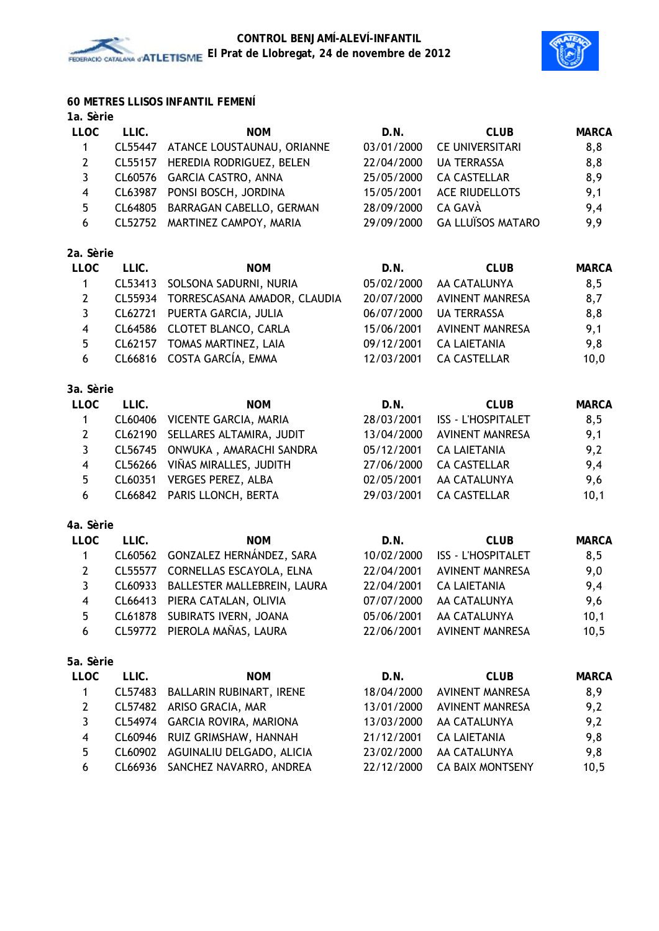

### **60 METRES LLISOS INFANTIL FEMENÍ**

| 1a. serie |                                                                                                                                                                                         |                                                                                                                                                                                                                                                                                                                                                                                                                                                                                                                      |                                                                                                                                                                                                    |                                                                                                                                                                                                                                                                                                                            |
|-----------|-----------------------------------------------------------------------------------------------------------------------------------------------------------------------------------------|----------------------------------------------------------------------------------------------------------------------------------------------------------------------------------------------------------------------------------------------------------------------------------------------------------------------------------------------------------------------------------------------------------------------------------------------------------------------------------------------------------------------|----------------------------------------------------------------------------------------------------------------------------------------------------------------------------------------------------|----------------------------------------------------------------------------------------------------------------------------------------------------------------------------------------------------------------------------------------------------------------------------------------------------------------------------|
| LLIC.     | <b>NOM</b>                                                                                                                                                                              | D.N.                                                                                                                                                                                                                                                                                                                                                                                                                                                                                                                 | <b>CLUB</b>                                                                                                                                                                                        | <b>MARCA</b>                                                                                                                                                                                                                                                                                                               |
| CL55447   | ATANCE LOUSTAUNAU, ORIANNE                                                                                                                                                              | 03/01/2000                                                                                                                                                                                                                                                                                                                                                                                                                                                                                                           | <b>CE UNIVERSITARI</b>                                                                                                                                                                             | 8,8                                                                                                                                                                                                                                                                                                                        |
| CL55157   | HEREDIA RODRIGUEZ, BELEN                                                                                                                                                                | 22/04/2000                                                                                                                                                                                                                                                                                                                                                                                                                                                                                                           | <b>UA TERRASSA</b>                                                                                                                                                                                 | 8,8                                                                                                                                                                                                                                                                                                                        |
| CL60576   | GARCIA CASTRO, ANNA                                                                                                                                                                     | 25/05/2000                                                                                                                                                                                                                                                                                                                                                                                                                                                                                                           | <b>CA CASTELLAR</b>                                                                                                                                                                                | 8,9                                                                                                                                                                                                                                                                                                                        |
| CL63987   | PONSI BOSCH, JORDINA                                                                                                                                                                    | 15/05/2001                                                                                                                                                                                                                                                                                                                                                                                                                                                                                                           | <b>ACE RIUDELLOTS</b>                                                                                                                                                                              | 9,1                                                                                                                                                                                                                                                                                                                        |
|           |                                                                                                                                                                                         | 28/09/2000                                                                                                                                                                                                                                                                                                                                                                                                                                                                                                           | CA GAVÀ                                                                                                                                                                                            | 9,4                                                                                                                                                                                                                                                                                                                        |
| CL52752   | MARTINEZ CAMPOY, MARIA                                                                                                                                                                  | 29/09/2000                                                                                                                                                                                                                                                                                                                                                                                                                                                                                                           | <b>GA LLUÏSOS MATARO</b>                                                                                                                                                                           | 9,9                                                                                                                                                                                                                                                                                                                        |
|           |                                                                                                                                                                                         |                                                                                                                                                                                                                                                                                                                                                                                                                                                                                                                      |                                                                                                                                                                                                    |                                                                                                                                                                                                                                                                                                                            |
|           |                                                                                                                                                                                         |                                                                                                                                                                                                                                                                                                                                                                                                                                                                                                                      |                                                                                                                                                                                                    | <b>MARCA</b>                                                                                                                                                                                                                                                                                                               |
|           |                                                                                                                                                                                         |                                                                                                                                                                                                                                                                                                                                                                                                                                                                                                                      |                                                                                                                                                                                                    |                                                                                                                                                                                                                                                                                                                            |
|           |                                                                                                                                                                                         |                                                                                                                                                                                                                                                                                                                                                                                                                                                                                                                      |                                                                                                                                                                                                    | 8,5                                                                                                                                                                                                                                                                                                                        |
|           |                                                                                                                                                                                         |                                                                                                                                                                                                                                                                                                                                                                                                                                                                                                                      |                                                                                                                                                                                                    | 8,7                                                                                                                                                                                                                                                                                                                        |
|           |                                                                                                                                                                                         |                                                                                                                                                                                                                                                                                                                                                                                                                                                                                                                      |                                                                                                                                                                                                    | 8,8                                                                                                                                                                                                                                                                                                                        |
|           |                                                                                                                                                                                         |                                                                                                                                                                                                                                                                                                                                                                                                                                                                                                                      |                                                                                                                                                                                                    | 9,1                                                                                                                                                                                                                                                                                                                        |
|           |                                                                                                                                                                                         |                                                                                                                                                                                                                                                                                                                                                                                                                                                                                                                      |                                                                                                                                                                                                    | 9,8                                                                                                                                                                                                                                                                                                                        |
|           |                                                                                                                                                                                         |                                                                                                                                                                                                                                                                                                                                                                                                                                                                                                                      |                                                                                                                                                                                                    | 10,0                                                                                                                                                                                                                                                                                                                       |
| 3a. Sèrie |                                                                                                                                                                                         |                                                                                                                                                                                                                                                                                                                                                                                                                                                                                                                      |                                                                                                                                                                                                    |                                                                                                                                                                                                                                                                                                                            |
| LLIC.     | <b>NOM</b>                                                                                                                                                                              | D.N.                                                                                                                                                                                                                                                                                                                                                                                                                                                                                                                 | <b>CLUB</b>                                                                                                                                                                                        | <b>MARCA</b>                                                                                                                                                                                                                                                                                                               |
| CL60406   | VICENTE GARCIA, MARIA                                                                                                                                                                   | 28/03/2001                                                                                                                                                                                                                                                                                                                                                                                                                                                                                                           | <b>ISS - L'HOSPITALET</b>                                                                                                                                                                          | 8,5                                                                                                                                                                                                                                                                                                                        |
| CL62190   | SELLARES ALTAMIRA, JUDIT                                                                                                                                                                | 13/04/2000                                                                                                                                                                                                                                                                                                                                                                                                                                                                                                           | <b>AVINENT MANRESA</b>                                                                                                                                                                             | 9,1                                                                                                                                                                                                                                                                                                                        |
| CL56745   |                                                                                                                                                                                         | 05/12/2001                                                                                                                                                                                                                                                                                                                                                                                                                                                                                                           | <b>CA LAIETANIA</b>                                                                                                                                                                                | 9,2                                                                                                                                                                                                                                                                                                                        |
| CL56266   |                                                                                                                                                                                         | 27/06/2000                                                                                                                                                                                                                                                                                                                                                                                                                                                                                                           | <b>CA CASTELLAR</b>                                                                                                                                                                                | 9,4                                                                                                                                                                                                                                                                                                                        |
|           |                                                                                                                                                                                         |                                                                                                                                                                                                                                                                                                                                                                                                                                                                                                                      |                                                                                                                                                                                                    | 9,6                                                                                                                                                                                                                                                                                                                        |
| CL66842   | PARIS LLONCH, BERTA                                                                                                                                                                     | 29/03/2001                                                                                                                                                                                                                                                                                                                                                                                                                                                                                                           | <b>CA CASTELLAR</b>                                                                                                                                                                                | 10,1                                                                                                                                                                                                                                                                                                                       |
|           |                                                                                                                                                                                         |                                                                                                                                                                                                                                                                                                                                                                                                                                                                                                                      |                                                                                                                                                                                                    |                                                                                                                                                                                                                                                                                                                            |
|           |                                                                                                                                                                                         |                                                                                                                                                                                                                                                                                                                                                                                                                                                                                                                      |                                                                                                                                                                                                    | <b>MARCA</b>                                                                                                                                                                                                                                                                                                               |
|           |                                                                                                                                                                                         |                                                                                                                                                                                                                                                                                                                                                                                                                                                                                                                      |                                                                                                                                                                                                    | 8,5                                                                                                                                                                                                                                                                                                                        |
|           |                                                                                                                                                                                         |                                                                                                                                                                                                                                                                                                                                                                                                                                                                                                                      |                                                                                                                                                                                                    | 9,0                                                                                                                                                                                                                                                                                                                        |
|           |                                                                                                                                                                                         |                                                                                                                                                                                                                                                                                                                                                                                                                                                                                                                      |                                                                                                                                                                                                    |                                                                                                                                                                                                                                                                                                                            |
|           |                                                                                                                                                                                         |                                                                                                                                                                                                                                                                                                                                                                                                                                                                                                                      |                                                                                                                                                                                                    | 9,4                                                                                                                                                                                                                                                                                                                        |
|           |                                                                                                                                                                                         |                                                                                                                                                                                                                                                                                                                                                                                                                                                                                                                      |                                                                                                                                                                                                    | 9,6                                                                                                                                                                                                                                                                                                                        |
|           |                                                                                                                                                                                         |                                                                                                                                                                                                                                                                                                                                                                                                                                                                                                                      |                                                                                                                                                                                                    | 10,1                                                                                                                                                                                                                                                                                                                       |
|           |                                                                                                                                                                                         |                                                                                                                                                                                                                                                                                                                                                                                                                                                                                                                      |                                                                                                                                                                                                    | 10,5                                                                                                                                                                                                                                                                                                                       |
| 5a. Sèrie |                                                                                                                                                                                         |                                                                                                                                                                                                                                                                                                                                                                                                                                                                                                                      |                                                                                                                                                                                                    |                                                                                                                                                                                                                                                                                                                            |
| LLIC.     | <b>NOM</b>                                                                                                                                                                              | D.N.                                                                                                                                                                                                                                                                                                                                                                                                                                                                                                                 | <b>CLUB</b>                                                                                                                                                                                        | <b>MARCA</b>                                                                                                                                                                                                                                                                                                               |
| CL57483   | BALLARIN RUBINART, IRENE                                                                                                                                                                | 18/04/2000                                                                                                                                                                                                                                                                                                                                                                                                                                                                                                           | <b>AVINENT MANRESA</b>                                                                                                                                                                             | 8,9                                                                                                                                                                                                                                                                                                                        |
| CL57482   | ARISO GRACIA, MAR                                                                                                                                                                       | 13/01/2000                                                                                                                                                                                                                                                                                                                                                                                                                                                                                                           | <b>AVINENT MANRESA</b>                                                                                                                                                                             | 9,2                                                                                                                                                                                                                                                                                                                        |
| CL54974   | GARCIA ROVIRA, MARIONA                                                                                                                                                                  | 13/03/2000                                                                                                                                                                                                                                                                                                                                                                                                                                                                                                           | AA CATALUNYA                                                                                                                                                                                       | 9,2                                                                                                                                                                                                                                                                                                                        |
| CL60946   | RUIZ GRIMSHAW, HANNAH                                                                                                                                                                   | 21/12/2001                                                                                                                                                                                                                                                                                                                                                                                                                                                                                                           | <b>CA LAIETANIA</b>                                                                                                                                                                                | 9,8                                                                                                                                                                                                                                                                                                                        |
| CL60902   | AGUINALIU DELGADO, ALICIA                                                                                                                                                               | 23/02/2000                                                                                                                                                                                                                                                                                                                                                                                                                                                                                                           | AA CATALUNYA                                                                                                                                                                                       | 9,8                                                                                                                                                                                                                                                                                                                        |
|           |                                                                                                                                                                                         | 22/12/2000                                                                                                                                                                                                                                                                                                                                                                                                                                                                                                           | <b>CA BAIX MONTSENY</b>                                                                                                                                                                            | 10,5                                                                                                                                                                                                                                                                                                                       |
|           | CL64805<br>2a. Sèrie<br>LLIC.<br>CL53413<br>CL55934<br>CL62721<br>CL64586<br>CL62157<br>CL66816<br>CL60351<br>4a. Sèrie<br>LLIC.<br>CL60562<br>CL55577<br>CL60933<br>CL66413<br>CL61878 | BARRAGAN CABELLO, GERMAN<br><b>NOM</b><br>SOLSONA SADURNI, NURIA<br>TORRESCASANA AMADOR, CLAUDIA<br>PUERTA GARCIA, JULIA<br><b>CLOTET BLANCO, CARLA</b><br>TOMAS MARTINEZ, LAIA<br>COSTA GARCÍA, EMMA<br>ONWUKA, AMARACHI SANDRA<br>VIÑAS MIRALLES, JUDITH<br><b>VERGES PEREZ, ALBA</b><br><b>NOM</b><br>GONZALEZ HERNÁNDEZ, SARA<br>CORNELLAS ESCAYOLA, ELNA<br>BALLESTER MALLEBREIN, LAURA<br>PIERA CATALAN, OLIVIA<br>SUBIRATS IVERN, JOANA<br>PIEROLA MAÑAS, LAURA<br>CL59772<br>CL66936 SANCHEZ NAVARRO, ANDREA | D.N.<br>05/02/2000<br>20/07/2000<br>06/07/2000<br>15/06/2001<br>09/12/2001<br>12/03/2001<br>02/05/2001<br>D.N.<br>10/02/2000<br>22/04/2001<br>22/04/2001<br>07/07/2000<br>05/06/2001<br>22/06/2001 | <b>CLUB</b><br>AA CATALUNYA<br><b>AVINENT MANRESA</b><br><b>UA TERRASSA</b><br><b>AVINENT MANRESA</b><br><b>CA LAIETANIA</b><br><b>CA CASTELLAR</b><br>AA CATALUNYA<br><b>CLUB</b><br><b>ISS - L'HOSPITALET</b><br><b>AVINENT MANRESA</b><br><b>CA LAIETANIA</b><br>AA CATALUNYA<br>AA CATALUNYA<br><b>AVINENT MANRESA</b> |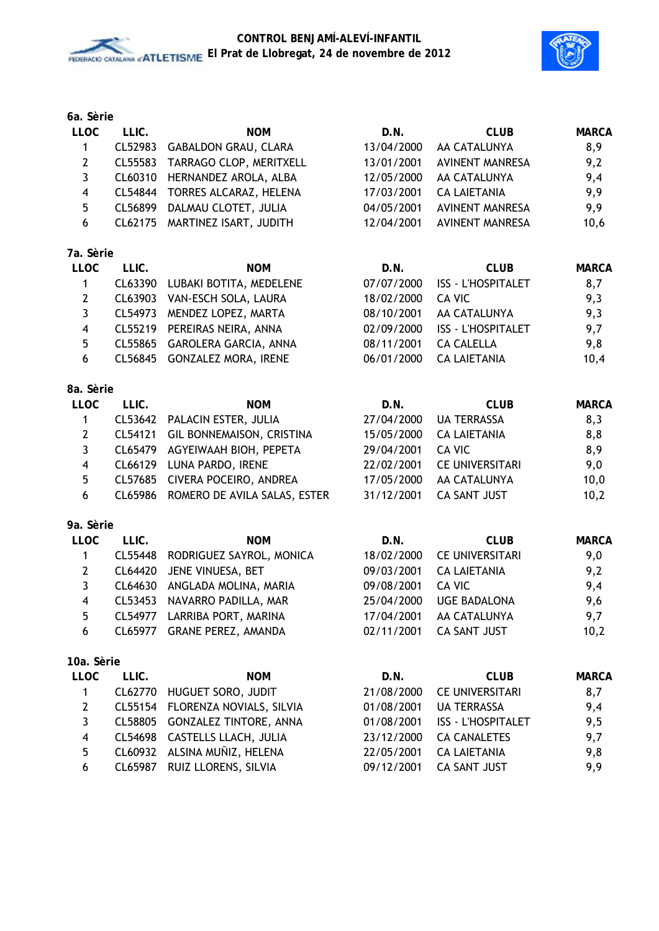

| 6a. Sèrie               |         |                               |            |                           |              |
|-------------------------|---------|-------------------------------|------------|---------------------------|--------------|
| <b>LLOC</b>             | LLIC.   | <b>NOM</b>                    | D.N.       | <b>CLUB</b>               | <b>MARCA</b> |
| 1                       | CL52983 | GABALDON GRAU, CLARA          | 13/04/2000 | AA CATALUNYA              | 8,9          |
| $\mathbf{2}$            | CL55583 | TARRAGO CLOP, MERITXELL       | 13/01/2001 | <b>AVINENT MANRESA</b>    | 9,2          |
| 3                       | CL60310 | HERNANDEZ AROLA, ALBA         | 12/05/2000 | AA CATALUNYA              | 9,4          |
| $\overline{\mathbf{4}}$ | CL54844 | TORRES ALCARAZ, HELENA        | 17/03/2001 | <b>CA LAIETANIA</b>       | 9,9          |
| 5                       | CL56899 | DALMAU CLOTET, JULIA          | 04/05/2001 | <b>AVINENT MANRESA</b>    | 9,9          |
| 6                       | CL62175 | MARTINEZ ISART, JUDITH        | 12/04/2001 | <b>AVINENT MANRESA</b>    | 10,6         |
| 7a. Sèrie               |         |                               |            |                           |              |
| LLOC                    | LLIC.   | <b>NOM</b>                    | D.N.       | <b>CLUB</b>               | <b>MARCA</b> |
| 1                       | CL63390 | LUBAKI BOTITA, MEDELENE       | 07/07/2000 | <b>ISS - L'HOSPITALET</b> | 8,7          |
| $\mathbf{2}$            | CL63903 | VAN-ESCH SOLA, LAURA          | 18/02/2000 | <b>CA VIC</b>             | 9,3          |
| $\mathbf{3}$            | CL54973 | MENDEZ LOPEZ, MARTA           | 08/10/2001 | AA CATALUNYA              | 9,3          |
| $\overline{\mathbf{4}}$ | CL55219 | PEREIRAS NEIRA, ANNA          | 02/09/2000 | <b>ISS - L'HOSPITALET</b> | 9,7          |
| 5                       | CL55865 | GAROLERA GARCIA, ANNA         | 08/11/2001 | <b>CA CALELLA</b>         | 9,8          |
| 6                       | CL56845 | GONZALEZ MORA, IRENE          | 06/01/2000 | <b>CA LAIETANIA</b>       | 10,4         |
| 8a. Sèrie               |         |                               |            |                           |              |
| <b>LLOC</b>             | LLIC.   | <b>NOM</b>                    | D.N.       | <b>CLUB</b>               | <b>MARCA</b> |
| 1                       | CL53642 | PALACIN ESTER, JULIA          | 27/04/2000 | <b>UA TERRASSA</b>        | 8,3          |
| $\mathbf{2}$            | CL54121 | GIL BONNEMAISON, CRISTINA     | 15/05/2000 | <b>CA LAIETANIA</b>       | 8,8          |
| 3                       | CL65479 | AGYEIWAAH BIOH, PEPETA        | 29/04/2001 | <b>CA VIC</b>             | 8,9          |
| $\overline{\mathbf{4}}$ | CL66129 | LUNA PARDO, IRENE             | 22/02/2001 | <b>CE UNIVERSITARI</b>    | 9,0          |
| 5                       | CL57685 | CIVERA POCEIRO, ANDREA        | 17/05/2000 | AA CATALUNYA              | 10,0         |
| 6                       | CL65986 | ROMERO DE AVILA SALAS, ESTER  | 31/12/2001 | CA SANT JUST              | 10,2         |
| 9a. Sèrie               |         |                               |            |                           |              |
| <b>LLOC</b>             | LLIC.   | <b>NOM</b>                    | D.N.       | <b>CLUB</b>               | <b>MARCA</b> |
| 1                       | CL55448 | RODRIGUEZ SAYROL, MONICA      | 18/02/2000 | <b>CE UNIVERSITARI</b>    | 9,0          |
| $\mathbf{2}$            | CL64420 | JENE VINUESA, BET             | 09/03/2001 | <b>CA LAIETANIA</b>       | 9,2          |
| $\mathbf{3}$            | CL64630 | ANGLADA MOLINA, MARIA         | 09/08/2001 | CA VIC                    | 9,4          |
| $\overline{\mathbf{4}}$ | CL53453 | NAVARRO PADILLA, MAR          | 25/04/2000 | <b>UGE BADALONA</b>       | 9,6          |
| 5                       |         | CL54977 LARRIBA PORT, MARINA  | 17/04/2001 | AA CATALUNYA              | 9,7          |
| 6                       | CL65977 | <b>GRANE PEREZ, AMANDA</b>    | 02/11/2001 | CA SANT JUST              | 10,2         |
| 10a. Sèrie              |         |                               |            |                           |              |
| <b>LLOC</b>             | LLIC.   | <b>NOM</b>                    | D.N.       | <b>CLUB</b>               | <b>MARCA</b> |
| $\mathbf 1$             | CL62770 | HUGUET SORO, JUDIT            | 21/08/2000 | <b>CE UNIVERSITARI</b>    | 8,7          |
| $\mathbf{2}$            | CL55154 | FLORENZA NOVIALS, SILVIA      | 01/08/2001 | <b>UA TERRASSA</b>        | 9,4          |
| 3                       | CL58805 | <b>GONZALEZ TINTORE, ANNA</b> | 01/08/2001 | <b>ISS - L'HOSPITALET</b> | 9,5          |
| $\overline{\mathbf{4}}$ | CL54698 | <b>CASTELLS LLACH, JULIA</b>  | 23/12/2000 | <b>CA CANALETES</b>       | 9,7          |
| $\overline{5}$          | CL60932 | ALSINA MUÑIZ, HELENA          | 22/05/2001 | <b>CA LAIETANIA</b>       | 9,8          |
| 6                       | CL65987 | RUIZ LLORENS, SILVIA          | 09/12/2001 | CA SANT JUST              | 9,9          |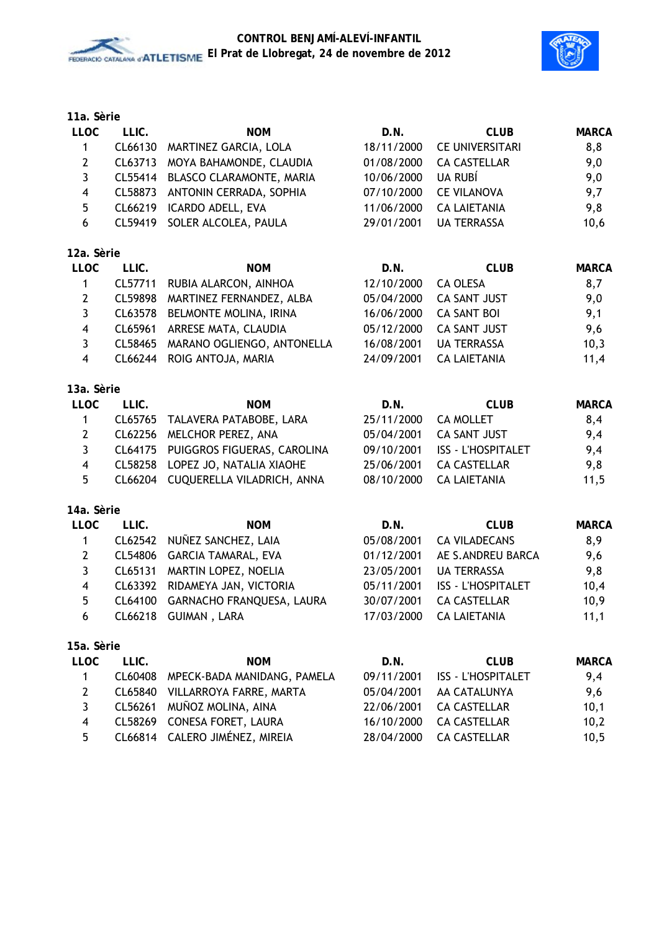

| 11a. Sèrie              |         |                                    |            |                           |                |
|-------------------------|---------|------------------------------------|------------|---------------------------|----------------|
| <b>LLOC</b>             | LLIC.   | <b>NOM</b>                         | D.N.       | <b>CLUB</b>               | <b>MARCA</b>   |
| $\mathbf 1$             | CL66130 | MARTINEZ GARCIA, LOLA              | 18/11/2000 | <b>CE UNIVERSITARI</b>    | 8,8            |
| $\overline{2}$          | CL63713 | MOYA BAHAMONDE, CLAUDIA            | 01/08/2000 | <b>CA CASTELLAR</b>       | 9,0            |
| $\overline{3}$          | CL55414 | BLASCO CLARAMONTE, MARIA           | 10/06/2000 | UA RUBÍ                   | 9,0            |
| $\overline{\mathbf{4}}$ | CL58873 | ANTONIN CERRADA, SOPHIA            | 07/10/2000 | <b>CE VILANOVA</b>        | 9,7            |
| 5                       | CL66219 | ICARDO ADELL, EVA                  | 11/06/2000 | <b>CA LAIETANIA</b>       | 9,8            |
| $6\phantom{1}6$         | CL59419 | SOLER ALCOLEA, PAULA               | 29/01/2001 | <b>UA TERRASSA</b>        | 10,6           |
| 12a. Sèrie              |         |                                    |            |                           |                |
| <b>LLOC</b>             | LLIC.   | <b>NOM</b>                         | D.N.       | <b>CLUB</b>               | <b>MARCA</b>   |
| $\mathbf{1}$            | CL57711 | RUBIA ALARCON, AINHOA              | 12/10/2000 | <b>CA OLESA</b>           | 8,7            |
| $\mathbf{2}$            | CL59898 | MARTINEZ FERNANDEZ, ALBA           | 05/04/2000 | <b>CA SANT JUST</b>       | 9,0            |
| $\overline{3}$          | CL63578 | BELMONTE MOLINA, IRINA             | 16/06/2000 | <b>CA SANT BOI</b>        | 9,1            |
| $\overline{\mathbf{4}}$ | CL65961 | ARRESE MATA, CLAUDIA               | 05/12/2000 | CA SANT JUST              | 9,6            |
| $\overline{3}$          | CL58465 | MARANO OGLIENGO, ANTONELLA         | 16/08/2001 | <b>UA TERRASSA</b>        | 10,3           |
| $\overline{\mathbf{4}}$ |         | CL66244 ROIG ANTOJA, MARIA         | 24/09/2001 | <b>CA LAIETANIA</b>       | 11,4           |
| 13a. Sèrie              |         |                                    |            |                           |                |
| <b>LLOC</b>             | LLIC.   | <b>NOM</b>                         | D.N.       | <b>CLUB</b>               | <b>MARCA</b>   |
| $\mathbf 1$             | CL65765 | TALAVERA PATABOBE, LARA            | 25/11/2000 | <b>CA MOLLET</b>          | 8,4            |
| $\overline{2}$          | CL62256 | MELCHOR PEREZ, ANA                 | 05/04/2001 | <b>CA SANT JUST</b>       | 9,4            |
| $\overline{3}$          | CL64175 | PUIGGROS FIGUERAS, CAROLINA        | 09/10/2001 | <b>ISS - L'HOSPITALET</b> | 9,4            |
| $\overline{\mathbf{4}}$ | CL58258 | LOPEZ JO, NATALIA XIAOHE           | 25/06/2001 | <b>CA CASTELLAR</b>       | 9,8            |
| 5                       |         | CL66204 CUQUERELLA VILADRICH, ANNA | 08/10/2000 | <b>CA LAIETANIA</b>       | 11,5           |
| 14a. Sèrie              |         |                                    |            |                           |                |
| <b>LLOC</b>             | LLIC.   | <b>NOM</b>                         | D.N.       | <b>CLUB</b>               | <b>MARCA</b>   |
| $\mathbf 1$             | CL62542 | NUÑEZ SANCHEZ, LAIA                | 05/08/2001 | <b>CA VILADECANS</b>      | 8,9            |
| $\overline{2}$          | CL54806 | <b>GARCIA TAMARAL, EVA</b>         | 01/12/2001 | AE S.ANDREU BARCA         | 9,6            |
| $\overline{3}$          | CL65131 | MARTIN LOPEZ, NOELIA               | 23/05/2001 | <b>UA TERRASSA</b>        | 9,8            |
| $\overline{\mathbf{4}}$ | CL63392 | RIDAMEYA JAN, VICTORIA             | 05/11/2001 | <b>ISS - L'HOSPITALET</b> | 10,4           |
| 5                       | CL64100 | GARNACHO FRANQUESA, LAURA          | 30/07/2001 | <b>CA CASTELLAR</b>       | 10,9           |
| $6\,$                   |         | CL66218 GUIMAN, LARA               | 17/03/2000 | <b>CA LAIETANIA</b>       | 11,1           |
| 15a. Sèrie              |         |                                    |            |                           |                |
| <b>LLOC</b>             | LLIC.   | <b>NOM</b>                         | D.N.       | <b>CLUB</b>               | <b>MARCA</b>   |
| $\blacktriangleleft$    |         | CLADIO MPECK RADA MANUDANC DAMELA  | 0.14412004 | $ICC$ $I'UOCDITAIET$      | 0 <sub>A</sub> |

| $1 \quad$ | CL60408 MPECK-BADA MANIDANG, PAMELA | 09/11/2001 ISS - L'HOSPITALET | 9.4  |
|-----------|-------------------------------------|-------------------------------|------|
|           | 2 CL65840 VILLARROYA FARRE, MARTA   | 05/04/2001 AA CATALUNYA       | 9,6  |
|           | 3 CL56261 MUÑOZ MOLINA, AINA        | 22/06/2001 CA CASTELLAR       | 10,1 |
|           | 4 CL58269 CONESA FORET, LAURA       | 16/10/2000 CA CASTELLAR       | 10,2 |
|           | 5 CL66814 CALERO JIMÉNEZ, MIREIA    | 28/04/2000 CA CASTELLAR       | 10,5 |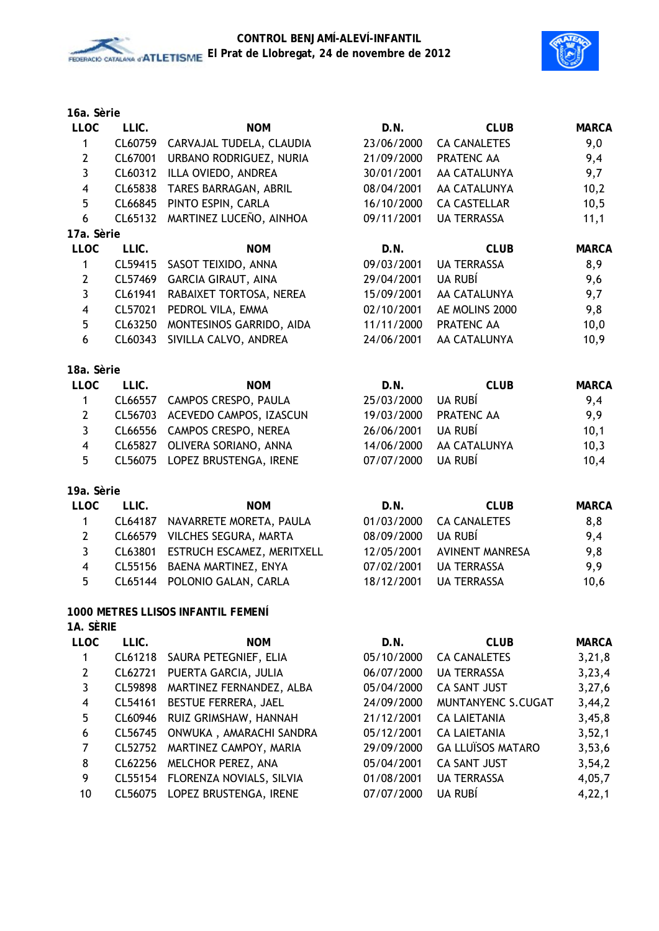

| 16a. Sèrie              |         |                                    |            |                        |              |
|-------------------------|---------|------------------------------------|------------|------------------------|--------------|
| <b>LLOC</b>             | LLIC.   | <b>NOM</b>                         | D.N.       | <b>CLUB</b>            | <b>MARCA</b> |
| 1                       | CL60759 | CARVAJAL TUDELA, CLAUDIA           | 23/06/2000 | <b>CA CANALETES</b>    | 9,0          |
| $\mathbf{2}$            | CL67001 | URBANO RODRIGUEZ, NURIA            | 21/09/2000 | PRATENC AA             | 9,4          |
| 3                       | CL60312 | ILLA OVIEDO, ANDREA                | 30/01/2001 | AA CATALUNYA           | 9,7          |
| 4                       | CL65838 | TARES BARRAGAN, ABRIL              | 08/04/2001 | AA CATALUNYA           | 10,2         |
| 5                       | CL66845 | PINTO ESPIN, CARLA                 | 16/10/2000 | <b>CA CASTELLAR</b>    | 10,5         |
| 6                       | CL65132 | MARTINEZ LUCEÑO, AINHOA            | 09/11/2001 | <b>UA TERRASSA</b>     | 11,1         |
| 17a. Sèrie              |         |                                    |            |                        |              |
| <b>LLOC</b>             | LLIC.   | <b>NOM</b>                         | D.N.       | <b>CLUB</b>            | <b>MARCA</b> |
| 1                       | CL59415 | SASOT TEIXIDO, ANNA                | 09/03/2001 | <b>UA TERRASSA</b>     | 8,9          |
| $\mathbf{2}$            | CL57469 | <b>GARCIA GIRAUT, AINA</b>         | 29/04/2001 | UA RUBÍ                | 9,6          |
| 3                       | CL61941 | RABAIXET TORTOSA, NEREA            | 15/09/2001 | AA CATALUNYA           | 9,7          |
| $\overline{\mathbf{4}}$ | CL57021 | PEDROL VILA, EMMA                  | 02/10/2001 | AE MOLINS 2000         | 9,8          |
| 5                       | CL63250 | MONTESINOS GARRIDO, AIDA           | 11/11/2000 | PRATENC AA             | 10,0         |
| 6                       | CL60343 | SIVILLA CALVO, ANDREA              | 24/06/2001 | AA CATALUNYA           | 10,9         |
| 18a. Sèrie              |         |                                    |            |                        |              |
| <b>LLOC</b>             | LLIC.   | <b>NOM</b>                         | D.N.       | <b>CLUB</b>            | <b>MARCA</b> |
| 1                       | CL66557 | CAMPOS CRESPO, PAULA               | 25/03/2000 | UA RUBÍ                | 9,4          |
| $\mathbf{2}$            | CL56703 | ACEVEDO CAMPOS, IZASCUN            | 19/03/2000 | PRATENC AA             | 9,9          |
| $\overline{3}$          | CL66556 | CAMPOS CRESPO, NEREA               | 26/06/2001 | UA RUBÍ                | 10,1         |
| 4                       | CL65827 | OLIVERA SORIANO, ANNA              | 14/06/2000 | AA CATALUNYA           | 10,3         |
| 5                       | CL56075 | LOPEZ BRUSTENGA, IRENE             | 07/07/2000 | UA RUBÍ                | 10,4         |
| 19a. Sèrie              |         |                                    |            |                        |              |
| <b>LLOC</b>             | LLIC.   | <b>NOM</b>                         | D.N.       | <b>CLUB</b>            | <b>MARCA</b> |
| $\mathbf{1}$            | CL64187 | NAVARRETE MORETA, PAULA            | 01/03/2000 | <b>CA CANALETES</b>    | 8,8          |
| $\mathbf{2}$            | CL66579 | VILCHES SEGURA, MARTA              | 08/09/2000 | UA RUBÍ                | 9,4          |
| 3                       | CL63801 | ESTRUCH ESCAMEZ, MERITXELL         | 12/05/2001 | <b>AVINENT MANRESA</b> | 9,8          |
| 4                       | CL55156 | BAENA MARTINEZ, ENYA               | 07/02/2001 | <b>UA TERRASSA</b>     | 9,9          |
| 5                       | CL65144 | POLONIO GALAN, CARLA               | 18/12/2001 | <b>UA TERRASSA</b>     | 10,6         |
|                         |         | 1000 METRES LLISOS INFANTIL FEMENÍ |            |                        |              |
| 1A. SÈRIE               |         |                                    |            |                        |              |
| <b>LLOC</b>             | LLIC.   | <b>NOM</b>                         | D.N.       | <b>CLUB</b>            | <b>MARCA</b> |
| 1                       | CL61218 | SAURA PETEGNIEF, ELIA              | 05/10/2000 | <b>CA CANALETES</b>    | 3,21,8       |
| $\mathbf 2$             | CL62721 | PUERTA GARCIA, JULIA               | 06/07/2000 | <b>UA TERRASSA</b>     | 3,23,4       |
| 3                       | CL59898 | MARTINEZ FERNANDEZ, ALBA           | 05/04/2000 | <b>CA SANT JUST</b>    | 3,27,6       |
| 4                       | CL54161 | BESTUE FERRERA, JAEL               | 24/09/2000 | MUNTANYENC S.CUGAT     | 3,44,2       |
| 5                       | CL60946 | RUIZ GRIMSHAW, HANNAH              | 21/12/2001 | <b>CA LAIETANIA</b>    | 3,45,8       |
| 6                       | CL56745 | ONWUKA, AMARACHI SANDRA            | 05/12/2001 | <b>CA LAIETANIA</b>    | 3,52,1       |

7 CL52752 MARTINEZ CAMPOY, MARIA 29/09/2000 GA LLUÏSOS MATARO 3,53,6 8 CL62256 MELCHOR PEREZ, ANA 05/04/2001 CA SANT JUST 3,54,2 9 CL55154 FLORENZA NOVIALS, SILVIA 01/08/2001 UA TERRASSA 4,05,7 10 CL56075 LOPEZ BRUSTENGA, IRENE 07/07/2000 UA RUBÍ 4,22,1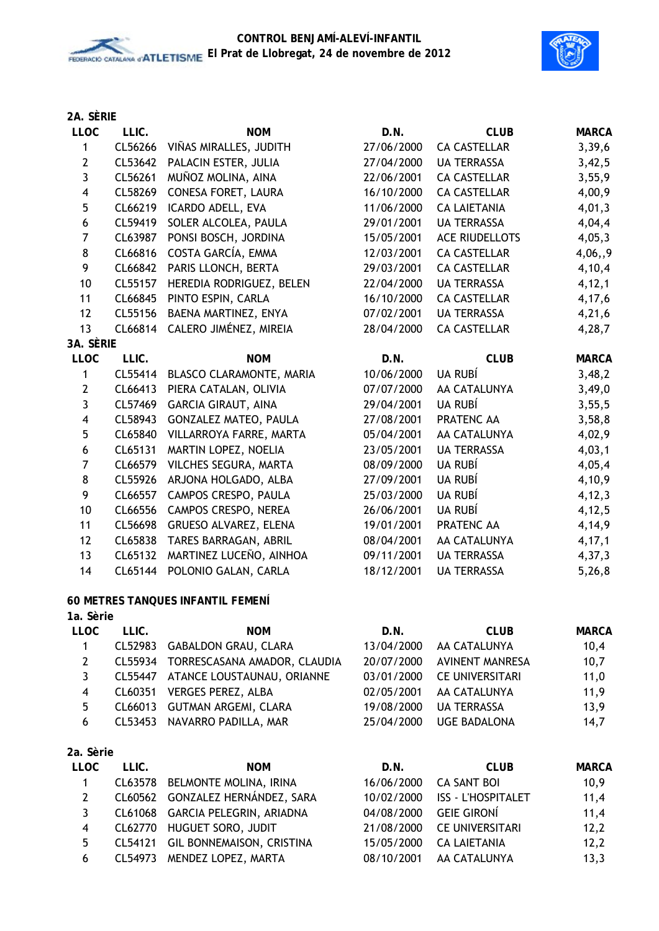

| 2A. Sèrie               |         |                                   |            |                           |              |
|-------------------------|---------|-----------------------------------|------------|---------------------------|--------------|
| <b>LLOC</b>             | LLIC.   | <b>NOM</b>                        | D.N.       | <b>CLUB</b>               | <b>MARCA</b> |
| 1                       | CL56266 | VIÑAS MIRALLES, JUDITH            | 27/06/2000 | <b>CA CASTELLAR</b>       | 3,39,6       |
| $\mathbf{2}$            | CL53642 | PALACIN ESTER, JULIA              | 27/04/2000 | <b>UA TERRASSA</b>        | 3,42,5       |
| $\overline{\mathbf{3}}$ | CL56261 | MUÑOZ MOLINA, AINA                | 22/06/2001 | <b>CA CASTELLAR</b>       | 3,55,9       |
| $\overline{\mathbf{4}}$ | CL58269 | CONESA FORET, LAURA               | 16/10/2000 | <b>CA CASTELLAR</b>       | 4,00,9       |
| 5                       | CL66219 | ICARDO ADELL, EVA                 | 11/06/2000 | <b>CA LAIETANIA</b>       | 4,01,3       |
| $\boldsymbol{6}$        | CL59419 | SOLER ALCOLEA, PAULA              | 29/01/2001 | <b>UA TERRASSA</b>        | 4,04,4       |
| $\overline{7}$          | CL63987 | PONSI BOSCH, JORDINA              | 15/05/2001 | <b>ACE RIUDELLOTS</b>     | 4,05,3       |
| 8                       | CL66816 | COSTA GARCÍA, EMMA                | 12/03/2001 | <b>CA CASTELLAR</b>       | 4,06,9       |
| 9                       | CL66842 | PARIS LLONCH, BERTA               | 29/03/2001 | <b>CA CASTELLAR</b>       | 4,10,4       |
| 10                      | CL55157 | HEREDIA RODRIGUEZ, BELEN          | 22/04/2000 | <b>UA TERRASSA</b>        | 4, 12, 1     |
| 11                      | CL66845 | PINTO ESPIN, CARLA                | 16/10/2000 | <b>CA CASTELLAR</b>       | 4,17,6       |
| 12                      | CL55156 | BAENA MARTINEZ, ENYA              | 07/02/2001 | <b>UA TERRASSA</b>        | 4,21,6       |
| 13                      | CL66814 | CALERO JIMÉNEZ, MIREIA            | 28/04/2000 | <b>CA CASTELLAR</b>       | 4,28,7       |
| 3A. SÈRIE               |         |                                   |            |                           |              |
| <b>LLOC</b>             | LLIC.   | <b>NOM</b>                        | D.N.       | <b>CLUB</b>               | <b>MARCA</b> |
| 1                       | CL55414 | BLASCO CLARAMONTE, MARIA          | 10/06/2000 | UA RUBÍ                   | 3,48,2       |
| $\mathbf{2}$            | CL66413 | PIERA CATALAN, OLIVIA             | 07/07/2000 | AA CATALUNYA              | 3,49,0       |
| 3                       | CL57469 | <b>GARCIA GIRAUT, AINA</b>        | 29/04/2001 | UA RUBÍ                   | 3,55,5       |
| $\overline{\mathbf{4}}$ | CL58943 | GONZALEZ MATEO, PAULA             | 27/08/2001 | PRATENC AA                | 3,58,8       |
| 5                       | CL65840 | VILLARROYA FARRE, MARTA           | 05/04/2001 | AA CATALUNYA              | 4,02,9       |
| $\boldsymbol{6}$        | CL65131 | MARTIN LOPEZ, NOELIA              | 23/05/2001 | <b>UA TERRASSA</b>        | 4,03,1       |
| $\overline{7}$          | CL66579 | VILCHES SEGURA, MARTA             | 08/09/2000 | UA RUBÍ                   | 4,05,4       |
| $\bf 8$                 | CL55926 | ARJONA HOLGADO, ALBA              | 27/09/2001 | UA RUBÍ                   | 4,10,9       |
| 9                       | CL66557 | CAMPOS CRESPO, PAULA              | 25/03/2000 | UA RUBÍ                   | 4, 12, 3     |
| 10                      | CL66556 | CAMPOS CRESPO, NEREA              | 26/06/2001 | UA RUBÍ                   | 4, 12, 5     |
| 11                      | CL56698 | GRUESO ALVAREZ, ELENA             | 19/01/2001 | PRATENC AA                | 4,14,9       |
| 12                      | CL65838 | TARES BARRAGAN, ABRIL             | 08/04/2001 | AA CATALUNYA              | 4, 17, 1     |
| 13                      | CL65132 | MARTINEZ LUCEÑO, AINHOA           | 09/11/2001 | <b>UA TERRASSA</b>        | 4,37,3       |
| 14                      | CL65144 | POLONIO GALAN, CARLA              | 18/12/2001 | <b>UA TERRASSA</b>        | 5,26,8       |
|                         |         | 60 METRES TANQUES INFANTIL FEMENÍ |            |                           |              |
| 1a. Sèrie               |         |                                   |            |                           |              |
| <b>LLOC</b>             | LLIC.   | <b>NOM</b>                        | D.N.       | <b>CLUB</b>               | <b>MARCA</b> |
| 1                       | CL52983 | GABALDON GRAU, CLARA              | 13/04/2000 | AA CATALUNYA              | 10,4         |
| $\mathbf{2}$            | CL55934 | TORRESCASANA AMADOR, CLAUDIA      | 20/07/2000 | <b>AVINENT MANRESA</b>    | 10,7         |
| 3                       | CL55447 | ATANCE LOUSTAUNAU, ORIANNE        | 03/01/2000 | <b>CE UNIVERSITARI</b>    | 11,0         |
| $\overline{\mathbf{4}}$ | CL60351 | <b>VERGES PEREZ, ALBA</b>         | 02/05/2001 | AA CATALUNYA              | 11,9         |
| 5                       | CL66013 | GUTMAN ARGEMI, CLARA              | 19/08/2000 | <b>UA TERRASSA</b>        | 13,9         |
| 6                       | CL53453 | NAVARRO PADILLA, MAR              | 25/04/2000 | <b>UGE BADALONA</b>       | 14,7         |
| 2a. Sèrie               |         |                                   |            |                           |              |
| <b>LLOC</b>             | LLIC.   | <b>NOM</b>                        | D.N.       | <b>CLUB</b>               | <b>MARCA</b> |
| 1                       | CL63578 | BELMONTE MOLINA, IRINA            | 16/06/2000 | <b>CA SANT BOI</b>        | 10,9         |
| $\mathbf{2}$            | CL60562 | GONZALEZ HERNÁNDEZ, SARA          | 10/02/2000 | <b>ISS - L'HOSPITALET</b> | 11,4         |
| 3                       | CL61068 | GARCIA PELEGRIN, ARIADNA          | 04/08/2000 | <b>GEIE GIRONÍ</b>        | 11,4         |
| $\overline{\mathbf{4}}$ | CL62770 | HUGUET SORO, JUDIT                | 21/08/2000 | <b>CE UNIVERSITARI</b>    | 12,2         |
| 5                       | CL54121 | GIL BONNEMAISON, CRISTINA         | 15/05/2000 | <b>CA LAIETANIA</b>       | 12,2         |
| 6                       | CL54973 | MENDEZ LOPEZ, MARTA               | 08/10/2001 | AA CATALUNYA              | 13,3         |
|                         |         |                                   |            |                           |              |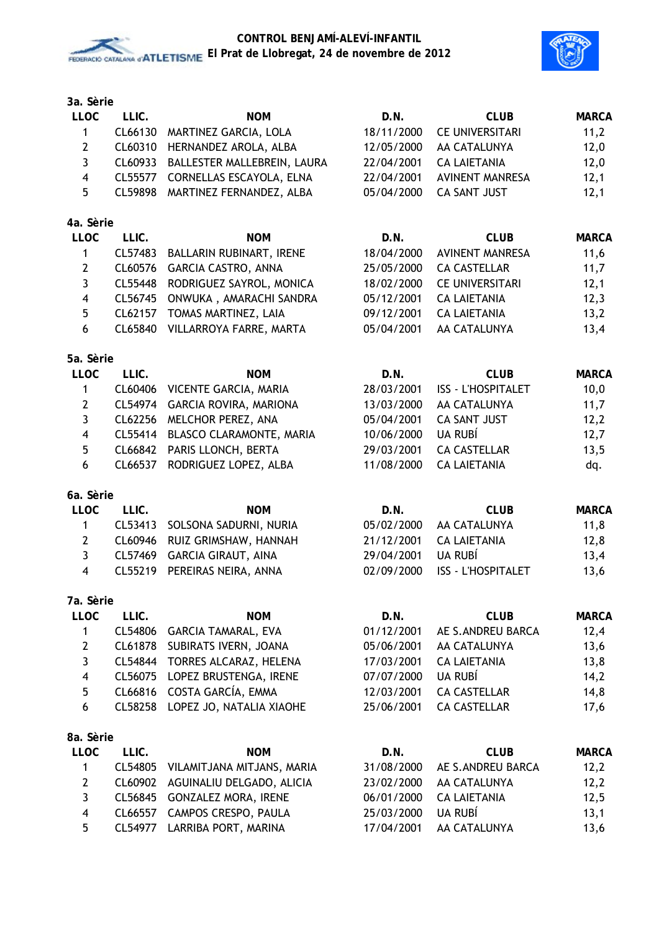



**3a. Sèrie**

| CL66130<br>MARTINEZ GARCIA, LOLA<br>18/11/2000<br><b>CE UNIVERSITARI</b><br>11,2<br>1<br>$\mathbf{2}$<br>12,0<br>CL60310<br>HERNANDEZ AROLA, ALBA<br>12/05/2000<br>AA CATALUNYA<br>3<br>12,0<br>CL60933<br>BALLESTER MALLEBREIN, LAURA<br>22/04/2001<br><b>CA LAIETANIA</b><br>CORNELLAS ESCAYOLA, ELNA<br>22/04/2001<br><b>AVINENT MANRESA</b><br>12,1<br>4<br>CL55577<br>5<br>12,1<br>CL59898<br>MARTINEZ FERNANDEZ, ALBA<br>05/04/2000<br><b>CA SANT JUST</b><br>4a. Sèrie<br>D.N.<br><b>LLOC</b><br>LLIC.<br><b>NOM</b><br><b>CLUB</b><br><b>MARCA</b><br>CL57483<br>BALLARIN RUBINART, IRENE<br>18/04/2000<br>11,6<br>1<br><b>AVINENT MANRESA</b><br>$\mathbf{2}$<br>11,7<br>CL60576<br>GARCIA CASTRO, ANNA<br>25/05/2000<br><b>CA CASTELLAR</b><br>3<br>RODRIGUEZ SAYROL, MONICA<br>CL55448<br>18/02/2000<br><b>CE UNIVERSITARI</b><br>12,1<br>4<br>CL56745<br>ONWUKA, AMARACHI SANDRA<br>05/12/2001<br><b>CA LAIETANIA</b><br>12,3<br>5<br>09/12/2001<br>CL62157<br>TOMAS MARTINEZ, LAIA<br><b>CA LAIETANIA</b><br>13,2<br>VILLARROYA FARRE, MARTA<br>13,4<br>6<br>CL65840<br>05/04/2001<br>AA CATALUNYA<br>5a. Sèrie<br><b>LLOC</b><br>D.N.<br>LLIC.<br><b>NOM</b><br><b>CLUB</b><br><b>MARCA</b><br>28/03/2001<br>10,0<br>$\mathbf{1}$<br>CL60406<br>VICENTE GARCIA, MARIA<br><b>ISS - L'HOSPITALET</b><br>$\mathbf{2}$<br>GARCIA ROVIRA, MARIONA<br>CL54974<br>13/03/2000<br>AA CATALUNYA<br>11,7<br>$\mathbf{3}$<br>CL62256<br>MELCHOR PEREZ, ANA<br>05/04/2001<br><b>CA SANT JUST</b><br>12,2<br>$\overline{\mathbf{4}}$<br>UA RUBÍ<br>CL55414<br>BLASCO CLARAMONTE, MARIA<br>10/06/2000<br>12,7<br>5<br>PARIS LLONCH, BERTA<br>29/03/2001<br>13,5<br>CL66842<br><b>CA CASTELLAR</b><br>RODRIGUEZ LOPEZ, ALBA<br>6<br>CL66537<br>11/08/2000<br><b>CA LAIETANIA</b><br>dq.<br>6a. Sèrie<br><b>LLOC</b><br>LLIC.<br><b>NOM</b><br>D.N.<br><b>CLUB</b><br><b>MARCA</b><br>05/02/2000<br>$\mathbf{1}$<br>CL53413<br>SOLSONA SADURNI, NURIA<br>AA CATALUNYA<br>11,8<br>RUIZ GRIMSHAW, HANNAH<br>$\overline{2}$<br>CL60946<br>21/12/2001<br><b>CA LAIETANIA</b><br>12,8<br>3<br><b>GARCIA GIRAUT, AINA</b><br>UA RUBÍ<br>13,4<br>CL57469<br>29/04/2001<br>4<br>PEREIRAS NEIRA, ANNA<br>13,6<br>02/09/2000<br><b>ISS - L'HOSPITALET</b><br>CL55219<br>7a. Sèrie<br><b>NOM</b><br>D.N.<br><b>CLUB</b><br>LLIC.<br><b>MARCA</b><br><b>LLOC</b><br>CL54806<br>GARCIA TAMARAL, EVA<br>01/12/2001<br>AE S.ANDREU BARCA<br>12,4<br>$\mathbf{1}$<br>$\mathbf{2}$<br>SUBIRATS IVERN, JOANA<br>05/06/2001<br>13,6<br>CL61878<br>AA CATALUNYA<br>3<br>CL54844<br>TORRES ALCARAZ, HELENA<br>17/03/2001<br><b>CA LAIETANIA</b><br>13,8<br>4<br>CL56075<br>LOPEZ BRUSTENGA, IRENE<br>07/07/2000<br>UA RUBÍ<br>14,2<br>5<br>COSTA GARCÍA, EMMA<br>14,8<br>CL66816<br>12/03/2001<br><b>CA CASTELLAR</b><br>LOPEZ JO, NATALIA XIAOHE<br><b>CA CASTELLAR</b><br>6<br>CL58258<br>25/06/2001<br>17,6<br>8a. Sèrie<br><b>LLOC</b><br>LLIC.<br><b>NOM</b><br>D.N.<br><b>CLUB</b><br><b>MARCA</b><br>31/08/2000<br>AE S.ANDREU BARCA<br>1<br>CL54805<br>VILAMITJANA MITJANS, MARIA<br>12,2<br>$\mathbf{2}$<br>CL60902<br>AGUINALIU DELGADO, ALICIA<br>23/02/2000<br>AA CATALUNYA<br>12,2<br>3<br>GONZALEZ MORA, IRENE<br>06/01/2000<br><b>CA LAIETANIA</b><br>12,5<br>CL56845<br>UA RUBÍ<br>4<br>CL66557<br>CAMPOS CRESPO, PAULA<br>25/03/2000<br>13,1<br>5<br>LARRIBA PORT, MARINA<br>17/04/2001<br>AA CATALUNYA<br>13,6<br>CL54977 | <b>LLOC</b> | LLIC. | <b>NOM</b> | D.N. | <b>CLUB</b> | <b>MARCA</b> |
|---------------------------------------------------------------------------------------------------------------------------------------------------------------------------------------------------------------------------------------------------------------------------------------------------------------------------------------------------------------------------------------------------------------------------------------------------------------------------------------------------------------------------------------------------------------------------------------------------------------------------------------------------------------------------------------------------------------------------------------------------------------------------------------------------------------------------------------------------------------------------------------------------------------------------------------------------------------------------------------------------------------------------------------------------------------------------------------------------------------------------------------------------------------------------------------------------------------------------------------------------------------------------------------------------------------------------------------------------------------------------------------------------------------------------------------------------------------------------------------------------------------------------------------------------------------------------------------------------------------------------------------------------------------------------------------------------------------------------------------------------------------------------------------------------------------------------------------------------------------------------------------------------------------------------------------------------------------------------------------------------------------------------------------------------------------------------------------------------------------------------------------------------------------------------------------------------------------------------------------------------------------------------------------------------------------------------------------------------------------------------------------------------------------------------------------------------------------------------------------------------------------------------------------------------------------------------------------------------------------------------------------------------------------------------------------------------------------------------------------------------------------------------------------------------------------------------------------------------------------------------------------------------------------------------------------------------------------------------------------------------------------------------------------------------------------------------------------------------------------------------------------------------------------------------------------------------------------------------------------------------------------------------------------------------------------------------------------------------------------------------------------------------------------------|-------------|-------|------------|------|-------------|--------------|
|                                                                                                                                                                                                                                                                                                                                                                                                                                                                                                                                                                                                                                                                                                                                                                                                                                                                                                                                                                                                                                                                                                                                                                                                                                                                                                                                                                                                                                                                                                                                                                                                                                                                                                                                                                                                                                                                                                                                                                                                                                                                                                                                                                                                                                                                                                                                                                                                                                                                                                                                                                                                                                                                                                                                                                                                                                                                                                                                                                                                                                                                                                                                                                                                                                                                                                                                                                                                                     |             |       |            |      |             |              |
|                                                                                                                                                                                                                                                                                                                                                                                                                                                                                                                                                                                                                                                                                                                                                                                                                                                                                                                                                                                                                                                                                                                                                                                                                                                                                                                                                                                                                                                                                                                                                                                                                                                                                                                                                                                                                                                                                                                                                                                                                                                                                                                                                                                                                                                                                                                                                                                                                                                                                                                                                                                                                                                                                                                                                                                                                                                                                                                                                                                                                                                                                                                                                                                                                                                                                                                                                                                                                     |             |       |            |      |             |              |
|                                                                                                                                                                                                                                                                                                                                                                                                                                                                                                                                                                                                                                                                                                                                                                                                                                                                                                                                                                                                                                                                                                                                                                                                                                                                                                                                                                                                                                                                                                                                                                                                                                                                                                                                                                                                                                                                                                                                                                                                                                                                                                                                                                                                                                                                                                                                                                                                                                                                                                                                                                                                                                                                                                                                                                                                                                                                                                                                                                                                                                                                                                                                                                                                                                                                                                                                                                                                                     |             |       |            |      |             |              |
|                                                                                                                                                                                                                                                                                                                                                                                                                                                                                                                                                                                                                                                                                                                                                                                                                                                                                                                                                                                                                                                                                                                                                                                                                                                                                                                                                                                                                                                                                                                                                                                                                                                                                                                                                                                                                                                                                                                                                                                                                                                                                                                                                                                                                                                                                                                                                                                                                                                                                                                                                                                                                                                                                                                                                                                                                                                                                                                                                                                                                                                                                                                                                                                                                                                                                                                                                                                                                     |             |       |            |      |             |              |
|                                                                                                                                                                                                                                                                                                                                                                                                                                                                                                                                                                                                                                                                                                                                                                                                                                                                                                                                                                                                                                                                                                                                                                                                                                                                                                                                                                                                                                                                                                                                                                                                                                                                                                                                                                                                                                                                                                                                                                                                                                                                                                                                                                                                                                                                                                                                                                                                                                                                                                                                                                                                                                                                                                                                                                                                                                                                                                                                                                                                                                                                                                                                                                                                                                                                                                                                                                                                                     |             |       |            |      |             |              |
|                                                                                                                                                                                                                                                                                                                                                                                                                                                                                                                                                                                                                                                                                                                                                                                                                                                                                                                                                                                                                                                                                                                                                                                                                                                                                                                                                                                                                                                                                                                                                                                                                                                                                                                                                                                                                                                                                                                                                                                                                                                                                                                                                                                                                                                                                                                                                                                                                                                                                                                                                                                                                                                                                                                                                                                                                                                                                                                                                                                                                                                                                                                                                                                                                                                                                                                                                                                                                     |             |       |            |      |             |              |
|                                                                                                                                                                                                                                                                                                                                                                                                                                                                                                                                                                                                                                                                                                                                                                                                                                                                                                                                                                                                                                                                                                                                                                                                                                                                                                                                                                                                                                                                                                                                                                                                                                                                                                                                                                                                                                                                                                                                                                                                                                                                                                                                                                                                                                                                                                                                                                                                                                                                                                                                                                                                                                                                                                                                                                                                                                                                                                                                                                                                                                                                                                                                                                                                                                                                                                                                                                                                                     |             |       |            |      |             |              |
|                                                                                                                                                                                                                                                                                                                                                                                                                                                                                                                                                                                                                                                                                                                                                                                                                                                                                                                                                                                                                                                                                                                                                                                                                                                                                                                                                                                                                                                                                                                                                                                                                                                                                                                                                                                                                                                                                                                                                                                                                                                                                                                                                                                                                                                                                                                                                                                                                                                                                                                                                                                                                                                                                                                                                                                                                                                                                                                                                                                                                                                                                                                                                                                                                                                                                                                                                                                                                     |             |       |            |      |             |              |
|                                                                                                                                                                                                                                                                                                                                                                                                                                                                                                                                                                                                                                                                                                                                                                                                                                                                                                                                                                                                                                                                                                                                                                                                                                                                                                                                                                                                                                                                                                                                                                                                                                                                                                                                                                                                                                                                                                                                                                                                                                                                                                                                                                                                                                                                                                                                                                                                                                                                                                                                                                                                                                                                                                                                                                                                                                                                                                                                                                                                                                                                                                                                                                                                                                                                                                                                                                                                                     |             |       |            |      |             |              |
|                                                                                                                                                                                                                                                                                                                                                                                                                                                                                                                                                                                                                                                                                                                                                                                                                                                                                                                                                                                                                                                                                                                                                                                                                                                                                                                                                                                                                                                                                                                                                                                                                                                                                                                                                                                                                                                                                                                                                                                                                                                                                                                                                                                                                                                                                                                                                                                                                                                                                                                                                                                                                                                                                                                                                                                                                                                                                                                                                                                                                                                                                                                                                                                                                                                                                                                                                                                                                     |             |       |            |      |             |              |
|                                                                                                                                                                                                                                                                                                                                                                                                                                                                                                                                                                                                                                                                                                                                                                                                                                                                                                                                                                                                                                                                                                                                                                                                                                                                                                                                                                                                                                                                                                                                                                                                                                                                                                                                                                                                                                                                                                                                                                                                                                                                                                                                                                                                                                                                                                                                                                                                                                                                                                                                                                                                                                                                                                                                                                                                                                                                                                                                                                                                                                                                                                                                                                                                                                                                                                                                                                                                                     |             |       |            |      |             |              |
|                                                                                                                                                                                                                                                                                                                                                                                                                                                                                                                                                                                                                                                                                                                                                                                                                                                                                                                                                                                                                                                                                                                                                                                                                                                                                                                                                                                                                                                                                                                                                                                                                                                                                                                                                                                                                                                                                                                                                                                                                                                                                                                                                                                                                                                                                                                                                                                                                                                                                                                                                                                                                                                                                                                                                                                                                                                                                                                                                                                                                                                                                                                                                                                                                                                                                                                                                                                                                     |             |       |            |      |             |              |
|                                                                                                                                                                                                                                                                                                                                                                                                                                                                                                                                                                                                                                                                                                                                                                                                                                                                                                                                                                                                                                                                                                                                                                                                                                                                                                                                                                                                                                                                                                                                                                                                                                                                                                                                                                                                                                                                                                                                                                                                                                                                                                                                                                                                                                                                                                                                                                                                                                                                                                                                                                                                                                                                                                                                                                                                                                                                                                                                                                                                                                                                                                                                                                                                                                                                                                                                                                                                                     |             |       |            |      |             |              |
|                                                                                                                                                                                                                                                                                                                                                                                                                                                                                                                                                                                                                                                                                                                                                                                                                                                                                                                                                                                                                                                                                                                                                                                                                                                                                                                                                                                                                                                                                                                                                                                                                                                                                                                                                                                                                                                                                                                                                                                                                                                                                                                                                                                                                                                                                                                                                                                                                                                                                                                                                                                                                                                                                                                                                                                                                                                                                                                                                                                                                                                                                                                                                                                                                                                                                                                                                                                                                     |             |       |            |      |             |              |
|                                                                                                                                                                                                                                                                                                                                                                                                                                                                                                                                                                                                                                                                                                                                                                                                                                                                                                                                                                                                                                                                                                                                                                                                                                                                                                                                                                                                                                                                                                                                                                                                                                                                                                                                                                                                                                                                                                                                                                                                                                                                                                                                                                                                                                                                                                                                                                                                                                                                                                                                                                                                                                                                                                                                                                                                                                                                                                                                                                                                                                                                                                                                                                                                                                                                                                                                                                                                                     |             |       |            |      |             |              |
|                                                                                                                                                                                                                                                                                                                                                                                                                                                                                                                                                                                                                                                                                                                                                                                                                                                                                                                                                                                                                                                                                                                                                                                                                                                                                                                                                                                                                                                                                                                                                                                                                                                                                                                                                                                                                                                                                                                                                                                                                                                                                                                                                                                                                                                                                                                                                                                                                                                                                                                                                                                                                                                                                                                                                                                                                                                                                                                                                                                                                                                                                                                                                                                                                                                                                                                                                                                                                     |             |       |            |      |             |              |
|                                                                                                                                                                                                                                                                                                                                                                                                                                                                                                                                                                                                                                                                                                                                                                                                                                                                                                                                                                                                                                                                                                                                                                                                                                                                                                                                                                                                                                                                                                                                                                                                                                                                                                                                                                                                                                                                                                                                                                                                                                                                                                                                                                                                                                                                                                                                                                                                                                                                                                                                                                                                                                                                                                                                                                                                                                                                                                                                                                                                                                                                                                                                                                                                                                                                                                                                                                                                                     |             |       |            |      |             |              |
|                                                                                                                                                                                                                                                                                                                                                                                                                                                                                                                                                                                                                                                                                                                                                                                                                                                                                                                                                                                                                                                                                                                                                                                                                                                                                                                                                                                                                                                                                                                                                                                                                                                                                                                                                                                                                                                                                                                                                                                                                                                                                                                                                                                                                                                                                                                                                                                                                                                                                                                                                                                                                                                                                                                                                                                                                                                                                                                                                                                                                                                                                                                                                                                                                                                                                                                                                                                                                     |             |       |            |      |             |              |
|                                                                                                                                                                                                                                                                                                                                                                                                                                                                                                                                                                                                                                                                                                                                                                                                                                                                                                                                                                                                                                                                                                                                                                                                                                                                                                                                                                                                                                                                                                                                                                                                                                                                                                                                                                                                                                                                                                                                                                                                                                                                                                                                                                                                                                                                                                                                                                                                                                                                                                                                                                                                                                                                                                                                                                                                                                                                                                                                                                                                                                                                                                                                                                                                                                                                                                                                                                                                                     |             |       |            |      |             |              |
|                                                                                                                                                                                                                                                                                                                                                                                                                                                                                                                                                                                                                                                                                                                                                                                                                                                                                                                                                                                                                                                                                                                                                                                                                                                                                                                                                                                                                                                                                                                                                                                                                                                                                                                                                                                                                                                                                                                                                                                                                                                                                                                                                                                                                                                                                                                                                                                                                                                                                                                                                                                                                                                                                                                                                                                                                                                                                                                                                                                                                                                                                                                                                                                                                                                                                                                                                                                                                     |             |       |            |      |             |              |
|                                                                                                                                                                                                                                                                                                                                                                                                                                                                                                                                                                                                                                                                                                                                                                                                                                                                                                                                                                                                                                                                                                                                                                                                                                                                                                                                                                                                                                                                                                                                                                                                                                                                                                                                                                                                                                                                                                                                                                                                                                                                                                                                                                                                                                                                                                                                                                                                                                                                                                                                                                                                                                                                                                                                                                                                                                                                                                                                                                                                                                                                                                                                                                                                                                                                                                                                                                                                                     |             |       |            |      |             |              |
|                                                                                                                                                                                                                                                                                                                                                                                                                                                                                                                                                                                                                                                                                                                                                                                                                                                                                                                                                                                                                                                                                                                                                                                                                                                                                                                                                                                                                                                                                                                                                                                                                                                                                                                                                                                                                                                                                                                                                                                                                                                                                                                                                                                                                                                                                                                                                                                                                                                                                                                                                                                                                                                                                                                                                                                                                                                                                                                                                                                                                                                                                                                                                                                                                                                                                                                                                                                                                     |             |       |            |      |             |              |
|                                                                                                                                                                                                                                                                                                                                                                                                                                                                                                                                                                                                                                                                                                                                                                                                                                                                                                                                                                                                                                                                                                                                                                                                                                                                                                                                                                                                                                                                                                                                                                                                                                                                                                                                                                                                                                                                                                                                                                                                                                                                                                                                                                                                                                                                                                                                                                                                                                                                                                                                                                                                                                                                                                                                                                                                                                                                                                                                                                                                                                                                                                                                                                                                                                                                                                                                                                                                                     |             |       |            |      |             |              |
|                                                                                                                                                                                                                                                                                                                                                                                                                                                                                                                                                                                                                                                                                                                                                                                                                                                                                                                                                                                                                                                                                                                                                                                                                                                                                                                                                                                                                                                                                                                                                                                                                                                                                                                                                                                                                                                                                                                                                                                                                                                                                                                                                                                                                                                                                                                                                                                                                                                                                                                                                                                                                                                                                                                                                                                                                                                                                                                                                                                                                                                                                                                                                                                                                                                                                                                                                                                                                     |             |       |            |      |             |              |
|                                                                                                                                                                                                                                                                                                                                                                                                                                                                                                                                                                                                                                                                                                                                                                                                                                                                                                                                                                                                                                                                                                                                                                                                                                                                                                                                                                                                                                                                                                                                                                                                                                                                                                                                                                                                                                                                                                                                                                                                                                                                                                                                                                                                                                                                                                                                                                                                                                                                                                                                                                                                                                                                                                                                                                                                                                                                                                                                                                                                                                                                                                                                                                                                                                                                                                                                                                                                                     |             |       |            |      |             |              |
|                                                                                                                                                                                                                                                                                                                                                                                                                                                                                                                                                                                                                                                                                                                                                                                                                                                                                                                                                                                                                                                                                                                                                                                                                                                                                                                                                                                                                                                                                                                                                                                                                                                                                                                                                                                                                                                                                                                                                                                                                                                                                                                                                                                                                                                                                                                                                                                                                                                                                                                                                                                                                                                                                                                                                                                                                                                                                                                                                                                                                                                                                                                                                                                                                                                                                                                                                                                                                     |             |       |            |      |             |              |
|                                                                                                                                                                                                                                                                                                                                                                                                                                                                                                                                                                                                                                                                                                                                                                                                                                                                                                                                                                                                                                                                                                                                                                                                                                                                                                                                                                                                                                                                                                                                                                                                                                                                                                                                                                                                                                                                                                                                                                                                                                                                                                                                                                                                                                                                                                                                                                                                                                                                                                                                                                                                                                                                                                                                                                                                                                                                                                                                                                                                                                                                                                                                                                                                                                                                                                                                                                                                                     |             |       |            |      |             |              |
|                                                                                                                                                                                                                                                                                                                                                                                                                                                                                                                                                                                                                                                                                                                                                                                                                                                                                                                                                                                                                                                                                                                                                                                                                                                                                                                                                                                                                                                                                                                                                                                                                                                                                                                                                                                                                                                                                                                                                                                                                                                                                                                                                                                                                                                                                                                                                                                                                                                                                                                                                                                                                                                                                                                                                                                                                                                                                                                                                                                                                                                                                                                                                                                                                                                                                                                                                                                                                     |             |       |            |      |             |              |
|                                                                                                                                                                                                                                                                                                                                                                                                                                                                                                                                                                                                                                                                                                                                                                                                                                                                                                                                                                                                                                                                                                                                                                                                                                                                                                                                                                                                                                                                                                                                                                                                                                                                                                                                                                                                                                                                                                                                                                                                                                                                                                                                                                                                                                                                                                                                                                                                                                                                                                                                                                                                                                                                                                                                                                                                                                                                                                                                                                                                                                                                                                                                                                                                                                                                                                                                                                                                                     |             |       |            |      |             |              |
|                                                                                                                                                                                                                                                                                                                                                                                                                                                                                                                                                                                                                                                                                                                                                                                                                                                                                                                                                                                                                                                                                                                                                                                                                                                                                                                                                                                                                                                                                                                                                                                                                                                                                                                                                                                                                                                                                                                                                                                                                                                                                                                                                                                                                                                                                                                                                                                                                                                                                                                                                                                                                                                                                                                                                                                                                                                                                                                                                                                                                                                                                                                                                                                                                                                                                                                                                                                                                     |             |       |            |      |             |              |
|                                                                                                                                                                                                                                                                                                                                                                                                                                                                                                                                                                                                                                                                                                                                                                                                                                                                                                                                                                                                                                                                                                                                                                                                                                                                                                                                                                                                                                                                                                                                                                                                                                                                                                                                                                                                                                                                                                                                                                                                                                                                                                                                                                                                                                                                                                                                                                                                                                                                                                                                                                                                                                                                                                                                                                                                                                                                                                                                                                                                                                                                                                                                                                                                                                                                                                                                                                                                                     |             |       |            |      |             |              |
|                                                                                                                                                                                                                                                                                                                                                                                                                                                                                                                                                                                                                                                                                                                                                                                                                                                                                                                                                                                                                                                                                                                                                                                                                                                                                                                                                                                                                                                                                                                                                                                                                                                                                                                                                                                                                                                                                                                                                                                                                                                                                                                                                                                                                                                                                                                                                                                                                                                                                                                                                                                                                                                                                                                                                                                                                                                                                                                                                                                                                                                                                                                                                                                                                                                                                                                                                                                                                     |             |       |            |      |             |              |
|                                                                                                                                                                                                                                                                                                                                                                                                                                                                                                                                                                                                                                                                                                                                                                                                                                                                                                                                                                                                                                                                                                                                                                                                                                                                                                                                                                                                                                                                                                                                                                                                                                                                                                                                                                                                                                                                                                                                                                                                                                                                                                                                                                                                                                                                                                                                                                                                                                                                                                                                                                                                                                                                                                                                                                                                                                                                                                                                                                                                                                                                                                                                                                                                                                                                                                                                                                                                                     |             |       |            |      |             |              |
|                                                                                                                                                                                                                                                                                                                                                                                                                                                                                                                                                                                                                                                                                                                                                                                                                                                                                                                                                                                                                                                                                                                                                                                                                                                                                                                                                                                                                                                                                                                                                                                                                                                                                                                                                                                                                                                                                                                                                                                                                                                                                                                                                                                                                                                                                                                                                                                                                                                                                                                                                                                                                                                                                                                                                                                                                                                                                                                                                                                                                                                                                                                                                                                                                                                                                                                                                                                                                     |             |       |            |      |             |              |
|                                                                                                                                                                                                                                                                                                                                                                                                                                                                                                                                                                                                                                                                                                                                                                                                                                                                                                                                                                                                                                                                                                                                                                                                                                                                                                                                                                                                                                                                                                                                                                                                                                                                                                                                                                                                                                                                                                                                                                                                                                                                                                                                                                                                                                                                                                                                                                                                                                                                                                                                                                                                                                                                                                                                                                                                                                                                                                                                                                                                                                                                                                                                                                                                                                                                                                                                                                                                                     |             |       |            |      |             |              |
|                                                                                                                                                                                                                                                                                                                                                                                                                                                                                                                                                                                                                                                                                                                                                                                                                                                                                                                                                                                                                                                                                                                                                                                                                                                                                                                                                                                                                                                                                                                                                                                                                                                                                                                                                                                                                                                                                                                                                                                                                                                                                                                                                                                                                                                                                                                                                                                                                                                                                                                                                                                                                                                                                                                                                                                                                                                                                                                                                                                                                                                                                                                                                                                                                                                                                                                                                                                                                     |             |       |            |      |             |              |
|                                                                                                                                                                                                                                                                                                                                                                                                                                                                                                                                                                                                                                                                                                                                                                                                                                                                                                                                                                                                                                                                                                                                                                                                                                                                                                                                                                                                                                                                                                                                                                                                                                                                                                                                                                                                                                                                                                                                                                                                                                                                                                                                                                                                                                                                                                                                                                                                                                                                                                                                                                                                                                                                                                                                                                                                                                                                                                                                                                                                                                                                                                                                                                                                                                                                                                                                                                                                                     |             |       |            |      |             |              |
|                                                                                                                                                                                                                                                                                                                                                                                                                                                                                                                                                                                                                                                                                                                                                                                                                                                                                                                                                                                                                                                                                                                                                                                                                                                                                                                                                                                                                                                                                                                                                                                                                                                                                                                                                                                                                                                                                                                                                                                                                                                                                                                                                                                                                                                                                                                                                                                                                                                                                                                                                                                                                                                                                                                                                                                                                                                                                                                                                                                                                                                                                                                                                                                                                                                                                                                                                                                                                     |             |       |            |      |             |              |
|                                                                                                                                                                                                                                                                                                                                                                                                                                                                                                                                                                                                                                                                                                                                                                                                                                                                                                                                                                                                                                                                                                                                                                                                                                                                                                                                                                                                                                                                                                                                                                                                                                                                                                                                                                                                                                                                                                                                                                                                                                                                                                                                                                                                                                                                                                                                                                                                                                                                                                                                                                                                                                                                                                                                                                                                                                                                                                                                                                                                                                                                                                                                                                                                                                                                                                                                                                                                                     |             |       |            |      |             |              |
|                                                                                                                                                                                                                                                                                                                                                                                                                                                                                                                                                                                                                                                                                                                                                                                                                                                                                                                                                                                                                                                                                                                                                                                                                                                                                                                                                                                                                                                                                                                                                                                                                                                                                                                                                                                                                                                                                                                                                                                                                                                                                                                                                                                                                                                                                                                                                                                                                                                                                                                                                                                                                                                                                                                                                                                                                                                                                                                                                                                                                                                                                                                                                                                                                                                                                                                                                                                                                     |             |       |            |      |             |              |
|                                                                                                                                                                                                                                                                                                                                                                                                                                                                                                                                                                                                                                                                                                                                                                                                                                                                                                                                                                                                                                                                                                                                                                                                                                                                                                                                                                                                                                                                                                                                                                                                                                                                                                                                                                                                                                                                                                                                                                                                                                                                                                                                                                                                                                                                                                                                                                                                                                                                                                                                                                                                                                                                                                                                                                                                                                                                                                                                                                                                                                                                                                                                                                                                                                                                                                                                                                                                                     |             |       |            |      |             |              |
|                                                                                                                                                                                                                                                                                                                                                                                                                                                                                                                                                                                                                                                                                                                                                                                                                                                                                                                                                                                                                                                                                                                                                                                                                                                                                                                                                                                                                                                                                                                                                                                                                                                                                                                                                                                                                                                                                                                                                                                                                                                                                                                                                                                                                                                                                                                                                                                                                                                                                                                                                                                                                                                                                                                                                                                                                                                                                                                                                                                                                                                                                                                                                                                                                                                                                                                                                                                                                     |             |       |            |      |             |              |
|                                                                                                                                                                                                                                                                                                                                                                                                                                                                                                                                                                                                                                                                                                                                                                                                                                                                                                                                                                                                                                                                                                                                                                                                                                                                                                                                                                                                                                                                                                                                                                                                                                                                                                                                                                                                                                                                                                                                                                                                                                                                                                                                                                                                                                                                                                                                                                                                                                                                                                                                                                                                                                                                                                                                                                                                                                                                                                                                                                                                                                                                                                                                                                                                                                                                                                                                                                                                                     |             |       |            |      |             |              |
|                                                                                                                                                                                                                                                                                                                                                                                                                                                                                                                                                                                                                                                                                                                                                                                                                                                                                                                                                                                                                                                                                                                                                                                                                                                                                                                                                                                                                                                                                                                                                                                                                                                                                                                                                                                                                                                                                                                                                                                                                                                                                                                                                                                                                                                                                                                                                                                                                                                                                                                                                                                                                                                                                                                                                                                                                                                                                                                                                                                                                                                                                                                                                                                                                                                                                                                                                                                                                     |             |       |            |      |             |              |
|                                                                                                                                                                                                                                                                                                                                                                                                                                                                                                                                                                                                                                                                                                                                                                                                                                                                                                                                                                                                                                                                                                                                                                                                                                                                                                                                                                                                                                                                                                                                                                                                                                                                                                                                                                                                                                                                                                                                                                                                                                                                                                                                                                                                                                                                                                                                                                                                                                                                                                                                                                                                                                                                                                                                                                                                                                                                                                                                                                                                                                                                                                                                                                                                                                                                                                                                                                                                                     |             |       |            |      |             |              |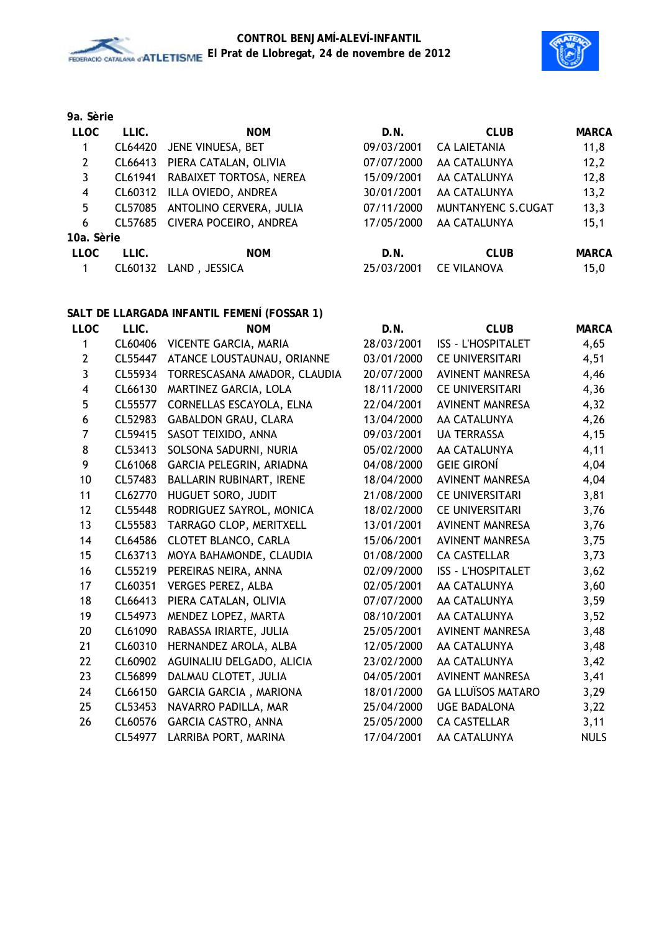

| 9a. Sèrie   |         |                                |            |                     |              |
|-------------|---------|--------------------------------|------------|---------------------|--------------|
| <b>LLOC</b> | LLIC.   | <b>NOM</b>                     | D.N.       | <b>CLUB</b>         | <b>MARCA</b> |
| 1           | CL64420 | JENE VINUESA, BET              | 09/03/2001 | <b>CA LAIETANIA</b> | 11,8         |
| 2           | CL66413 | PIERA CATALAN, OLIVIA          | 07/07/2000 | AA CATALUNYA        | 12,2         |
| 3           | CL61941 | RABAIXET TORTOSA, NEREA        | 15/09/2001 | AA CATALUNYA        | 12,8         |
| 4           | CL60312 | ILLA OVIEDO, ANDREA            | 30/01/2001 | AA CATALUNYA        | 13,2         |
| 5           | CL57085 | ANTOLINO CERVERA, JULIA        | 07/11/2000 | MUNTANYENC S.CUGAT  | 13,3         |
| 6           |         | CL57685 CIVERA POCEIRO, ANDREA | 17/05/2000 | AA CATALUNYA        | 15,1         |
| 10a. Sèrie  |         |                                |            |                     |              |
| <b>LLOC</b> | LLIC.   | <b>NOM</b>                     | D.N.       | <b>CLUB</b>         | <b>MARCA</b> |
| 1           | CL60132 | LAND, JESSICA                  | 25/03/2001 | <b>CE VILANOVA</b>  | 15,0         |

| SALT DE LLARGADA INFANTIL FEMENÍ (FOSSAR 1) |  |
|---------------------------------------------|--|
|---------------------------------------------|--|

| <b>LLOC</b>             | LLIC.   | <b>NOM</b>                    | D.N.       | <b>CLUB</b>               | <b>MARCA</b> |
|-------------------------|---------|-------------------------------|------------|---------------------------|--------------|
| 1                       | CL60406 | VICENTE GARCIA, MARIA         | 28/03/2001 | <b>ISS - L'HOSPITALET</b> | 4,65         |
| $\overline{2}$          | CL55447 | ATANCE LOUSTAUNAU, ORIANNE    | 03/01/2000 | <b>CE UNIVERSITARI</b>    | 4,51         |
| 3                       | CL55934 | TORRESCASANA AMADOR, CLAUDIA  | 20/07/2000 | <b>AVINENT MANRESA</b>    | 4,46         |
| $\overline{\mathbf{4}}$ | CL66130 | MARTINEZ GARCIA, LOLA         | 18/11/2000 | <b>CE UNIVERSITARI</b>    | 4,36         |
| 5                       | CL55577 | CORNELLAS ESCAYOLA, ELNA      | 22/04/2001 | <b>AVINENT MANRESA</b>    | 4,32         |
| 6                       | CL52983 | <b>GABALDON GRAU, CLARA</b>   | 13/04/2000 | AA CATALUNYA              | 4,26         |
| $\overline{7}$          | CL59415 | SASOT TEIXIDO, ANNA           | 09/03/2001 | <b>UA TERRASSA</b>        | 4,15         |
| 8                       | CL53413 | SOLSONA SADURNI, NURIA        | 05/02/2000 | AA CATALUNYA              | 4,11         |
| 9                       | CL61068 | GARCIA PELEGRIN, ARIADNA      | 04/08/2000 | <b>GEIE GIRONÍ</b>        | 4,04         |
| 10                      | CL57483 | BALLARIN RUBINART, IRENE      | 18/04/2000 | <b>AVINENT MANRESA</b>    | 4,04         |
| 11                      | CL62770 | HUGUET SORO, JUDIT            | 21/08/2000 | <b>CE UNIVERSITARI</b>    | 3,81         |
| 12                      | CL55448 | RODRIGUEZ SAYROL, MONICA      | 18/02/2000 | <b>CE UNIVERSITARI</b>    | 3,76         |
| 13                      | CL55583 | TARRAGO CLOP, MERITXELL       | 13/01/2001 | <b>AVINENT MANRESA</b>    | 3,76         |
| 14                      | CL64586 | <b>CLOTET BLANCO, CARLA</b>   | 15/06/2001 | <b>AVINENT MANRESA</b>    | 3,75         |
| 15                      | CL63713 | MOYA BAHAMONDE, CLAUDIA       | 01/08/2000 | <b>CA CASTELLAR</b>       | 3,73         |
| 16                      | CL55219 | PEREIRAS NEIRA, ANNA          | 02/09/2000 | <b>ISS - L'HOSPITALET</b> | 3,62         |
| 17                      | CL60351 | <b>VERGES PEREZ, ALBA</b>     | 02/05/2001 | AA CATALUNYA              | 3,60         |
| 18                      | CL66413 | PIERA CATALAN, OLIVIA         | 07/07/2000 | AA CATALUNYA              | 3,59         |
| 19                      | CL54973 | MENDEZ LOPEZ, MARTA           | 08/10/2001 | AA CATALUNYA              | 3,52         |
| 20                      | CL61090 | RABASSA IRIARTE, JULIA        | 25/05/2001 | <b>AVINENT MANRESA</b>    | 3,48         |
| 21                      | CL60310 | HERNANDEZ AROLA, ALBA         | 12/05/2000 | AA CATALUNYA              | 3,48         |
| 22                      | CL60902 | AGUINALIU DELGADO, ALICIA     | 23/02/2000 | AA CATALUNYA              | 3,42         |
| 23                      | CL56899 | DALMAU CLOTET, JULIA          | 04/05/2001 | <b>AVINENT MANRESA</b>    | 3,41         |
| 24                      | CL66150 | <b>GARCIA GARCIA, MARIONA</b> | 18/01/2000 | <b>GA LLUÏSOS MATARO</b>  | 3,29         |
| 25                      | CL53453 | NAVARRO PADILLA, MAR          | 25/04/2000 | <b>UGE BADALONA</b>       | 3,22         |
| 26                      | CL60576 | GARCIA CASTRO, ANNA           | 25/05/2000 | <b>CA CASTELLAR</b>       | 3,11         |
|                         | CL54977 | LARRIBA PORT, MARINA          | 17/04/2001 | AA CATALUNYA              | <b>NULS</b>  |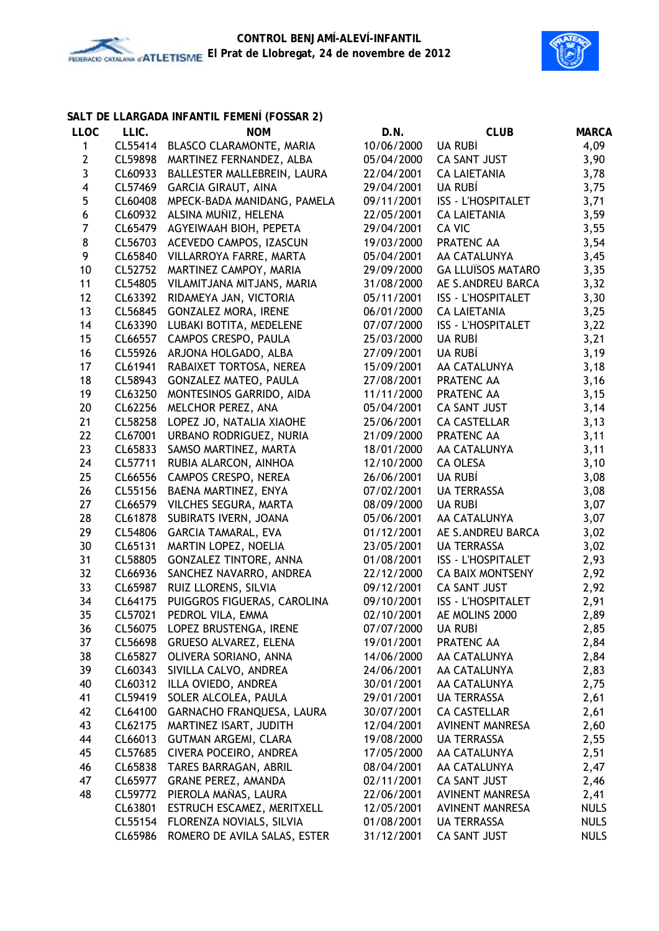

# **SALT DE LLARGADA INFANTIL FEMENÍ (FOSSAR 2)**

| <b>LLOC</b>             | LLIC.   | <b>NOM</b>                         | D.N.       | <b>CLUB</b>               | <b>MARCA</b> |
|-------------------------|---------|------------------------------------|------------|---------------------------|--------------|
| 1                       |         | CL55414 BLASCO CLARAMONTE, MARIA   | 10/06/2000 | UA RUBÍ                   | 4,09         |
| 2                       | CL59898 | MARTINEZ FERNANDEZ, ALBA           | 05/04/2000 | CA SANT JUST              | 3,90         |
| $\mathbf{3}$            | CL60933 | BALLESTER MALLEBREIN, LAURA        | 22/04/2001 | <b>CA LAIETANIA</b>       | 3,78         |
| $\overline{\mathbf{4}}$ | CL57469 | <b>GARCIA GIRAUT, AINA</b>         | 29/04/2001 | UA RUBÍ                   | 3,75         |
| 5                       | CL60408 | MPECK-BADA MANIDANG, PAMELA        | 09/11/2001 | <b>ISS - L'HOSPITALET</b> | 3,71         |
| 6                       | CL60932 | ALSINA MUÑIZ, HELENA               | 22/05/2001 | <b>CA LAIETANIA</b>       | 3,59         |
| $\overline{7}$          | CL65479 | AGYEIWAAH BIOH, PEPETA             | 29/04/2001 | CA VIC                    | 3,55         |
| 8                       | CL56703 | ACEVEDO CAMPOS, IZASCUN            | 19/03/2000 | PRATENC AA                | 3,54         |
| 9                       | CL65840 | VILLARROYA FARRE, MARTA            | 05/04/2001 | AA CATALUNYA              | 3,45         |
| 10                      |         | CL52752 MARTINEZ CAMPOY, MARIA     | 29/09/2000 | <b>GA LLUISOS MATARO</b>  | 3,35         |
| 11                      |         | CL54805 VILAMITJANA MITJANS, MARIA | 31/08/2000 | AE S.ANDREU BARCA         | 3,32         |
| 12                      |         | CL63392 RIDAMEYA JAN, VICTORIA     | 05/11/2001 | <b>ISS - L'HOSPITALET</b> | 3,30         |
| 13                      | CL56845 | <b>GONZALEZ MORA, IRENE</b>        | 06/01/2000 | <b>CA LAIETANIA</b>       | 3,25         |
| 14                      | CL63390 | LUBAKI BOTITA, MEDELENE            | 07/07/2000 | <b>ISS - L'HOSPITALET</b> | 3,22         |
| 15                      | CL66557 | CAMPOS CRESPO, PAULA               | 25/03/2000 | UA RUBÍ                   | 3,21         |
| 16                      | CL55926 | ARJONA HOLGADO, ALBA               | 27/09/2001 | UA RUBÍ                   | 3,19         |
| 17                      | CL61941 | RABAIXET TORTOSA, NEREA            | 15/09/2001 | AA CATALUNYA              | 3,18         |
| 18                      | CL58943 | <b>GONZALEZ MATEO, PAULA</b>       | 27/08/2001 | PRATENC AA                | 3,16         |
| 19                      | CL63250 | MONTESINOS GARRIDO, AIDA           | 11/11/2000 | PRATENC AA                | 3,15         |
| 20                      | CL62256 | MELCHOR PEREZ, ANA                 | 05/04/2001 | CA SANT JUST              | 3,14         |
| 21                      | CL58258 | LOPEZ JO, NATALIA XIAOHE           | 25/06/2001 | <b>CA CASTELLAR</b>       | 3,13         |
| 22                      | CL67001 | URBANO RODRIGUEZ, NURIA            | 21/09/2000 | PRATENC AA                | 3,11         |
| 23                      | CL65833 | SAMSO MARTINEZ, MARTA              | 18/01/2000 | AA CATALUNYA              | 3,11         |
| 24                      | CL57711 | RUBIA ALARCON, AINHOA              | 12/10/2000 | CA OLESA                  | 3,10         |
| 25                      | CL66556 | CAMPOS CRESPO, NEREA               | 26/06/2001 | UA RUBÍ                   | 3,08         |
| 26                      | CL55156 | BAENA MARTINEZ, ENYA               | 07/02/2001 | <b>UA TERRASSA</b>        | 3,08         |
| 27                      | CL66579 | VILCHES SEGURA, MARTA              | 08/09/2000 | UA RUBÍ                   | 3,07         |
| 28                      | CL61878 | SUBIRATS IVERN, JOANA              | 05/06/2001 | AA CATALUNYA              | 3,07         |
| 29                      | CL54806 | <b>GARCIA TAMARAL, EVA</b>         | 01/12/2001 | AE S.ANDREU BARCA         | 3,02         |
| 30                      | CL65131 | MARTIN LOPEZ, NOELIA               | 23/05/2001 | <b>UA TERRASSA</b>        | 3,02         |
| 31                      | CL58805 | GONZALEZ TINTORE, ANNA             | 01/08/2001 | <b>ISS - L'HOSPITALET</b> | 2,93         |
| 32                      | CL66936 | SANCHEZ NAVARRO, ANDREA            | 22/12/2000 | <b>CA BAIX MONTSENY</b>   | 2,92         |
| 33                      | CL65987 | RUIZ LLORENS, SILVIA               | 09/12/2001 | CA SANT JUST              | 2,92         |
| 34                      | CL64175 | PUIGGROS FIGUERAS, CAROLINA        | 09/10/2001 | <b>ISS - L'HOSPITALET</b> | 2,91         |
| 35                      | CL57021 | PEDROL VILA, EMMA                  | 02/10/2001 | AE MOLINS 2000            | 2,89         |
| 36                      | CL56075 | LOPEZ BRUSTENGA, IRENE             | 07/07/2000 | UA RUBÍ                   | 2,85         |
| 37                      | CL56698 | GRUESO ALVAREZ, ELENA              | 19/01/2001 | PRATENC AA                | 2,84         |
| 38                      | CL65827 | OLIVERA SORIANO, ANNA              | 14/06/2000 | AA CATALUNYA              | 2,84         |
| 39                      | CL60343 | SIVILLA CALVO, ANDREA              | 24/06/2001 | AA CATALUNYA              | 2,83         |
| 40                      | CL60312 | ILLA OVIEDO, ANDREA                | 30/01/2001 | AA CATALUNYA              | 2,75         |
| 41                      | CL59419 | SOLER ALCOLEA, PAULA               | 29/01/2001 | UA TERRASSA               | 2,61         |
| 42                      | CL64100 | GARNACHO FRANQUESA, LAURA          | 30/07/2001 | <b>CA CASTELLAR</b>       | 2,61         |
| 43                      | CL62175 | MARTINEZ ISART, JUDITH             | 12/04/2001 | <b>AVINENT MANRESA</b>    | 2,60         |
| 44                      | CL66013 | GUTMAN ARGEMI, CLARA               | 19/08/2000 | <b>UA TERRASSA</b>        | 2,55         |
| 45                      | CL57685 | CIVERA POCEIRO, ANDREA             | 17/05/2000 | AA CATALUNYA              | 2,51         |
| 46                      | CL65838 | TARES BARRAGAN, ABRIL              | 08/04/2001 | AA CATALUNYA              | 2,47         |
| 47                      | CL65977 | <b>GRANE PEREZ, AMANDA</b>         | 02/11/2001 | CA SANT JUST              | 2,46         |
| 48                      | CL59772 | PIEROLA MAÑAS, LAURA               | 22/06/2001 | <b>AVINENT MANRESA</b>    | 2,41         |
|                         | CL63801 | ESTRUCH ESCAMEZ, MERITXELL         | 12/05/2001 | <b>AVINENT MANRESA</b>    | <b>NULS</b>  |
|                         | CL55154 | FLORENZA NOVIALS, SILVIA           | 01/08/2001 | <b>UA TERRASSA</b>        | <b>NULS</b>  |
|                         | CL65986 | ROMERO DE AVILA SALAS, ESTER       | 31/12/2001 | <b>CA SANT JUST</b>       | <b>NULS</b>  |
|                         |         |                                    |            |                           |              |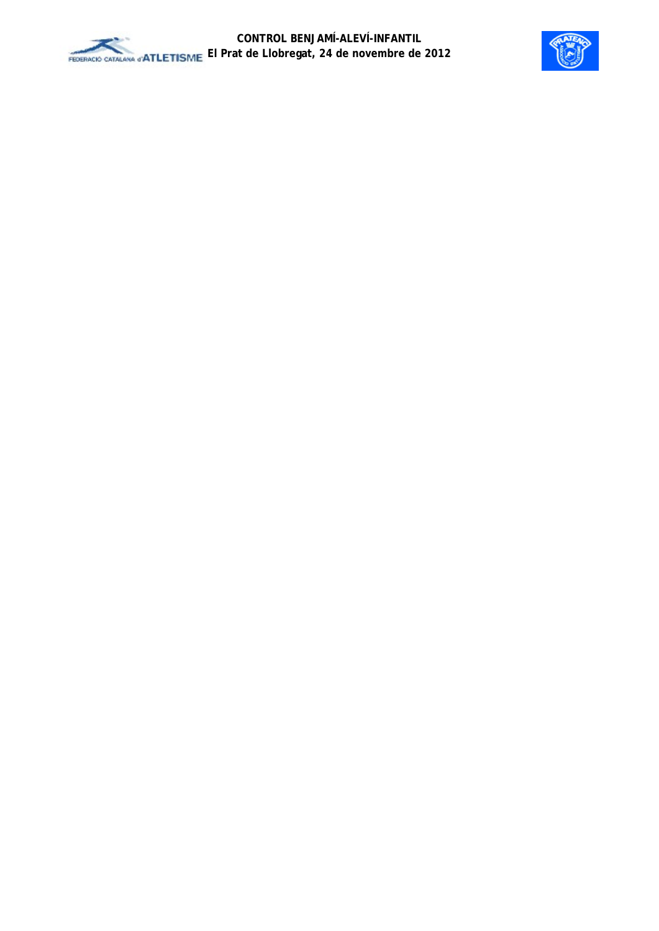

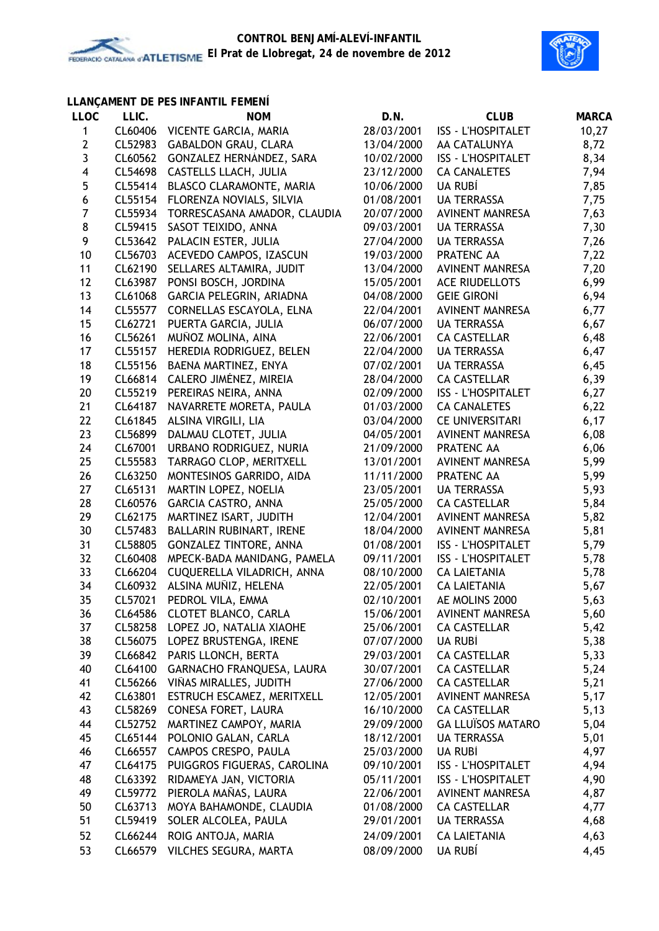

## **LLANÇAMENT DE PES INFANTIL FEMENÍ**

| <b>LLOC</b>  | LLIC.   | <b>NOM</b>                    | D.N.       | <b>CLUB</b>               | <b>MARCA</b> |
|--------------|---------|-------------------------------|------------|---------------------------|--------------|
| 1            | CL60406 | VICENTE GARCIA, MARIA         | 28/03/2001 | <b>ISS - L'HOSPITALET</b> | 10,27        |
| $\mathbf{2}$ | CL52983 | <b>GABALDON GRAU, CLARA</b>   | 13/04/2000 | AA CATALUNYA              | 8,72         |
| 3            | CL60562 | GONZALEZ HERNÁNDEZ, SARA      | 10/02/2000 | <b>ISS - L'HOSPITALET</b> | 8,34         |
| 4            | CL54698 | CASTELLS LLACH, JULIA         | 23/12/2000 | <b>CA CANALETES</b>       | 7,94         |
| 5            | CL55414 | BLASCO CLARAMONTE, MARIA      | 10/06/2000 | UA RUBÍ                   | 7,85         |
| 6            | CL55154 | FLORENZA NOVIALS, SILVIA      | 01/08/2001 | <b>UA TERRASSA</b>        | 7,75         |
| 7            | CL55934 | TORRESCASANA AMADOR, CLAUDIA  | 20/07/2000 | <b>AVINENT MANRESA</b>    | 7,63         |
| 8            | CL59415 | SASOT TEIXIDO, ANNA           | 09/03/2001 | <b>UA TERRASSA</b>        | 7,30         |
| 9            | CL53642 | PALACIN ESTER, JULIA          | 27/04/2000 | <b>UA TERRASSA</b>        | 7,26         |
| 10           | CL56703 | ACEVEDO CAMPOS, IZASCUN       | 19/03/2000 | PRATENC AA                | 7,22         |
| 11           | CL62190 | SELLARES ALTAMIRA, JUDIT      | 13/04/2000 | <b>AVINENT MANRESA</b>    | 7,20         |
| 12           | CL63987 | PONSI BOSCH, JORDINA          | 15/05/2001 | ACE RIUDELLOTS            | 6,99         |
| 13           | CL61068 | GARCIA PELEGRIN, ARIADNA      | 04/08/2000 | <b>GEIE GIRONÍ</b>        | 6,94         |
| 14           | CL55577 | CORNELLAS ESCAYOLA, ELNA      | 22/04/2001 | <b>AVINENT MANRESA</b>    | 6,77         |
| 15           | CL62721 | PUERTA GARCIA, JULIA          | 06/07/2000 | <b>UA TERRASSA</b>        | 6,67         |
|              |         |                               | 22/06/2001 |                           |              |
| 16           | CL56261 | MUÑOZ MOLINA, AINA            |            | <b>CA CASTELLAR</b>       | 6,48         |
| 17           | CL55157 | HEREDIA RODRIGUEZ, BELEN      | 22/04/2000 | <b>UA TERRASSA</b>        | 6,47         |
| 18           | CL55156 | BAENA MARTINEZ, ENYA          | 07/02/2001 | <b>UA TERRASSA</b>        | 6,45         |
| 19           | CL66814 | CALERO JIMÉNEZ, MIREIA        | 28/04/2000 | <b>CA CASTELLAR</b>       | 6,39         |
| 20           | CL55219 | PEREIRAS NEIRA, ANNA          | 02/09/2000 | <b>ISS - L'HOSPITALET</b> | 6,27         |
| 21           | CL64187 | NAVARRETE MORETA, PAULA       | 01/03/2000 | <b>CA CANALETES</b>       | 6,22         |
| 22           | CL61845 | ALSINA VIRGILI, LIA           | 03/04/2000 | <b>CE UNIVERSITARI</b>    | 6,17         |
| 23           | CL56899 | DALMAU CLOTET, JULIA          | 04/05/2001 | <b>AVINENT MANRESA</b>    | 6,08         |
| 24           | CL67001 | URBANO RODRIGUEZ, NURIA       | 21/09/2000 | PRATENC AA                | 6,06         |
| 25           | CL55583 | TARRAGO CLOP, MERITXELL       | 13/01/2001 | <b>AVINENT MANRESA</b>    | 5,99         |
| 26           | CL63250 | MONTESINOS GARRIDO, AIDA      | 11/11/2000 | PRATENC AA                | 5,99         |
| 27           | CL65131 | MARTIN LOPEZ, NOELIA          | 23/05/2001 | <b>UA TERRASSA</b>        | 5,93         |
| 28           | CL60576 | GARCIA CASTRO, ANNA           | 25/05/2000 | <b>CA CASTELLAR</b>       | 5,84         |
| 29           | CL62175 | MARTINEZ ISART, JUDITH        | 12/04/2001 | AVINENT MANRESA           | 5,82         |
| 30           | CL57483 | BALLARIN RUBINART, IRENE      | 18/04/2000 | <b>AVINENT MANRESA</b>    | 5,81         |
| 31           | CL58805 | <b>GONZALEZ TINTORE, ANNA</b> | 01/08/2001 | <b>ISS - L'HOSPITALET</b> | 5,79         |
| 32           | CL60408 | MPECK-BADA MANIDANG, PAMELA   | 09/11/2001 | <b>ISS - L'HOSPITALET</b> | 5,78         |
| 33           | CL66204 | CUQUERELLA VILADRICH, ANNA    | 08/10/2000 | <b>CA LAIETANIA</b>       | 5,78         |
| 34           | CL60932 | ALSINA MUÑIZ, HELENA          | 22/05/2001 | <b>CA LAIETANIA</b>       | 5,67         |
| 35           | CL57021 | PEDROL VILA, EMMA             | 02/10/2001 | AE MOLINS 2000            | 5,63         |
| 36           | CL64586 | <b>CLOTET BLANCO, CARLA</b>   | 15/06/2001 | <b>AVINENT MANRESA</b>    | 5,60         |
| 37           | CL58258 | LOPEZ JO, NATALIA XIAOHE      | 25/06/2001 | <b>CA CASTELLAR</b>       | 5,42         |
| 38           | CL56075 | LOPEZ BRUSTENGA, IRENE        | 07/07/2000 | UA RUBÍ                   | 5,38         |
| 39           | CL66842 | PARIS LLONCH, BERTA           | 29/03/2001 | <b>CA CASTELLAR</b>       | 5,33         |
| 40           | CL64100 | GARNACHO FRANQUESA, LAURA     | 30/07/2001 | <b>CA CASTELLAR</b>       | 5,24         |
| 41           | CL56266 | VIÑAS MIRALLES, JUDITH        | 27/06/2000 | <b>CA CASTELLAR</b>       | 5,21         |
| 42           | CL63801 | ESTRUCH ESCAMEZ, MERITXELL    | 12/05/2001 | <b>AVINENT MANRESA</b>    | 5,17         |
| 43           | CL58269 | CONESA FORET, LAURA           | 16/10/2000 | <b>CA CASTELLAR</b>       | 5,13         |
| 44           | CL52752 | MARTINEZ CAMPOY, MARIA        | 29/09/2000 | <b>GA LLUÏSOS MATARO</b>  | 5,04         |
| 45           | CL65144 | POLONIO GALAN, CARLA          | 18/12/2001 | <b>UA TERRASSA</b>        | 5,01         |
| 46           | CL66557 | CAMPOS CRESPO, PAULA          | 25/03/2000 | UA RUBÍ                   | 4,97         |
| 47           | CL64175 | PUIGGROS FIGUERAS, CAROLINA   | 09/10/2001 | <b>ISS - L'HOSPITALET</b> | 4,94         |
| 48           | CL63392 | RIDAMEYA JAN, VICTORIA        | 05/11/2001 | ISS - L'HOSPITALET        | 4,90         |
| 49           | CL59772 | PIEROLA MAÑAS, LAURA          | 22/06/2001 | AVINENT MANRESA           | 4,87         |
| 50           | CL63713 | MOYA BAHAMONDE, CLAUDIA       | 01/08/2000 | <b>CA CASTELLAR</b>       | 4,77         |
| 51           | CL59419 | SOLER ALCOLEA, PAULA          | 29/01/2001 | UA TERRASSA               | 4,68         |
|              |         |                               |            |                           |              |
| 52           | CL66244 | ROIG ANTOJA, MARIA            | 24/09/2001 | <b>CA LAIETANIA</b>       | 4,63         |
| 53           | CL66579 | VILCHES SEGURA, MARTA         | 08/09/2000 | UA RUBÍ                   | 4,45         |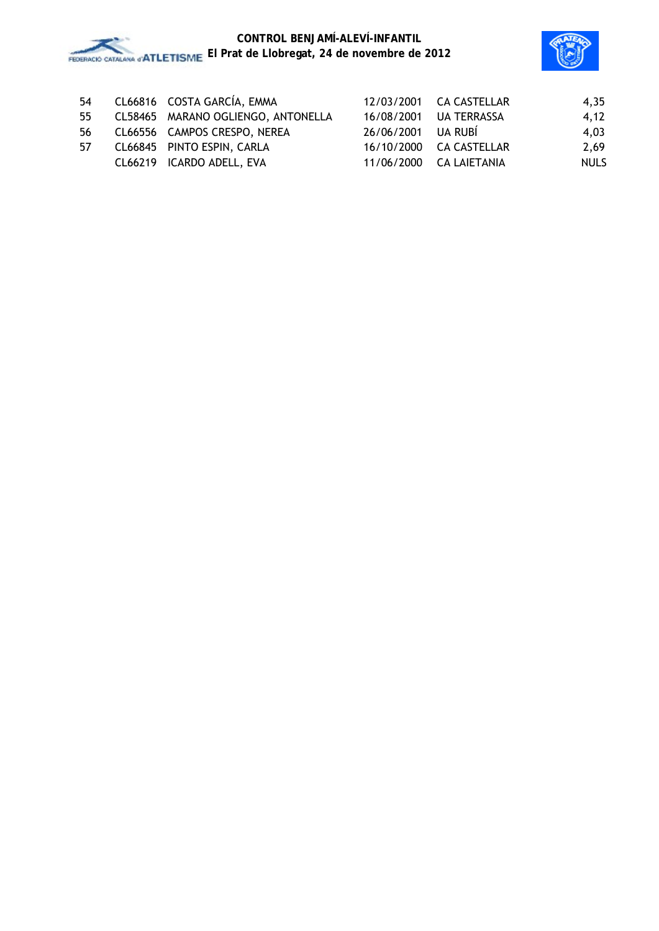

|    | 54 CL66816 COSTA GARCÍA, EMMA      |                    | 12/03/2001 CA CASTELLAR | 4,35        |
|----|------------------------------------|--------------------|-------------------------|-------------|
| 55 | CL58465 MARANO OGLIENGO, ANTONELLA |                    | 16/08/2001 UA TERRASSA  | 4.12        |
|    | 56 CL66556 CAMPOS CRESPO, NEREA    | 26/06/2001 UA RUBÍ |                         | 4.03        |
| 57 | CL66845 PINTO ESPIN, CARLA         |                    | 16/10/2000 CA CASTELLAR | 2,69        |
|    | CL66219 ICARDO ADELL, EVA          |                    | 11/06/2000 CA LAIETANIA | <b>NULS</b> |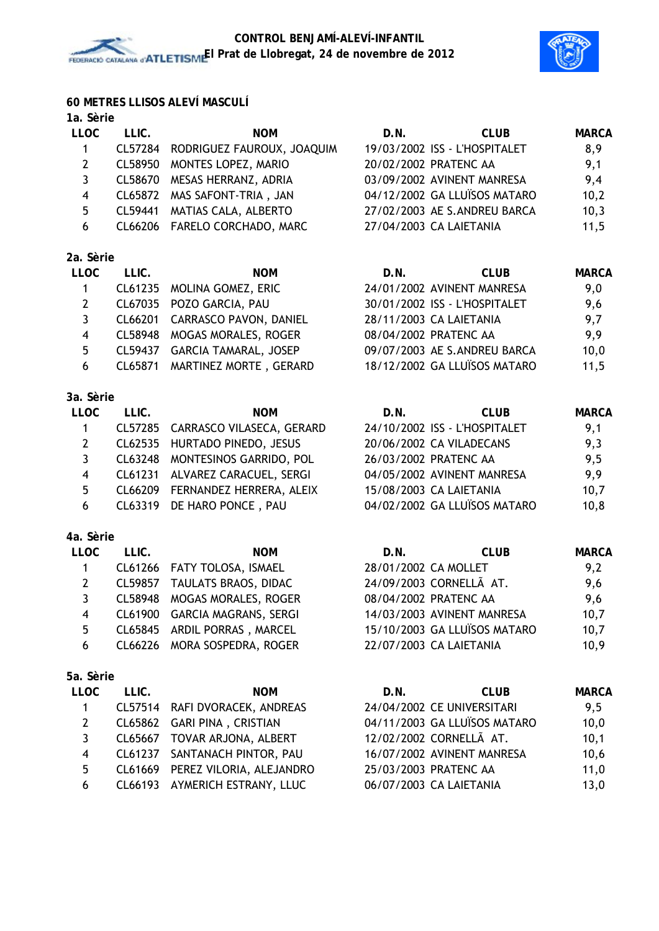

### **60 METRES LLISOS ALEVÍ MASCULÍ**

# **1a. Sèrie**

| <b>LLOC</b> | LLIC. | <b>NOM</b>                         | D.N.                    | <b>CLUB</b>                   | <b>MARCA</b> |
|-------------|-------|------------------------------------|-------------------------|-------------------------------|--------------|
|             |       | CL57284 RODRIGUEZ FAUROUX, JOAQUIM |                         | 19/03/2002 ISS - L'HOSPITALET | 8,9          |
|             |       | CL58950 MONTES LOPEZ, MARIO        | 20/02/2002 PRATENC AA   |                               | 9,1          |
|             |       | CL58670 MESAS HERRANZ, ADRIA       |                         | 03/09/2002 AVINENT MANRESA    | 9,4          |
| 4           |       | CL65872 MAS SAFONT-TRIA, JAN       |                         | 04/12/2002 GA LLUÏSOS MATARO  | 10,2         |
| 5.          |       | CL59441 MATIAS CALA, ALBERTO       |                         | 27/02/2003 AE S.ANDREU BARCA  | 10,3         |
| 6           |       | CL66206 FARELO CORCHADO, MARC      | 27/04/2003 CA LAIETANIA |                               | 11,5         |
|             |       |                                    |                         |                               |              |

#### **2a. Sèrie**

| LLOC         | LLIC. | <b>NOM</b>                     | D.N.                    | <b>CLUB</b>                   | <b>MARCA</b> |
|--------------|-------|--------------------------------|-------------------------|-------------------------------|--------------|
| $\mathbf{1}$ |       | CL61235 MOLINA GOMEZ, ERIC     |                         | 24/01/2002 AVINENT MANRESA    | 9,0          |
| 2            |       | CL67035 POZO GARCIA, PAU       |                         | 30/01/2002 ISS - L'HOSPITALET | 9,6          |
|              |       | CL66201 CARRASCO PAVON, DANIEL | 28/11/2003 CA LAIETANIA |                               | 9,7          |
| 4            |       | CL58948 MOGAS MORALES, ROGER   | 08/04/2002 PRATENC AA   |                               | 9,9          |
| 5.           |       | CL59437 GARCIA TAMARAL, JOSEP  |                         | 09/07/2003 AE S.ANDREU BARCA  | 10,0         |
| 6            |       | CL65871 MARTINEZ MORTE, GERARD |                         | 18/12/2002 GA LLUÏSOS MATARO  | 11,5         |
|              |       |                                |                         |                               |              |

# **3a. Sèrie**

| <b>LLOC</b> | LLIC. | <b>NOM</b>                        | D.N.                     | <b>CLUB</b>                   | <b>MARCA</b> |
|-------------|-------|-----------------------------------|--------------------------|-------------------------------|--------------|
|             |       | CL57285 CARRASCO VILASECA, GERARD |                          | 24/10/2002 ISS - L'HOSPITALET | 9,1          |
|             |       | CL62535 HURTADO PINEDO, JESUS     | 20/06/2002 CA VILADECANS |                               | 9,3          |
|             |       | CL63248 MONTESINOS GARRIDO, POL   | 26/03/2002 PRATENC AA    |                               | 9,5          |
| 4           |       | CL61231 ALVAREZ CARACUEL, SERGI   |                          | 04/05/2002 AVINENT MANRESA    | 9,9          |
| 5           |       | CL66209 FERNANDEZ HERRERA, ALEIX  | 15/08/2003 CA LAIETANIA  |                               | 10,7         |
| 6           |       | CL63319 DE HARO PONCE, PAU        |                          | 04/02/2002 GA LLUÏSOS MATARO  | 10,8         |
|             |       |                                   |                          |                               |              |

#### **4a. Sèrie**

| <b>LLOC</b> | LLIC. | <b>NOM</b>                    | D.N.                    | <b>CLUB</b>                  | <b>MARCA</b> |
|-------------|-------|-------------------------------|-------------------------|------------------------------|--------------|
|             |       | CL61266 FATY TOLOSA, ISMAEL   | 28/01/2002 CA MOLLET    |                              | 9,2          |
|             |       | CL59857 TAULATS BRAOS, DIDAC  |                         | 24/09/2003 CORNELLÃ AT.      | 9,6          |
|             |       | CL58948 MOGAS MORALES, ROGER  | 08/04/2002 PRATENC AA   |                              | 9,6          |
| 4           |       | CL61900 GARCIA MAGRANS, SERGI |                         | 14/03/2003 AVINENT MANRESA   | 10,7         |
| 5.          |       | CL65845 ARDIL PORRAS, MARCEL  |                         | 15/10/2003 GA LLUÏSOS MATARO | 10,7         |
| 6           |       | CL66226 MORA SOSPEDRA, ROGER  | 22/07/2003 CA LAIETANIA |                              | 10,9         |
|             |       |                               |                         |                              |              |

# **5a. Sèrie**

| LLOC         | LLIC. | <b>NOM</b>                       | D.N. | <b>CLUB</b>                  | <b>MARCA</b> |
|--------------|-------|----------------------------------|------|------------------------------|--------------|
|              |       | CL57514 RAFI DVORACEK, ANDREAS   |      | 24/04/2002 CE UNIVERSITARI   | 9,5          |
| <sup>2</sup> |       | CL65862 GARI PINA, CRISTIAN      |      | 04/11/2003 GA LLUÏSOS MATARO | 10,0         |
| 3            |       | CL65667 TOVAR ARJONA, ALBERT     |      | 12/02/2002 CORNELLÃ AT.      | 10,1         |
| 4            |       | CL61237 SANTANACH PINTOR, PAU    |      | 16/07/2002 AVINENT MANRESA   | 10,6         |
| 5.           |       | CL61669 PEREZ VILORIA, ALEJANDRO |      | 25/03/2003 PRATENC AA        | 11,0         |
| 6            |       | CL66193 AYMERICH ESTRANY, LLUC   |      | 06/07/2003 CA LAIETANIA      | 13,0         |
|              |       |                                  |      |                              |              |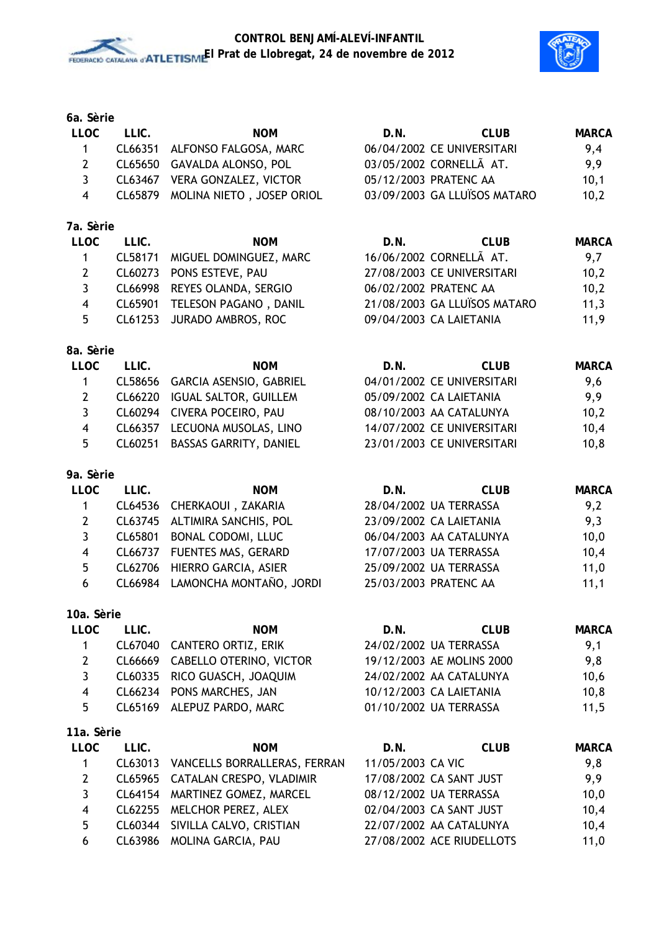

| 6a. Sèrie               |         |                              |                   |                              |              |
|-------------------------|---------|------------------------------|-------------------|------------------------------|--------------|
| <b>LLOC</b>             | LLIC.   | <b>NOM</b>                   | D.N.              | <b>CLUB</b>                  | <b>MARCA</b> |
| 1                       | CL66351 | ALFONSO FALGOSA, MARC        |                   | 06/04/2002 CE UNIVERSITARI   | 9,4          |
| $\mathbf{2}$            | CL65650 | GAVALDA ALONSO, POL          |                   | 03/05/2002 CORNELLÃ AT.      | 9,9          |
| $\overline{3}$          | CL63467 | VERA GONZALEZ, VICTOR        |                   | 05/12/2003 PRATENC AA        | 10,1         |
| $\overline{\mathbf{4}}$ | CL65879 | MOLINA NIETO, JOSEP ORIOL    |                   | 03/09/2003 GA LLUÏSOS MATARO | 10,2         |
|                         |         |                              |                   |                              |              |
| 7a. Sèrie               |         |                              |                   |                              |              |
| <b>LLOC</b>             | LLIC.   | <b>NOM</b>                   | D.N.              | <b>CLUB</b>                  | <b>MARCA</b> |
| 1                       | CL58171 | MIGUEL DOMINGUEZ, MARC       |                   | 16/06/2002 CORNELLÃ AT.      | 9,7          |
| $\overline{2}$          | CL60273 | PONS ESTEVE, PAU             |                   | 27/08/2003 CE UNIVERSITARI   | 10,2         |
| $\overline{3}$          | CL66998 | REYES OLANDA, SERGIO         |                   | 06/02/2002 PRATENC AA        | 10,2         |
| $\overline{\mathbf{4}}$ | CL65901 | TELESON PAGANO, DANIL        |                   | 21/08/2003 GA LLUÏSOS MATARO | 11,3         |
| 5                       | CL61253 | JURADO AMBROS, ROC           |                   | 09/04/2003 CA LAIETANIA      | 11,9         |
| 8a. Sèrie               |         |                              |                   |                              |              |
| <b>LLOC</b>             | LLIC.   | <b>NOM</b>                   | D.N.              | <b>CLUB</b>                  | <b>MARCA</b> |
| $\mathbf{1}$            | CL58656 | GARCIA ASENSIO, GABRIEL      |                   | 04/01/2002 CE UNIVERSITARI   | 9,6          |
| $\overline{2}$          | CL66220 | <b>IGUAL SALTOR, GUILLEM</b> |                   | 05/09/2002 CA LAIETANIA      | 9,9          |
| 3                       | CL60294 | CIVERA POCEIRO, PAU          |                   | 08/10/2003 AA CATALUNYA      | 10,2         |
| $\overline{\mathbf{4}}$ | CL66357 | LECUONA MUSOLAS, LINO        |                   | 14/07/2002 CE UNIVERSITARI   | 10,4         |
| 5                       | CL60251 | BASSAS GARRITY, DANIEL       |                   | 23/01/2003 CE UNIVERSITARI   | 10,8         |
|                         |         |                              |                   |                              |              |
| 9a. Sèrie               |         |                              |                   |                              |              |
| <b>LLOC</b>             | LLIC.   | <b>NOM</b>                   | D.N.              | <b>CLUB</b>                  | <b>MARCA</b> |
| 1                       | CL64536 | CHERKAOUI, ZAKARIA           |                   | 28/04/2002 UA TERRASSA       | 9,2          |
| $\mathbf{2}$            | CL63745 | ALTIMIRA SANCHIS, POL        |                   | 23/09/2002 CA LAIETANIA      | 9,3          |
| $\overline{3}$          | CL65801 | BONAL CODOMI, LLUC           |                   | 06/04/2003 AA CATALUNYA      | 10,0         |
| $\overline{\mathbf{4}}$ | CL66737 | <b>FUENTES MAS, GERARD</b>   |                   | 17/07/2003 UA TERRASSA       | 10,4         |
| 5                       | CL62706 | HIERRO GARCIA, ASIER         |                   | 25/09/2002 UA TERRASSA       | 11,0         |
| 6                       | CL66984 | LAMONCHA MONTAÑO, JORDI      |                   | 25/03/2003 PRATENC AA        | 11,1         |
| 10a. Sèrie              |         |                              |                   |                              |              |
| <b>LLOC</b>             | LLIC.   | <b>NOM</b>                   | D.N.              | <b>CLUB</b>                  | <b>MARCA</b> |
| 1                       | CL67040 | CANTERO ORTIZ, ERIK          |                   | 24/02/2002 UA TERRASSA       | 9,1          |
| $\mathbf{2}$            | CL66669 | CABELLO OTERINO, VICTOR      |                   | 19/12/2003 AE MOLINS 2000    | 9,8          |
| 3                       | CL60335 | RICO GUASCH, JOAQUIM         |                   | 24/02/2002 AA CATALUNYA      | 10,6         |
| $\overline{\mathbf{4}}$ | CL66234 | PONS MARCHES, JAN            |                   | 10/12/2003 CA LAIETANIA      | 10,8         |
| 5                       | CL65169 | ALEPUZ PARDO, MARC           |                   | 01/10/2002 UA TERRASSA       | 11,5         |
|                         |         |                              |                   |                              |              |
| 11a. Sèrie              |         |                              |                   |                              |              |
| <b>LLOC</b>             | LLIC.   | <b>NOM</b>                   | D.N.              | <b>CLUB</b>                  | <b>MARCA</b> |
| 1                       | CL63013 | VANCELLS BORRALLERAS, FERRAN | 11/05/2003 CA VIC |                              | 9,8          |
| $\overline{2}$          | CL65965 | CATALAN CRESPO, VLADIMIR     |                   | 17/08/2002 CA SANT JUST      | 9,9          |
| 3                       | CL64154 | MARTINEZ GOMEZ, MARCEL       |                   | 08/12/2002 UA TERRASSA       | 10,0         |
| 4                       | CL62255 | MELCHOR PEREZ, ALEX          |                   | 02/04/2003 CA SANT JUST      | 10,4         |
| 5                       | CL60344 | SIVILLA CALVO, CRISTIAN      |                   | 22/07/2002 AA CATALUNYA      | 10,4         |
| 6                       | CL63986 | MOLINA GARCIA, PAU           |                   | 27/08/2002 ACE RIUDELLOTS    | 11,0         |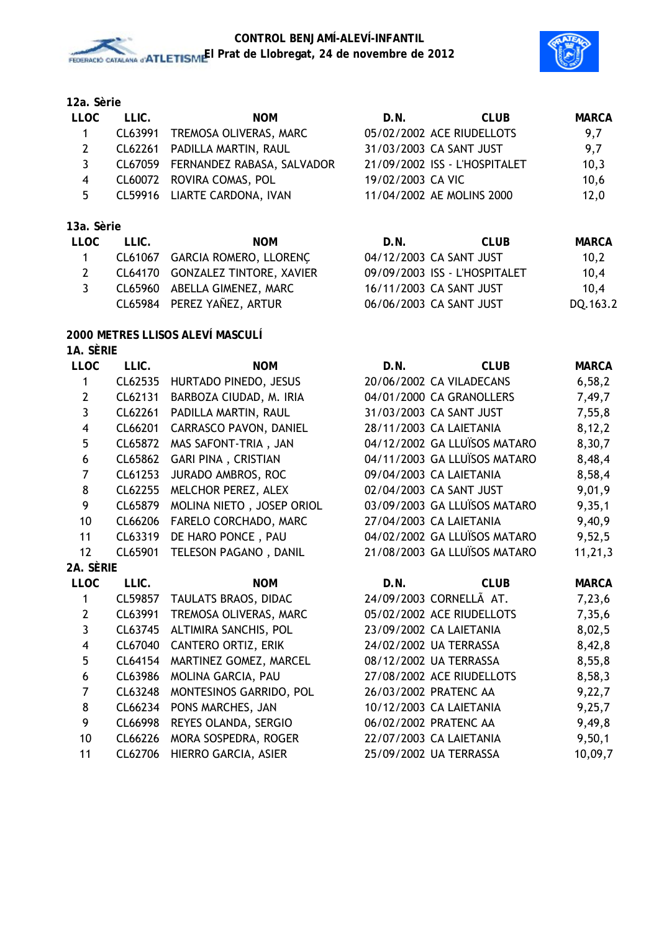# **CONTROL BENJAMÍ-ALEVÍ-INFANTIL** FEDERACIO CATALANA d'ATLETISME<sup>I</sup> Prat de Llobregat, 24 de novembre de 2012



**12a. Sèrie**

| 120. JUIL               |         |                                  |                         |                               |              |
|-------------------------|---------|----------------------------------|-------------------------|-------------------------------|--------------|
| <b>LLOC</b>             | LLIC.   | <b>NOM</b>                       | D.N.                    | <b>CLUB</b>                   | <b>MARCA</b> |
| $\mathbf{1}$            | CL63991 | TREMOSA OLIVERAS, MARC           |                         | 05/02/2002 ACE RIUDELLOTS     | 9,7          |
| $\mathbf{2}$            | CL62261 | PADILLA MARTIN, RAUL             | 31/03/2003 CA SANT JUST |                               | 9,7          |
| $\overline{3}$          | CL67059 | FERNANDEZ RABASA, SALVADOR       |                         | 21/09/2002 ISS - L'HOSPITALET | 10,3         |
| $\overline{\mathbf{4}}$ | CL60072 | ROVIRA COMAS, POL                | 19/02/2003 CA VIC       |                               | 10,6         |
| 5                       | CL59916 | LIARTE CARDONA, IVAN             |                         | 11/04/2002 AE MOLINS 2000     | 12,0         |
| 13a. Sèrie              |         |                                  |                         |                               |              |
| <b>LLOC</b>             | LLIC.   | <b>NOM</b>                       | D.N.                    | <b>CLUB</b>                   | <b>MARCA</b> |
| $\mathbf{1}$            | CL61067 | GARCIA ROMERO, LLORENÇ           | 04/12/2003 CA SANT JUST |                               | 10,2         |
| $\mathbf{2}$            | CL64170 | <b>GONZALEZ TINTORE, XAVIER</b>  |                         | 09/09/2003 ISS - L'HOSPITALET | 10,4         |
| $\overline{3}$          | CL65960 | ABELLA GIMENEZ, MARC             | 16/11/2003 CA SANT JUST |                               | 10,4         |
|                         | CL65984 | PEREZ YAÑEZ, ARTUR               | 06/06/2003 CA SANT JUST |                               | DQ.163.2     |
|                         |         | 2000 METRES LLISOS ALEVÍ MASCULÍ |                         |                               |              |
| 1A. SÈRIE               |         |                                  |                         |                               |              |
| <b>LLOC</b>             | LLIC.   | <b>NOM</b>                       | D.N.                    | <b>CLUB</b>                   | <b>MARCA</b> |
| 1                       | CL62535 | HURTADO PINEDO, JESUS            |                         | 20/06/2002 CA VILADECANS      | 6,58,2       |
| $\mathbf{2}$            | CL62131 | BARBOZA CIUDAD, M. IRIA          |                         | 04/01/2000 CA GRANOLLERS      | 7,49,7       |
| 3                       | CL62261 | PADILLA MARTIN, RAUL             | 31/03/2003 CA SANT JUST |                               | 7,55,8       |
| $\overline{\mathbf{4}}$ | CL66201 | CARRASCO PAVON, DANIEL           | 28/11/2003 CA LAIETANIA |                               | 8, 12, 2     |
| 5                       | CL65872 | MAS SAFONT-TRIA, JAN             |                         | 04/12/2002 GA LLUÏSOS MATARO  | 8,30,7       |
| 6                       | CL65862 | <b>GARI PINA, CRISTIAN</b>       |                         | 04/11/2003 GA LLUÏSOS MATARO  | 8,48,4       |
| $\overline{7}$          | CL61253 | JURADO AMBROS, ROC               | 09/04/2003 CA LAIETANIA |                               | 8,58,4       |
| 8                       | CL62255 | MELCHOR PEREZ, ALEX              | 02/04/2003 CA SANT JUST |                               | 9,01,9       |
| 9                       | CL65879 | MOLINA NIETO, JOSEP ORIOL        |                         | 03/09/2003 GA LLUÏSOS MATARO  | 9,35,1       |
| 10                      | CL66206 | FARELO CORCHADO, MARC            | 27/04/2003 CA LAIETANIA |                               | 9,40,9       |
| 11                      | CL63319 | DE HARO PONCE, PAU               |                         | 04/02/2002 GA LLUÏSOS MATARO  | 9,52,5       |
| 12                      | CL65901 | TELESON PAGANO, DANIL            |                         | 21/08/2003 GA LLUÏSOS MATARO  | 11, 21, 3    |
| 2A. SÈRIE               |         |                                  |                         |                               |              |
| <b>LLOC</b>             | LLIC.   | <b>NOM</b>                       | D.N.                    | <b>CLUB</b>                   | <b>MARCA</b> |
| $\mathbf{1}$            |         | CL59857 TAULATS BRAOS, DIDAC     |                         | 24/09/2003 CORNELLÃ AT.       | 7,23,6       |
| $\mathbf{2}$            | CL63991 | TREMOSA OLIVERAS, MARC           |                         | 05/02/2002 ACE RIUDELLOTS     | 7,35,6       |
| $\mathbf{3}$            | CL63745 | ALTIMIRA SANCHIS, POL            | 23/09/2002 CA LAIETANIA |                               | 8,02,5       |
| 4                       | CL67040 | CANTERO ORTIZ, ERIK              | 24/02/2002 UA TERRASSA  |                               | 8,42,8       |
| 5                       | CL64154 | MARTINEZ GOMEZ, MARCEL           | 08/12/2002 UA TERRASSA  |                               | 8,55,8       |
| 6                       | CL63986 | MOLINA GARCIA, PAU               |                         | 27/08/2002 ACE RIUDELLOTS     | 8,58,3       |
| 7                       | CL63248 | MONTESINOS GARRIDO, POL          | 26/03/2002 PRATENC AA   |                               | 9,22,7       |
| 8                       | CL66234 | PONS MARCHES, JAN                | 10/12/2003 CA LAIETANIA |                               | 9,25,7       |
| 9                       | CL66998 | REYES OLANDA, SERGIO             | 06/02/2002 PRATENC AA   |                               | 9,49,8       |
| 10                      | CL66226 | MORA SOSPEDRA, ROGER             | 22/07/2003 CA LAIETANIA |                               | 9,50,1       |
| 11                      | CL62706 | HIERRO GARCIA, ASIER             | 25/09/2002 UA TERRASSA  |                               | 10,09,7      |
|                         |         |                                  |                         |                               |              |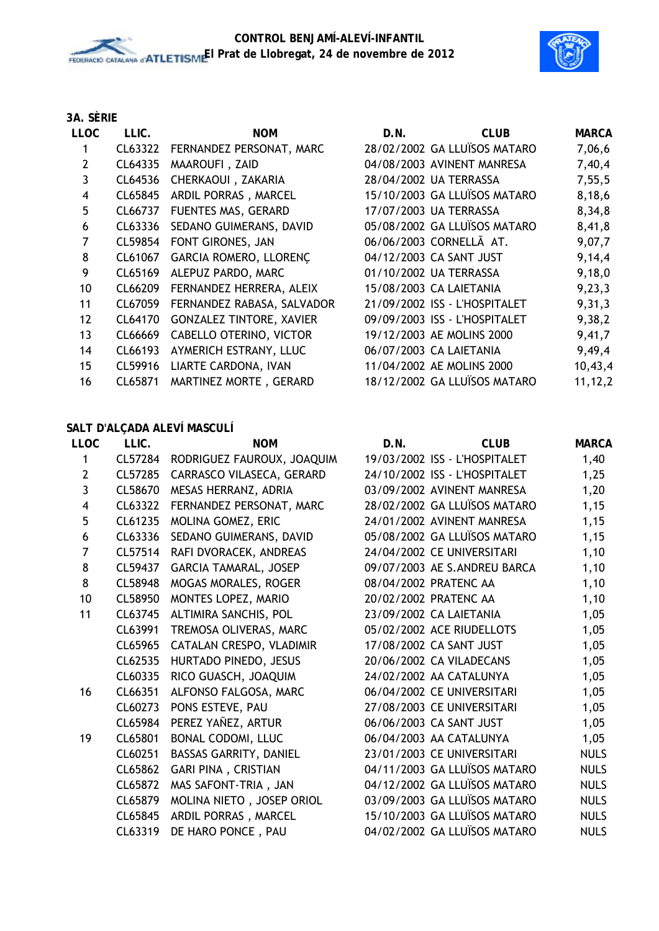

**3A. SÈRIE**

| <b>LLOC</b>             | LLIC.   | <b>NOM</b>                      | D.N. | <b>CLUB</b>                   | <b>MARCA</b> |
|-------------------------|---------|---------------------------------|------|-------------------------------|--------------|
| 1                       | CL63322 | FERNANDEZ PERSONAT, MARC        |      | 28/02/2002 GA LLUÏSOS MATARO  | 7,06,6       |
| $\overline{2}$          | CL64335 | MAAROUFI, ZAID                  |      | 04/08/2003 AVINENT MANRESA    | 7,40,4       |
| 3                       | CL64536 | CHERKAOUI, ZAKARIA              |      | 28/04/2002 UA TERRASSA        | 7,55,5       |
| $\overline{\mathbf{4}}$ | CL65845 | ARDIL PORRAS, MARCEL            |      | 15/10/2003 GA LLUÏSOS MATARO  | 8,18,6       |
| 5                       | CL66737 | FUENTES MAS, GERARD             |      | 17/07/2003 UA TERRASSA        | 8,34,8       |
| 6                       | CL63336 | SEDANO GUIMERANS, DAVID         |      | 05/08/2002 GA LLUÏSOS MATARO  | 8,41,8       |
| 7                       | CL59854 | FONT GIRONES, JAN               |      | 06/06/2003 CORNELLA AT.       | 9,07,7       |
| 8                       | CL61067 | GARCIA ROMERO, LLORENÇ          |      | 04/12/2003 CA SANT JUST       | 9,14,4       |
| 9                       | CL65169 | ALEPUZ PARDO, MARC              |      | 01/10/2002 UA TERRASSA        | 9,18,0       |
| 10                      | CL66209 | FERNANDEZ HERRERA, ALEIX        |      | 15/08/2003 CA LAIETANIA       | 9,23,3       |
| 11                      | CL67059 | FERNANDEZ RABASA, SALVADOR      |      | 21/09/2002 ISS - L'HOSPITALET | 9,31,3       |
| $12 \overline{ }$       | CL64170 | <b>GONZALEZ TINTORE, XAVIER</b> |      | 09/09/2003 ISS - L'HOSPITALET | 9,38,2       |
| 13                      | CL66669 | CABELLO OTERINO, VICTOR         |      | 19/12/2003 AE MOLINS 2000     | 9,41,7       |
| 14                      | CL66193 | AYMERICH ESTRANY, LLUC          |      | 06/07/2003 CA LAIETANIA       | 9,49,4       |
| 15                      | CL59916 | LIARTE CARDONA, IVAN            |      | 11/04/2002 AE MOLINS 2000     | 10,43,4      |
| 16                      | CL65871 | MARTINEZ MORTE, GERARD          |      | 18/12/2002 GA LLUÏSOS MATARO  | 11, 12, 2    |
|                         |         |                                 |      |                               |              |

#### **SALT D'ALÇADA ALEVÍ MASCULÍ**

| LLOC                    | LLIC.   | <b>NOM</b>                   | D.N. | <b>CLUB</b>                   | <b>MARCA</b> |
|-------------------------|---------|------------------------------|------|-------------------------------|--------------|
| 1                       | CL57284 | RODRIGUEZ FAUROUX, JOAQUIM   |      | 19/03/2002 ISS - L'HOSPITALET | 1,40         |
| $\overline{2}$          | CL57285 | CARRASCO VILASECA, GERARD    |      | 24/10/2002 ISS - L'HOSPITALET | 1,25         |
| $\overline{3}$          | CL58670 | MESAS HERRANZ, ADRIA         |      | 03/09/2002 AVINENT MANRESA    | 1,20         |
| $\overline{\mathbf{4}}$ | CL63322 | FERNANDEZ PERSONAT, MARC     |      | 28/02/2002 GA LLUÏSOS MATARO  | 1,15         |
| 5                       | CL61235 | MOLINA GOMEZ, ERIC           |      | 24/01/2002 AVINENT MANRESA    | 1,15         |
| 6                       | CL63336 | SEDANO GUIMERANS, DAVID      |      | 05/08/2002 GA LLUÏSOS MATARO  | 1,15         |
| $\overline{7}$          | CL57514 | RAFI DVORACEK, ANDREAS       |      | 24/04/2002 CE UNIVERSITARI    | 1,10         |
| 8                       | CL59437 | <b>GARCIA TAMARAL, JOSEP</b> |      | 09/07/2003 AE S.ANDREU BARCA  | 1,10         |
| 8                       | CL58948 | MOGAS MORALES, ROGER         |      | 08/04/2002 PRATENC AA         | 1,10         |
| 10                      | CL58950 | MONTES LOPEZ, MARIO          |      | 20/02/2002 PRATENC AA         | 1,10         |
| 11                      | CL63745 | ALTIMIRA SANCHIS, POL        |      | 23/09/2002 CA LAIETANIA       | 1,05         |
|                         | CL63991 | TREMOSA OLIVERAS, MARC       |      | 05/02/2002 ACE RIUDELLOTS     | 1,05         |
|                         | CL65965 | CATALAN CRESPO, VLADIMIR     |      | 17/08/2002 CA SANT JUST       | 1,05         |
|                         | CL62535 | HURTADO PINEDO, JESUS        |      | 20/06/2002 CA VILADECANS      | 1,05         |
|                         | CL60335 | RICO GUASCH, JOAQUIM         |      | 24/02/2002 AA CATALUNYA       | 1,05         |
| 16                      | CL66351 | ALFONSO FALGOSA, MARC        |      | 06/04/2002 CE UNIVERSITARI    | 1,05         |
|                         | CL60273 | PONS ESTEVE, PAU             |      | 27/08/2003 CE UNIVERSITARI    | 1,05         |
|                         | CL65984 | PEREZ YAÑEZ, ARTUR           |      | 06/06/2003 CA SANT JUST       | 1,05         |
| 19                      | CL65801 | BONAL CODOMI, LLUC           |      | 06/04/2003 AA CATALUNYA       | 1,05         |
|                         | CL60251 | BASSAS GARRITY, DANIEL       |      | 23/01/2003 CE UNIVERSITARI    | <b>NULS</b>  |
|                         | CL65862 | <b>GARI PINA, CRISTIAN</b>   |      | 04/11/2003 GA LLUÏSOS MATARO  | <b>NULS</b>  |
|                         | CL65872 | MAS SAFONT-TRIA, JAN         |      | 04/12/2002 GA LLUÏSOS MATARO  | <b>NULS</b>  |
|                         | CL65879 | MOLINA NIETO, JOSEP ORIOL    |      | 03/09/2003 GA LLUÏSOS MATARO  | <b>NULS</b>  |
|                         | CL65845 | ARDIL PORRAS, MARCEL         |      | 15/10/2003 GA LLUÏSOS MATARO  | <b>NULS</b>  |
|                         | CL63319 | DE HARO PONCE, PAU           |      | 04/02/2002 GA LLUÏSOS MATARO  | <b>NULS</b>  |
|                         |         |                              |      |                               |              |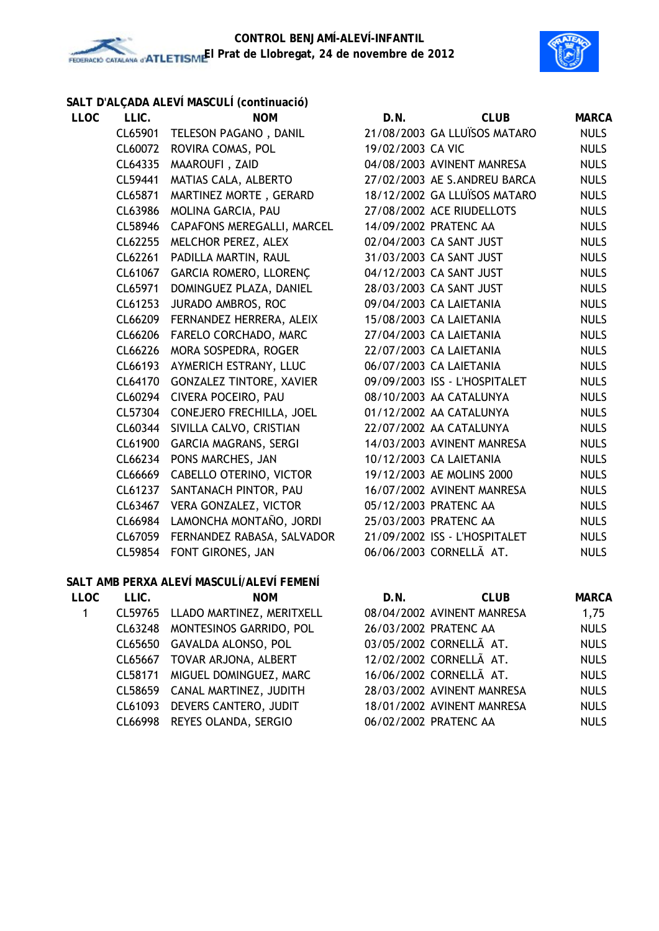

### **SALT D'ALÇADA ALEVÍ MASCULÍ (continuació)**

| <b>LLOC</b> | LLIC.   | <b>NOM</b>                      |
|-------------|---------|---------------------------------|
|             | CL65901 | TELESON PAGANO, DANIL           |
|             | CL60072 | ROVIRA COMAS, POL               |
|             | CL64335 | MAAROUFI, ZAID                  |
|             | CL59441 | MATIAS CALA, ALBERTO            |
|             | CL65871 | MARTINEZ MORTE, GERARD          |
|             | CL63986 | MOLINA GARCIA, PAU              |
|             | CL58946 | CAPAFONS MEREGALLI, MARCEL      |
|             | CL62255 | MELCHOR PEREZ, ALEX             |
|             | CL62261 | PADILLA MARTIN, RAUL            |
|             | CL61067 | <b>GARCIA ROMERO, LLORENC</b>   |
|             | CL65971 | DOMINGUEZ PLAZA, DANIEL         |
|             | CL61253 | JURADO AMBROS, ROC              |
|             | CL66209 | FERNANDEZ HERRERA, ALEIX        |
|             | CL66206 | FARELO CORCHADO, MARC           |
|             | CL66226 | MORA SOSPEDRA, ROGER            |
|             | CL66193 | AYMERICH ESTRANY, LLUC          |
|             | CL64170 | <b>GONZALEZ TINTORE, XAVIER</b> |
|             | CL60294 | CIVERA POCEIRO, PAU             |
|             | CL57304 | CONEJERO FRECHILLA, JOEL        |
|             | CL60344 | SIVILLA CALVO, CRISTIAN         |
|             | CL61900 | <b>GARCIA MAGRANS, SERGI</b>    |
|             | CL66234 | PONS MARCHES, JAN               |
|             | CL66669 | CABELLO OTERINO, VICTOR         |
|             | CL61237 | SANTANACH PINTOR, PAU           |
|             | CL63467 | <b>VERA GONZALEZ, VICTOR</b>    |
|             | CL66984 | LAMONCHA MONTAÑO, JORDI         |
|             | CL67059 | FERNANDEZ RABASA, SALVADOR      |
|             | CL59854 | FONT GIRONES, JAN               |
|             |         |                                 |

**SALT AMB PERXA ALEVÍ MASCULÍ/ALEVÍ FEMENÍ**

1 CL59765 LLADO MARTINEZ, MERITXELL CL63248 MONTESINOS GARRIDO, POL CL65650 GAVALDA ALONSO, POL CL65667 TOVAR ARJONA, ALBERT CL58171 MIGUEL DOMINGUEZ, MARC CL58659 CANAL MARTINEZ, JUDITH CL61093 DEVERS CANTERO, JUDIT CL66998 REYES OLANDA, SERGIO 06/02/200

| LLIC.   | <b>NOM</b>                      | D.N.              | <b>CLUB</b>                   | <b>MARCA</b> |
|---------|---------------------------------|-------------------|-------------------------------|--------------|
| CL65901 | TELESON PAGANO, DANIL           |                   | 21/08/2003 GA LLUÏSOS MATARO  | <b>NULS</b>  |
| CL60072 | ROVIRA COMAS, POL               | 19/02/2003 CA VIC |                               | <b>NULS</b>  |
| CL64335 | MAAROUFI, ZAID                  |                   | 04/08/2003 AVINENT MANRESA    | <b>NULS</b>  |
| CL59441 | MATIAS CALA, ALBERTO            |                   | 27/02/2003 AE S.ANDREU BARCA  | <b>NULS</b>  |
| CL65871 | MARTINEZ MORTE, GERARD          |                   | 18/12/2002 GA LLUÏSOS MATARO  | <b>NULS</b>  |
| CL63986 | MOLINA GARCIA, PAU              |                   | 27/08/2002 ACE RIUDELLOTS     | <b>NULS</b>  |
| CL58946 | CAPAFONS MEREGALLI, MARCEL      |                   | 14/09/2002 PRATENC AA         | <b>NULS</b>  |
| CL62255 | MELCHOR PEREZ, ALEX             |                   | 02/04/2003 CA SANT JUST       | <b>NULS</b>  |
| CL62261 | PADILLA MARTIN, RAUL            |                   | 31/03/2003 CA SANT JUST       | <b>NULS</b>  |
| CL61067 | GARCIA ROMERO, LLORENC          |                   | 04/12/2003 CA SANT JUST       | <b>NULS</b>  |
| CL65971 | DOMINGUEZ PLAZA, DANIEL         |                   | 28/03/2003 CA SANT JUST       | <b>NULS</b>  |
| CL61253 | JURADO AMBROS, ROC              |                   | 09/04/2003 CA LAIETANIA       | <b>NULS</b>  |
| CL66209 | FERNANDEZ HERRERA, ALEIX        |                   | 15/08/2003 CA LAIETANIA       | <b>NULS</b>  |
| CL66206 | FARELO CORCHADO, MARC           |                   | 27/04/2003 CA LAIETANIA       | <b>NULS</b>  |
| CL66226 | MORA SOSPEDRA, ROGER            |                   | 22/07/2003 CA LAIETANIA       | <b>NULS</b>  |
| CL66193 | AYMERICH ESTRANY, LLUC          |                   | 06/07/2003 CA LAIETANIA       | <b>NULS</b>  |
| CL64170 | <b>GONZALEZ TINTORE, XAVIER</b> |                   | 09/09/2003 ISS - L'HOSPITALET | <b>NULS</b>  |
| CL60294 | CIVERA POCEIRO, PAU             |                   | 08/10/2003 AA CATALUNYA       | <b>NULS</b>  |
| CL57304 | CONEJERO FRECHILLA, JOEL        |                   | 01/12/2002 AA CATALUNYA       | <b>NULS</b>  |
| CL60344 | SIVILLA CALVO, CRISTIAN         |                   | 22/07/2002 AA CATALUNYA       | <b>NULS</b>  |
| CL61900 | <b>GARCIA MAGRANS, SERGI</b>    |                   | 14/03/2003 AVINENT MANRESA    | <b>NULS</b>  |
| CL66234 | PONS MARCHES, JAN               |                   | 10/12/2003 CA LAIETANIA       | <b>NULS</b>  |
| CL66669 | CABELLO OTERINO, VICTOR         |                   | 19/12/2003 AE MOLINS 2000     | <b>NULS</b>  |
| CL61237 | SANTANACH PINTOR, PAU           |                   | 16/07/2002 AVINENT MANRESA    | <b>NULS</b>  |
| CL63467 | <b>VERA GONZALEZ, VICTOR</b>    |                   | 05/12/2003 PRATENC AA         | <b>NULS</b>  |
| CL66984 | LAMONCHA MONTAÑO, JORDI         |                   | 25/03/2003 PRATENC AA         | <b>NULS</b>  |
| CL67059 | FERNANDEZ RABASA, SALVADOR      |                   | 21/09/2002 ISS - L'HOSPITALET | <b>NULS</b>  |
| CL59854 | FONT GIRONES, JAN               |                   | 06/06/2003 CORNELLA AT.       | <b>NULS</b>  |
|         |                                 |                   |                               |              |

| LLOC         | LLIC. | <b>NOM</b>                        | D.N.                    | <b>CLUB</b>                | <b>MARCA</b> |
|--------------|-------|-----------------------------------|-------------------------|----------------------------|--------------|
| $\mathbf{1}$ |       | CL59765 LLADO MARTINEZ, MERITXELL |                         | 08/04/2002 AVINENT MANRESA | 1,75         |
|              |       | CL63248 MONTESINOS GARRIDO, POL   | 26/03/2002 PRATENC AA   |                            | <b>NULS</b>  |
|              |       | CL65650 GAVALDA ALONSO, POL       | 03/05/2002 CORNELLÃ AT. |                            | <b>NULS</b>  |
|              |       | CL65667 TOVAR ARJONA, ALBERT      | 12/02/2002 CORNELLÃ AT. |                            | <b>NULS</b>  |
|              |       | CL58171 MIGUEL DOMINGUEZ, MARC    | 16/06/2002 CORNELLA AT. |                            | <b>NULS</b>  |
|              |       | CL58659 CANAL MARTINEZ, JUDITH    |                         | 28/03/2002 AVINENT MANRESA | <b>NULS</b>  |
|              |       | CL61093 DEVERS CANTERO, JUDIT     |                         | 18/01/2002 AVINENT MANRESA | <b>NULS</b>  |
|              |       | CL66998 REYES OLANDA, SERGIO      | 06/02/2002 PRATENC AA   |                            | <b>NULS</b>  |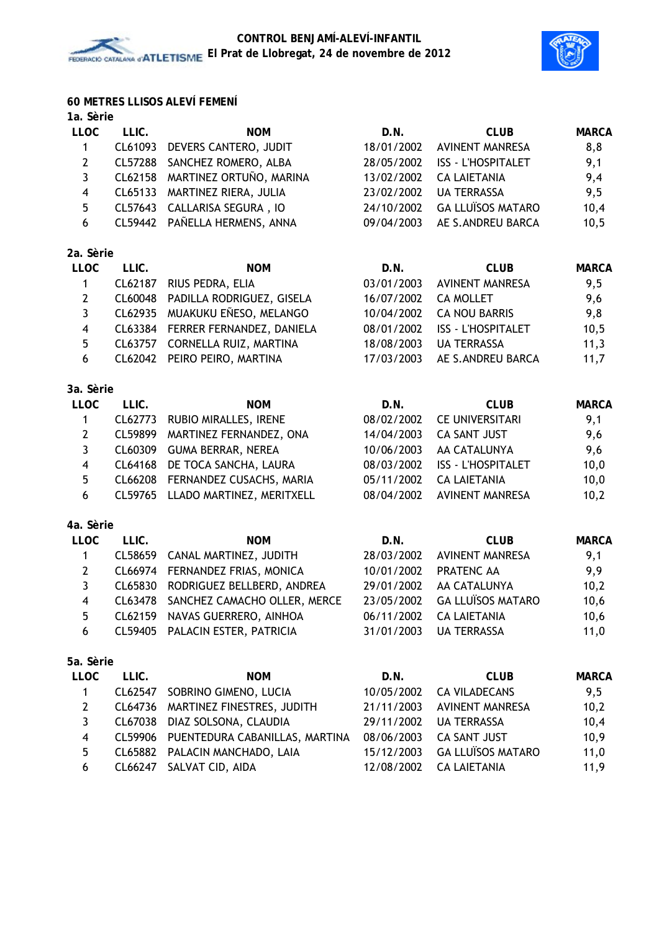|  | $.771$ ETH |
|--|------------|



### **60 METRES LLISOS ALEVÍ FEMENÍ**

| та, зепе                |         |                                |            |                           |              |
|-------------------------|---------|--------------------------------|------------|---------------------------|--------------|
| <b>LLOC</b>             | LLIC.   | <b>NOM</b>                     | D.N.       | <b>CLUB</b>               | <b>MARCA</b> |
| $\mathbf{1}$            | CL61093 | DEVERS CANTERO, JUDIT          | 18/01/2002 | <b>AVINENT MANRESA</b>    | 8,8          |
| $\overline{2}$          | CL57288 | SANCHEZ ROMERO, ALBA           | 28/05/2002 | <b>ISS - L'HOSPITALET</b> | 9,1          |
| $\mathbf{3}$            | CL62158 | MARTINEZ ORTUÑO, MARINA        | 13/02/2002 | <b>CA LAIETANIA</b>       | 9,4          |
| $\overline{\mathbf{4}}$ | CL65133 | MARTINEZ RIERA, JULIA          | 23/02/2002 | <b>UA TERRASSA</b>        | 9,5          |
| 5                       | CL57643 | CALLARISA SEGURA, IO           | 24/10/2002 | <b>GA LLUÏSOS MATARO</b>  | 10,4         |
| $6\phantom{1}$          | CL59442 | PAÑELLA HERMENS, ANNA          | 09/04/2003 | AE S.ANDREU BARCA         | 10,5         |
| 2a. Sèrie               |         |                                |            |                           |              |
| <b>LLOC</b>             | LLIC.   | <b>NOM</b>                     | D.N.       | <b>CLUB</b>               | <b>MARCA</b> |
| $\mathbf{1}$            | CL62187 | RIUS PEDRA, ELIA               | 03/01/2003 | <b>AVINENT MANRESA</b>    | 9,5          |
| $\overline{2}$          | CL60048 | PADILLA RODRIGUEZ, GISELA      | 16/07/2002 | <b>CA MOLLET</b>          | 9,6          |
| 3                       | CL62935 | MUAKUKU EÑESO, MELANGO         | 10/04/2002 | <b>CA NOU BARRIS</b>      | 9,8          |
| $\overline{\mathbf{4}}$ | CL63384 | FERRER FERNANDEZ, DANIELA      | 08/01/2002 | <b>ISS - L'HOSPITALET</b> | 10,5         |
| 5                       | CL63757 | CORNELLA RUIZ, MARTINA         | 18/08/2003 | <b>UA TERRASSA</b>        | 11,3         |
| 6                       | CL62042 | PEIRO PEIRO, MARTINA           | 17/03/2003 | AE S.ANDREU BARCA         | 11,7         |
| 3a. Sèrie               |         |                                |            |                           |              |
| <b>LLOC</b>             | LLIC.   | <b>NOM</b>                     | D.N.       | <b>CLUB</b>               | <b>MARCA</b> |
| $\mathbf{1}$            | CL62773 | RUBIO MIRALLES, IRENE          | 08/02/2002 | <b>CE UNIVERSITARI</b>    | 9,1          |
| $\overline{2}$          | CL59899 | MARTINEZ FERNANDEZ, ONA        | 14/04/2003 | <b>CA SANT JUST</b>       | 9,6          |
| $\overline{3}$          | CL60309 | <b>GUMA BERRAR, NEREA</b>      | 10/06/2003 | AA CATALUNYA              | 9,6          |
| $\overline{\mathbf{4}}$ | CL64168 | DE TOCA SANCHA, LAURA          | 08/03/2002 | <b>ISS - L'HOSPITALET</b> | 10,0         |
| 5                       | CL66208 | FERNANDEZ CUSACHS, MARIA       | 05/11/2002 | <b>CA LAIETANIA</b>       | 10,0         |
| 6                       | CL59765 | LLADO MARTINEZ, MERITXELL      | 08/04/2002 | <b>AVINENT MANRESA</b>    | 10,2         |
| 4a. Sèrie               |         |                                |            |                           |              |
| <b>LLOC</b>             | LLIC.   | <b>NOM</b>                     | D.N.       | <b>CLUB</b>               | <b>MARCA</b> |
| $\mathbf{1}$            | CL58659 | CANAL MARTINEZ, JUDITH         | 28/03/2002 | <b>AVINENT MANRESA</b>    | 9,1          |
| $\overline{2}$          | CL66974 | FERNANDEZ FRIAS, MONICA        | 10/01/2002 | PRATENC AA                | 9,9          |
| $\overline{3}$          | CL65830 | RODRIGUEZ BELLBERD, ANDREA     | 29/01/2002 | AA CATALUNYA              | 10,2         |
| $\overline{\mathbf{4}}$ | CL63478 | SANCHEZ CAMACHO OLLER, MERCE   | 23/05/2002 | <b>GA LLUÏSOS MATARO</b>  | 10,6         |
| ל                       | CL62159 | NAVAS GUERRERO, AINHOA         | 06/11/2002 | <b>CA LAIETANIA</b>       | 10,6         |
| 6                       | CL59405 | PALACIN ESTER, PATRICIA        | 31/01/2003 | <b>UA TERRASSA</b>        | 11,0         |
| 5a. Sèrie               |         |                                |            |                           |              |
| <b>LLOC</b>             | LLIC.   | <b>NOM</b>                     | D.N.       | <b>CLUB</b>               | <b>MARCA</b> |
| 1                       | CL62547 | SOBRINO GIMENO, LUCIA          | 10/05/2002 | <b>CA VILADECANS</b>      | 9,5          |
| $\mathbf{2}$            | CL64736 | MARTINEZ FINESTRES, JUDITH     | 21/11/2003 | <b>AVINENT MANRESA</b>    | 10,2         |
| 3                       | CL67038 | DIAZ SOLSONA, CLAUDIA          | 29/11/2002 | <b>UA TERRASSA</b>        | 10,4         |
| $\overline{\mathbf{4}}$ | CL59906 | PUENTEDURA CABANILLAS, MARTINA | 08/06/2003 | CA SANT JUST              | 10,9         |

5 CL65882 PALACIN MANCHADO, LAIA 15/12/2003 GA LLUÏSOS MATARO 11,0 6 CL66247 SALVAT CID, AIDA 12/08/2002 CA LAIETANIA 11,9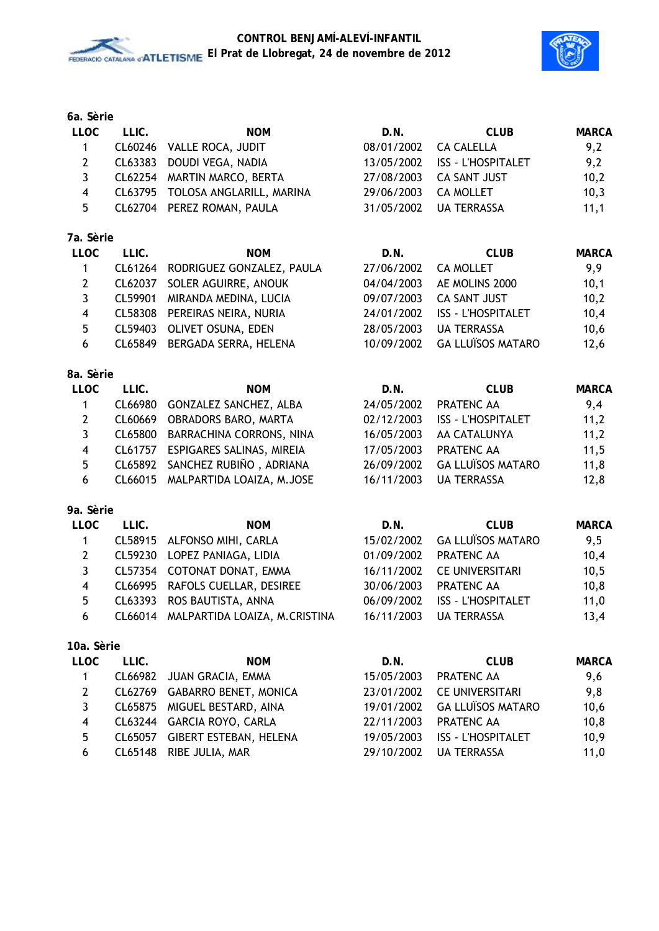

| 6a. Sèrie               |         |                                       |            |                           |              |
|-------------------------|---------|---------------------------------------|------------|---------------------------|--------------|
| <b>LLOC</b>             | LLIC.   | <b>NOM</b>                            | D.N.       | <b>CLUB</b>               | <b>MARCA</b> |
| 1                       | CL60246 | VALLE ROCA, JUDIT                     | 08/01/2002 | <b>CA CALELLA</b>         | 9,2          |
| $\mathbf{2}$            | CL63383 | DOUDI VEGA, NADIA                     | 13/05/2002 | <b>ISS - L'HOSPITALET</b> | 9,2          |
| 3                       | CL62254 | MARTIN MARCO, BERTA                   | 27/08/2003 | <b>CA SANT JUST</b>       | 10,2         |
| $\overline{\mathbf{4}}$ | CL63795 | TOLOSA ANGLARILL, MARINA              | 29/06/2003 | <b>CA MOLLET</b>          | 10,3         |
| 5                       | CL62704 | PEREZ ROMAN, PAULA                    | 31/05/2002 | <b>UA TERRASSA</b>        | 11,1         |
| 7a. Sèrie               |         |                                       |            |                           |              |
| <b>LLOC</b>             | LLIC.   | <b>NOM</b>                            | D.N.       | <b>CLUB</b>               | <b>MARCA</b> |
| 1                       | CL61264 | RODRIGUEZ GONZALEZ, PAULA             | 27/06/2002 | <b>CA MOLLET</b>          | 9,9          |
| $\overline{2}$          | CL62037 | SOLER AGUIRRE, ANOUK                  | 04/04/2003 | AE MOLINS 2000            | 10,1         |
| 3                       | CL59901 | MIRANDA MEDINA, LUCIA                 | 09/07/2003 | CA SANT JUST              | 10,2         |
| $\overline{\mathbf{4}}$ | CL58308 | PEREIRAS NEIRA, NURIA                 | 24/01/2002 | <b>ISS - L'HOSPITALET</b> | 10,4         |
| 5                       | CL59403 | OLIVET OSUNA, EDEN                    | 28/05/2003 | <b>UA TERRASSA</b>        | 10,6         |
| 6                       | CL65849 | BERGADA SERRA, HELENA                 | 10/09/2002 | <b>GA LLUÏSOS MATARO</b>  | 12,6         |
| 8a. Sèrie               |         |                                       |            |                           |              |
| <b>LLOC</b>             | LLIC.   | <b>NOM</b>                            | D.N.       | <b>CLUB</b>               | <b>MARCA</b> |
| 1                       | CL66980 | GONZALEZ SANCHEZ, ALBA                | 24/05/2002 | PRATENC AA                | 9,4          |
| $\mathbf{2}$            | CL60669 | OBRADORS BARO, MARTA                  | 02/12/2003 | <b>ISS - L'HOSPITALET</b> | 11,2         |
| $\overline{3}$          | CL65800 | BARRACHINA CORRONS, NINA              | 16/05/2003 | AA CATALUNYA              | 11,2         |
| 4                       | CL61757 | ESPIGARES SALINAS, MIREIA             | 17/05/2003 | PRATENC AA                | 11,5         |
| 5                       | CL65892 | SANCHEZ RUBIÑO, ADRIANA               | 26/09/2002 | <b>GA LLUÏSOS MATARO</b>  | 11,8         |
| 6                       | CL66015 | MALPARTIDA LOAIZA, M.JOSE             | 16/11/2003 | <b>UA TERRASSA</b>        | 12,8         |
| 9a. Sèrie               |         |                                       |            |                           |              |
| <b>LLOC</b>             | LLIC.   | <b>NOM</b>                            | D.N.       | <b>CLUB</b>               | <b>MARCA</b> |
| 1                       | CL58915 | ALFONSO MIHI, CARLA                   | 15/02/2002 | <b>GA LLUÏSOS MATARO</b>  | 9,5          |
| $\overline{2}$          | CL59230 | LOPEZ PANIAGA, LIDIA                  | 01/09/2002 | PRATENC AA                | 10,4         |
| 3                       | CL57354 | COTONAT DONAT, EMMA                   | 16/11/2002 | <b>CE UNIVERSITARI</b>    | 10,5         |
| $\overline{\mathbf{4}}$ | CL66995 | RAFOLS CUELLAR, DESIREE               | 30/06/2003 | PRATENC AA                | 10, 8        |
| 5                       | CL63393 | ROS BAUTISTA, ANNA                    | 06/09/2002 | <b>ISS - L'HOSPITALET</b> | 11,0         |
| 6                       |         | CL66014 MALPARTIDA LOAIZA, M.CRISTINA | 16/11/2003 | <b>UA TERRASSA</b>        | 13,4         |
| 10a. Sèrie              |         |                                       |            |                           |              |
| <b>LLOC</b>             | LLIC.   | <b>NOM</b>                            | D.N.       | <b>CLUB</b>               | <b>MARCA</b> |
| 1                       | CL66982 | JUAN GRACIA, EMMA                     | 15/05/2003 | PRATENC AA                | 9,6          |
| $\mathbf{2}$            | CL62769 | <b>GABARRO BENET, MONICA</b>          | 23/01/2002 | <b>CE UNIVERSITARI</b>    | 9,8          |
| 3                       | CL65875 | MIGUEL BESTARD, AINA                  | 19/01/2002 | <b>GA LLUÏSOS MATARO</b>  | 10,6         |

4 CL63244 GARCIA ROYO, CARLA 22/11/2003 PRATENC AA 10,8 5 CL65057 GIBERT ESTEBAN, HELENA 19/05/2003 ISS - L'HOSPITALET 10,9

6 CL65148 RIBE JULIA, MAR 29/10/2002 UA TERRASSA 11,0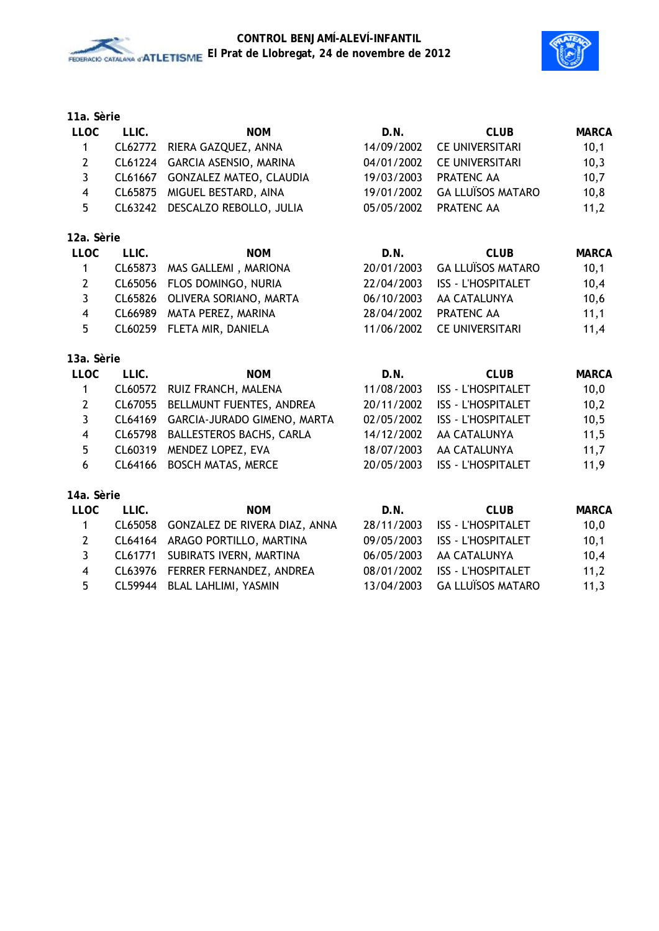

| 11a. Sèrie              |         |                                |            |                           |              |
|-------------------------|---------|--------------------------------|------------|---------------------------|--------------|
| <b>LLOC</b>             | LLIC.   | <b>NOM</b>                     | D.N.       | <b>CLUB</b>               | <b>MARCA</b> |
| 1                       | CL62772 | RIERA GAZQUEZ, ANNA            | 14/09/2002 | <b>CE UNIVERSITARI</b>    | 10,1         |
| $\overline{2}$          | CL61224 | GARCIA ASENSIO, MARINA         | 04/01/2002 | <b>CE UNIVERSITARI</b>    | 10,3         |
| $\overline{3}$          | CL61667 | <b>GONZALEZ MATEO, CLAUDIA</b> | 19/03/2003 | PRATENC AA                | 10,7         |
| $\overline{\mathbf{4}}$ | CL65875 | MIGUEL BESTARD, AINA           | 19/01/2002 | <b>GA LLUÏSOS MATARO</b>  | 10,8         |
| 5                       | CL63242 | DESCALZO REBOLLO, JULIA        | 05/05/2002 | PRATENC AA                | 11,2         |
| 12a. Sèrie              |         |                                |            |                           |              |
| <b>LLOC</b>             | LLIC.   | <b>NOM</b>                     | D.N.       | <b>CLUB</b>               | <b>MARCA</b> |
| 1                       | CL65873 | MAS GALLEMI, MARIONA           | 20/01/2003 | <b>GA LLUÏSOS MATARO</b>  | 10,1         |
| $\mathbf{2}$            | CL65056 | FLOS DOMINGO, NURIA            | 22/04/2003 | ISS - L'HOSPITALET        | 10,4         |
| $\overline{3}$          | CL65826 | OLIVERA SORIANO, MARTA         | 06/10/2003 | AA CATALUNYA              | 10,6         |
| $\overline{\mathbf{4}}$ | CL66989 | MATA PEREZ, MARINA             | 28/04/2002 | PRATENC AA                | 11,1         |
| 5                       | CL60259 | FLETA MIR, DANIELA             | 11/06/2002 | <b>CE UNIVERSITARI</b>    | 11,4         |
| 13a. Sèrie              |         |                                |            |                           |              |
| LLOC                    | LLIC.   | <b>NOM</b>                     | D.N.       | <b>CLUB</b>               | <b>MARCA</b> |
| $\mathbf{1}$            | CL60572 | RUIZ FRANCH, MALENA            | 11/08/2003 | <b>ISS - L'HOSPITALET</b> | 10,0         |
| $\overline{2}$          | CL67055 | BELLMUNT FUENTES, ANDREA       | 20/11/2002 | ISS - L'HOSPITALET        | 10,2         |
| 3                       | CL64169 | GARCIA-JURADO GIMENO, MARTA    | 02/05/2002 | ISS - L'HOSPITALET        | 10,5         |
| 4                       | CL65798 | BALLESTEROS BACHS, CARLA       | 14/12/2002 | AA CATALUNYA              | 11,5         |
| 5                       | CL60319 | MENDEZ LOPEZ, EVA              | 18/07/2003 | AA CATALUNYA              | 11,7         |
| 6                       | CL64166 | <b>BOSCH MATAS, MERCE</b>      | 20/05/2003 | <b>ISS - L'HOSPITALET</b> | 11,9         |
| 14a. Sèrie              |         |                                |            |                           |              |
| <b>LLOC</b>             | LLIC.   | <b>NOM</b>                     | D.N.       | <b>CLUB</b>               | <b>MARCA</b> |
| 1                       | CL65058 | GONZALEZ DE RIVERA DIAZ, ANNA  | 28/11/2003 | ISS - L'HOSPITALET        | 10,0         |
| $\overline{2}$          | CL64164 | ARAGO PORTILLO, MARTINA        | 09/05/2003 | <b>ISS - L'HOSPITALET</b> | 10,1         |
| 3                       | CL61771 | SUBIRATS IVERN, MARTINA        | 06/05/2003 | AA CATALUNYA              | 10,4         |
| 4                       | CL63976 | FERRER FERNANDEZ, ANDREA       | 08/01/2002 | <b>ISS - L'HOSPITALET</b> | 11,2         |

5 CL59944 BLAL LAHLIMI, YASMIN 13/04/2003 GA LLUÏSOS MATARO 11,3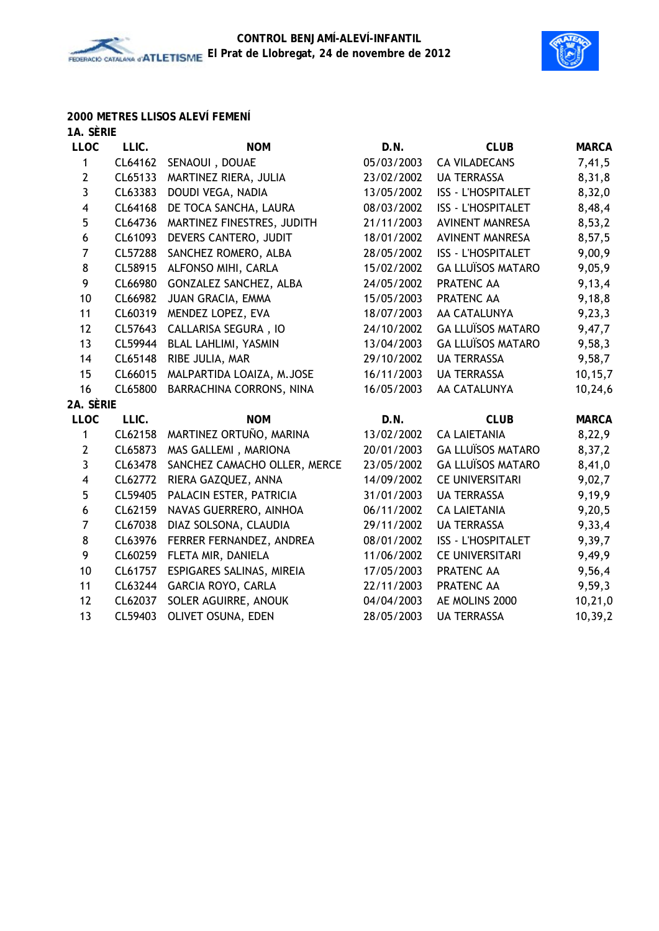

#### **2000 METRES LLISOS ALEVÍ FEMENÍ 1A. SÈRIE**

| IA. JENIE      |         |                              |            |                           |              |
|----------------|---------|------------------------------|------------|---------------------------|--------------|
| <b>LLOC</b>    | LLIC.   | <b>NOM</b>                   | D.N.       | <b>CLUB</b>               | <b>MARCA</b> |
| 1              | CL64162 | SENAOUI, DOUAE               | 05/03/2003 | <b>CA VILADECANS</b>      | 7,41,5       |
| $\mathbf{2}$   | CL65133 | MARTINEZ RIERA, JULIA        | 23/02/2002 | <b>UA TERRASSA</b>        | 8,31,8       |
| $\overline{3}$ | CL63383 | DOUDI VEGA, NADIA            | 13/05/2002 | <b>ISS - L'HOSPITALET</b> | 8,32,0       |
| 4              | CL64168 | DE TOCA SANCHA, LAURA        | 08/03/2002 | <b>ISS - L'HOSPITALET</b> | 8,48,4       |
| 5              | CL64736 | MARTINEZ FINESTRES, JUDITH   | 21/11/2003 | <b>AVINENT MANRESA</b>    | 8,53,2       |
| 6              | CL61093 | DEVERS CANTERO, JUDIT        | 18/01/2002 | <b>AVINENT MANRESA</b>    | 8,57,5       |
| $\overline{7}$ | CL57288 | SANCHEZ ROMERO, ALBA         | 28/05/2002 | ISS - L'HOSPITALET        | 9,00,9       |
| 8              | CL58915 | ALFONSO MIHI, CARLA          | 15/02/2002 | <b>GA LLUÏSOS MATARO</b>  | 9,05,9       |
| 9              | CL66980 | GONZALEZ SANCHEZ, ALBA       | 24/05/2002 | PRATENC AA                | 9,13,4       |
| 10             | CL66982 | JUAN GRACIA, EMMA            | 15/05/2003 | PRATENC AA                | 9,18,8       |
| 11             | CL60319 | MENDEZ LOPEZ, EVA            | 18/07/2003 | AA CATALUNYA              | 9,23,3       |
| 12             | CL57643 | CALLARISA SEGURA, IO         | 24/10/2002 | <b>GA LLUÏSOS MATARO</b>  | 9,47,7       |
| 13             | CL59944 | BLAL LAHLIMI, YASMIN         | 13/04/2003 | <b>GA LLUÏSOS MATARO</b>  | 9,58,3       |
| 14             | CL65148 | RIBE JULIA, MAR              | 29/10/2002 | <b>UA TERRASSA</b>        | 9,58,7       |
| 15             | CL66015 | MALPARTIDA LOAIZA, M.JOSE    | 16/11/2003 | <b>UA TERRASSA</b>        | 10, 15, 7    |
| 16             | CL65800 | BARRACHINA CORRONS, NINA     | 16/05/2003 | AA CATALUNYA              | 10,24,6      |
| 2A. SÈRIE      |         |                              |            |                           |              |
| LLOC           | LLIC.   | <b>NOM</b>                   | D.N.       | <b>CLUB</b>               | <b>MARCA</b> |
| 1              | CL62158 | MARTINEZ ORTUÑO, MARINA      | 13/02/2002 | <b>CA LAIETANIA</b>       | 8,22,9       |
| $\mathbf{2}$   | CL65873 | MAS GALLEMI, MARIONA         | 20/01/2003 | <b>GA LLUÏSOS MATARO</b>  | 8,37,2       |
| $\overline{3}$ | CL63478 | SANCHEZ CAMACHO OLLER, MERCE | 23/05/2002 | <b>GA LLUÏSOS MATARO</b>  | 8,41,0       |
| 4              | CL62772 | RIERA GAZQUEZ, ANNA          | 14/09/2002 | <b>CE UNIVERSITARI</b>    | 9,02,7       |
| 5              | CL59405 | PALACIN ESTER, PATRICIA      | 31/01/2003 | <b>UA TERRASSA</b>        | 9,19,9       |
| 6              | CL62159 | NAVAS GUERRERO, AINHOA       | 06/11/2002 | <b>CA LAIETANIA</b>       | 9,20,5       |
| $\overline{7}$ | CL67038 | DIAZ SOLSONA, CLAUDIA        | 29/11/2002 | <b>UA TERRASSA</b>        | 9,33,4       |
| 8              | CL63976 | FERRER FERNANDEZ, ANDREA     | 08/01/2002 | ISS - L'HOSPITALET        | 9,39,7       |
| 9              | CL60259 | FLETA MIR, DANIELA           | 11/06/2002 | <b>CE UNIVERSITARI</b>    | 9,49,9       |
| 10             | CL61757 | ESPIGARES SALINAS, MIREIA    | 17/05/2003 | PRATENC AA                | 9,56,4       |
| 11             | CL63244 | GARCIA ROYO, CARLA           | 22/11/2003 | PRATENC AA                | 9,59,3       |
| 12             | CL62037 | SOLER AGUIRRE, ANOUK         | 04/04/2003 | AE MOLINS 2000            | 10, 21, 0    |
| 13             | CL59403 | OLIVET OSUNA, EDEN           | 28/05/2003 | <b>UA TERRASSA</b>        | 10, 39, 2    |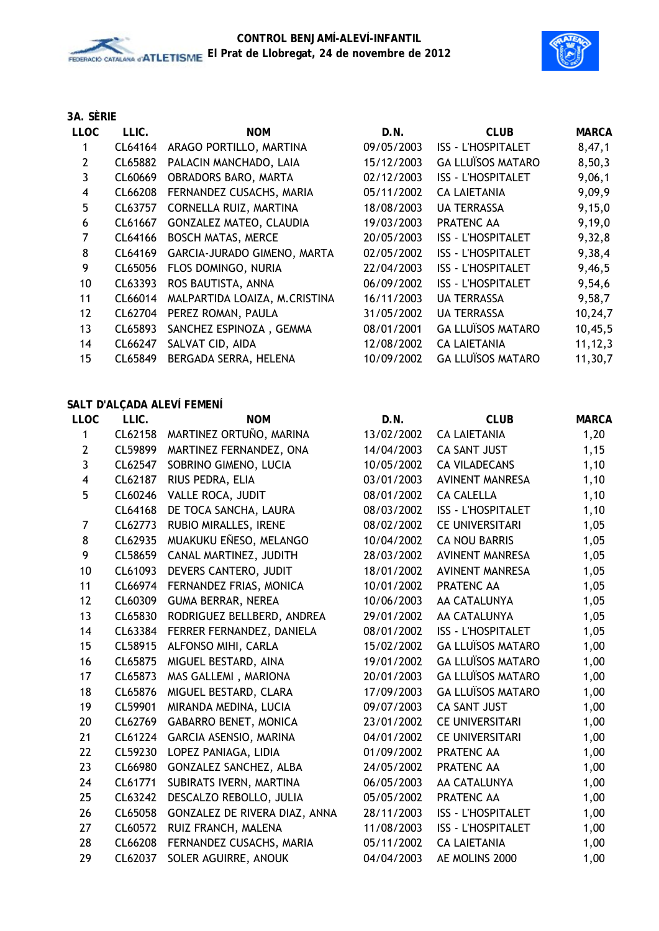

| <b>SERIE</b><br>3A. |  |
|---------------------|--|
|---------------------|--|

| <b>LLOC</b> | LLIC.   | <b>NOM</b>                     | D.N.       | <b>CLUB</b>               | <b>MARCA</b> |
|-------------|---------|--------------------------------|------------|---------------------------|--------------|
|             | CL64164 | ARAGO PORTILLO, MARTINA        | 09/05/2003 | <b>ISS - L'HOSPITALET</b> | 8,47,1       |
| 2           | CL65882 | PALACIN MANCHADO, LAIA         | 15/12/2003 | <b>GA LLUÏSOS MATARO</b>  | 8,50,3       |
| 3           | CL60669 | OBRADORS BARO, MARTA           | 02/12/2003 | <b>ISS - L'HOSPITALET</b> | 9,06,1       |
| 4           | CL66208 | FERNANDEZ CUSACHS, MARIA       | 05/11/2002 | <b>CA LAIETANIA</b>       | 9,09,9       |
| 5           | CL63757 | CORNELLA RUIZ, MARTINA         | 18/08/2003 | <b>UA TERRASSA</b>        | 9,15,0       |
| 6           | CL61667 | <b>GONZALEZ MATEO, CLAUDIA</b> | 19/03/2003 | PRATENC AA                | 9,19,0       |
| 7           | CL64166 | <b>BOSCH MATAS, MERCE</b>      | 20/05/2003 | <b>ISS - L'HOSPITALET</b> | 9,32,8       |
| 8           | CL64169 | GARCIA-JURADO GIMENO, MARTA    | 02/05/2002 | <b>ISS - L'HOSPITALET</b> | 9,38,4       |
| 9           | CL65056 | FLOS DOMINGO, NURIA            | 22/04/2003 | <b>ISS - L'HOSPITALET</b> | 9,46,5       |
| 10          | CL63393 | ROS BAUTISTA, ANNA             | 06/09/2002 | <b>ISS - L'HOSPITALET</b> | 9,54,6       |
| 11          | CL66014 | MALPARTIDA LOAIZA, M.CRISTINA  | 16/11/2003 | <b>UA TERRASSA</b>        | 9,58,7       |
| 12          | CL62704 | PEREZ ROMAN, PAULA             | 31/05/2002 | <b>UA TERRASSA</b>        | 10, 24, 7    |
| 13          | CL65893 | SANCHEZ ESPINOZA, GEMMA        | 08/01/2001 | <b>GA LLUÏSOS MATARO</b>  | 10,45,5      |
| 14          | CL66247 | SALVAT CID, AIDA               | 12/08/2002 | <b>CA LAIETANIA</b>       | 11, 12, 3    |
| 15          | CL65849 | BERGADA SERRA, HELENA          | 10/09/2002 | <b>GA LLUÏSOS MATARO</b>  | 11, 30, 7    |
|             |         |                                |            |                           |              |

### **SALT D'ALÇADA ALEVÍ FEMENÍ**

| <b>LLOC</b>             | LLIC.   | <b>NOM</b>                    | D.N.       | <b>CLUB</b>               | <b>MARCA</b> |
|-------------------------|---------|-------------------------------|------------|---------------------------|--------------|
| 1                       | CL62158 | MARTINEZ ORTUÑO, MARINA       | 13/02/2002 | <b>CA LAIETANIA</b>       | 1,20         |
| $\mathbf{2}$            | CL59899 | MARTINEZ FERNANDEZ, ONA       | 14/04/2003 | CA SANT JUST              | 1,15         |
| 3                       | CL62547 | SOBRINO GIMENO, LUCIA         | 10/05/2002 | <b>CA VILADECANS</b>      | 1,10         |
| $\overline{\mathbf{4}}$ | CL62187 | RIUS PEDRA, ELIA              | 03/01/2003 | <b>AVINENT MANRESA</b>    | 1,10         |
| 5                       | CL60246 | VALLE ROCA, JUDIT             | 08/01/2002 | <b>CA CALELLA</b>         | 1,10         |
|                         | CL64168 | DE TOCA SANCHA, LAURA         | 08/03/2002 | <b>ISS - L'HOSPITALET</b> | 1,10         |
| $\overline{7}$          | CL62773 | RUBIO MIRALLES, IRENE         | 08/02/2002 | <b>CE UNIVERSITARI</b>    | 1,05         |
| 8                       | CL62935 | MUAKUKU EÑESO, MELANGO        | 10/04/2002 | <b>CA NOU BARRIS</b>      | 1,05         |
| 9                       | CL58659 | CANAL MARTINEZ, JUDITH        | 28/03/2002 | <b>AVINENT MANRESA</b>    | 1,05         |
| 10                      | CL61093 | DEVERS CANTERO, JUDIT         | 18/01/2002 | <b>AVINENT MANRESA</b>    | 1,05         |
| 11                      | CL66974 | FERNANDEZ FRIAS, MONICA       | 10/01/2002 | PRATENC AA                | 1,05         |
| 12                      | CL60309 | <b>GUMA BERRAR, NEREA</b>     | 10/06/2003 | AA CATALUNYA              | 1,05         |
| 13                      | CL65830 | RODRIGUEZ BELLBERD, ANDREA    | 29/01/2002 | AA CATALUNYA              | 1,05         |
| 14                      | CL63384 | FERRER FERNANDEZ, DANIELA     | 08/01/2002 | <b>ISS - L'HOSPITALET</b> | 1,05         |
| 15                      | CL58915 | ALFONSO MIHI, CARLA           | 15/02/2002 | <b>GA LLUÏSOS MATARO</b>  | 1,00         |
| 16                      | CL65875 | MIGUEL BESTARD, AINA          | 19/01/2002 | <b>GA LLUÏSOS MATARO</b>  | 1,00         |
| 17                      | CL65873 | MAS GALLEMI, MARIONA          | 20/01/2003 | <b>GA LLUÏSOS MATARO</b>  | 1,00         |
| 18                      | CL65876 | MIGUEL BESTARD, CLARA         | 17/09/2003 | <b>GA LLUÏSOS MATARO</b>  | 1,00         |
| 19                      | CL59901 | MIRANDA MEDINA, LUCIA         | 09/07/2003 | CA SANT JUST              | 1,00         |
| 20                      | CL62769 | <b>GABARRO BENET, MONICA</b>  | 23/01/2002 | <b>CE UNIVERSITARI</b>    | 1,00         |
| 21                      | CL61224 | GARCIA ASENSIO, MARINA        | 04/01/2002 | <b>CE UNIVERSITARI</b>    | 1,00         |
| 22                      | CL59230 | LOPEZ PANIAGA, LIDIA          | 01/09/2002 | PRATENC AA                | 1,00         |
| 23                      | CL66980 | GONZALEZ SANCHEZ, ALBA        | 24/05/2002 | PRATENC AA                | 1,00         |
| 24                      | CL61771 | SUBIRATS IVERN, MARTINA       | 06/05/2003 | AA CATALUNYA              | 1,00         |
| 25                      | CL63242 | DESCALZO REBOLLO, JULIA       | 05/05/2002 | PRATENC AA                | 1,00         |
| 26                      | CL65058 | GONZALEZ DE RIVERA DIAZ, ANNA | 28/11/2003 | ISS - L'HOSPITALET        | 1,00         |
| 27                      | CL60572 | RUIZ FRANCH, MALENA           | 11/08/2003 | <b>ISS - L'HOSPITALET</b> | 1,00         |
| 28                      | CL66208 | FERNANDEZ CUSACHS, MARIA      | 05/11/2002 | <b>CA LAIETANIA</b>       | 1,00         |
| 29                      | CL62037 | SOLER AGUIRRE, ANOUK          | 04/04/2003 | AE MOLINS 2000            | 1,00         |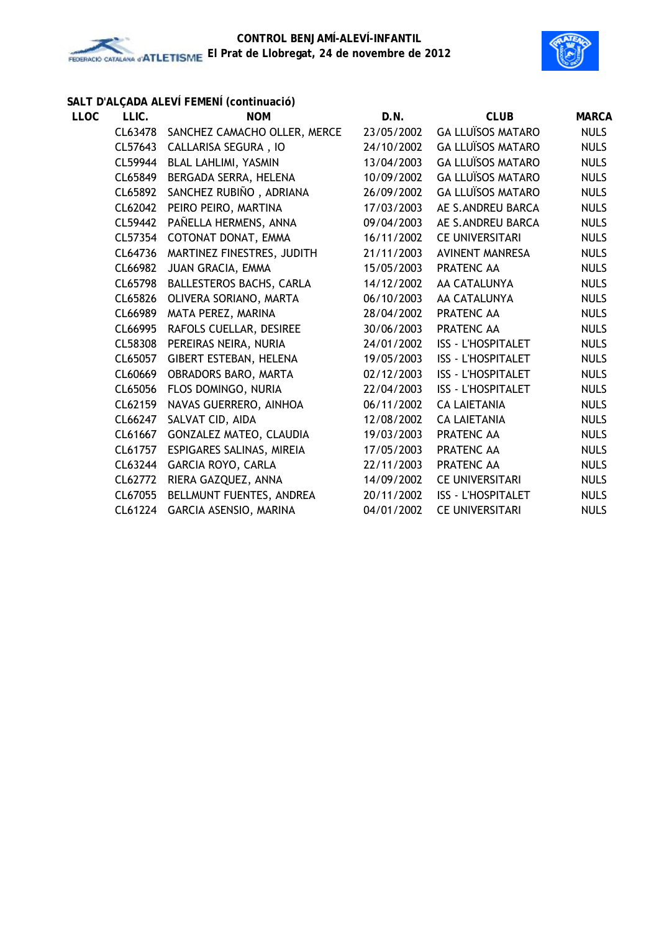

# **SALT D'ALÇADA ALEVÍ FEMENÍ (continuació)**

| <b>LLOC</b> | LLIC.   | <b>NOM</b>                           | D.N.       | <b>CLUB</b>               | <b>MARCA</b> |
|-------------|---------|--------------------------------------|------------|---------------------------|--------------|
|             |         | CL63478 SANCHEZ CAMACHO OLLER, MERCE | 23/05/2002 | <b>GA LLUÏSOS MATARO</b>  | <b>NULS</b>  |
|             | CL57643 | CALLARISA SEGURA, IO                 | 24/10/2002 | <b>GA LLUÏSOS MATARO</b>  | <b>NULS</b>  |
|             | CL59944 | BLAL LAHLIMI, YASMIN                 | 13/04/2003 | <b>GA LLUÏSOS MATARO</b>  | <b>NULS</b>  |
|             | CL65849 | BERGADA SERRA, HELENA                | 10/09/2002 | <b>GA LLUÏSOS MATARO</b>  | <b>NULS</b>  |
|             | CL65892 | SANCHEZ RUBIÑO, ADRIANA              | 26/09/2002 | <b>GA LLUÏSOS MATARO</b>  | <b>NULS</b>  |
|             | CL62042 | PEIRO PEIRO, MARTINA                 | 17/03/2003 | AE S.ANDREU BARCA         | <b>NULS</b>  |
|             | CL59442 | PAÑELLA HERMENS, ANNA                | 09/04/2003 | AE S.ANDREU BARCA         | <b>NULS</b>  |
|             | CL57354 | COTONAT DONAT, EMMA                  | 16/11/2002 | <b>CE UNIVERSITARI</b>    | <b>NULS</b>  |
|             | CL64736 | MARTINEZ FINESTRES, JUDITH           | 21/11/2003 | <b>AVINENT MANRESA</b>    | <b>NULS</b>  |
|             | CL66982 | JUAN GRACIA, EMMA                    | 15/05/2003 | PRATENC AA                | <b>NULS</b>  |
|             | CL65798 | BALLESTEROS BACHS, CARLA             | 14/12/2002 | AA CATALUNYA              | <b>NULS</b>  |
|             | CL65826 | OLIVERA SORIANO, MARTA               | 06/10/2003 | AA CATALUNYA              | <b>NULS</b>  |
|             | CL66989 | MATA PEREZ, MARINA                   | 28/04/2002 | PRATENC AA                | <b>NULS</b>  |
|             | CL66995 | RAFOLS CUELLAR, DESIREE              | 30/06/2003 | PRATENC AA                | <b>NULS</b>  |
|             | CL58308 | PEREIRAS NEIRA, NURIA                | 24/01/2002 | <b>ISS - L'HOSPITALET</b> | <b>NULS</b>  |
|             | CL65057 | GIBERT ESTEBAN, HELENA               | 19/05/2003 | <b>ISS - L'HOSPITALET</b> | <b>NULS</b>  |
|             | CL60669 | OBRADORS BARO, MARTA                 | 02/12/2003 | <b>ISS - L'HOSPITALET</b> | <b>NULS</b>  |
|             | CL65056 | FLOS DOMINGO, NURIA                  | 22/04/2003 | <b>ISS - L'HOSPITALET</b> | <b>NULS</b>  |
|             | CL62159 | NAVAS GUERRERO, AINHOA               | 06/11/2002 | <b>CA LAIETANIA</b>       | <b>NULS</b>  |
|             | CL66247 | SALVAT CID, AIDA                     | 12/08/2002 | <b>CA LAIETANIA</b>       | <b>NULS</b>  |
|             | CL61667 | GONZALEZ MATEO, CLAUDIA              | 19/03/2003 | PRATENC AA                | <b>NULS</b>  |
|             | CL61757 | ESPIGARES SALINAS, MIREIA            | 17/05/2003 | PRATENC AA                | <b>NULS</b>  |
|             | CL63244 | GARCIA ROYO, CARLA                   | 22/11/2003 | PRATENC AA                | <b>NULS</b>  |
|             | CL62772 | RIERA GAZQUEZ, ANNA                  | 14/09/2002 | <b>CE UNIVERSITARI</b>    | <b>NULS</b>  |
|             | CL67055 | BELLMUNT FUENTES, ANDREA             | 20/11/2002 | <b>ISS - L'HOSPITALET</b> | <b>NULS</b>  |
|             | CL61224 | GARCIA ASENSIO, MARINA               | 04/01/2002 | <b>CE UNIVERSITARI</b>    | <b>NULS</b>  |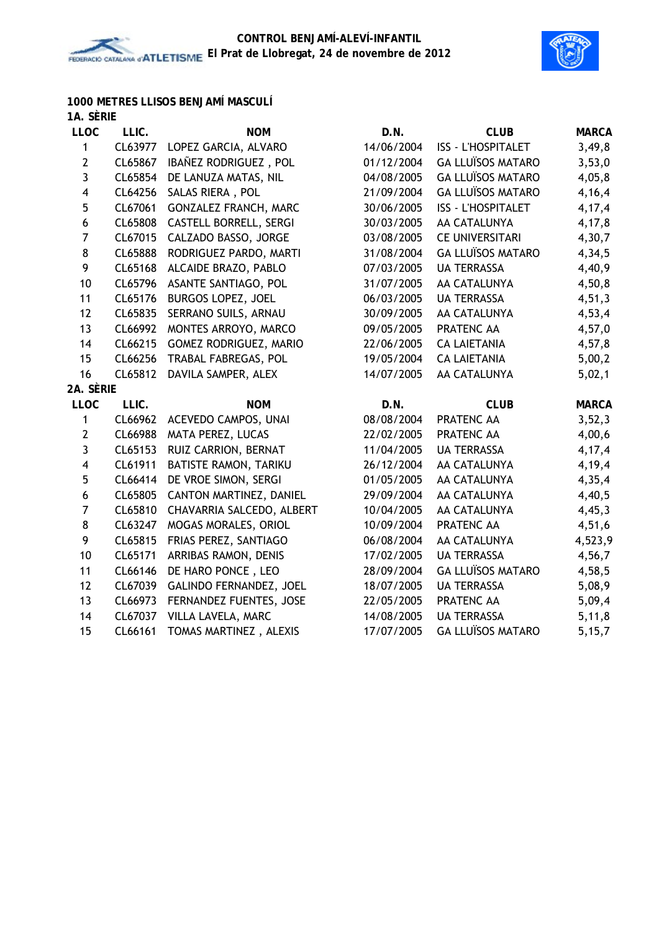

#### **1000 METRES LLISOS BENJAMÍ MASCULÍ 1A. SÈRIE**

| IA. JENIE               |         |                           |            |                           |              |
|-------------------------|---------|---------------------------|------------|---------------------------|--------------|
| <b>LLOC</b>             | LLIC.   | <b>NOM</b>                | D.N.       | <b>CLUB</b>               | <b>MARCA</b> |
| $\mathbf{1}$            | CL63977 | LOPEZ GARCIA, ALVARO      | 14/06/2004 | <b>ISS - L'HOSPITALET</b> | 3,49,8       |
| $\mathbf{2}$            | CL65867 | IBAÑEZ RODRIGUEZ, POL     | 01/12/2004 | <b>GA LLUÏSOS MATARO</b>  | 3,53,0       |
| $\mathbf{3}$            | CL65854 | DE LANUZA MATAS, NIL      | 04/08/2005 | <b>GA LLUÏSOS MATARO</b>  | 4,05,8       |
| $\overline{\mathbf{4}}$ | CL64256 | SALAS RIERA, POL          | 21/09/2004 | <b>GA LLUÏSOS MATARO</b>  | 4,16,4       |
| 5                       | CL67061 | GONZALEZ FRANCH, MARC     | 30/06/2005 | <b>ISS - L'HOSPITALET</b> | 4, 17, 4     |
| $\boldsymbol{6}$        | CL65808 | CASTELL BORRELL, SERGI    | 30/03/2005 | AA CATALUNYA              | 4, 17, 8     |
| $\overline{7}$          | CL67015 | CALZADO BASSO, JORGE      | 03/08/2005 | <b>CE UNIVERSITARI</b>    | 4,30,7       |
| 8                       | CL65888 | RODRIGUEZ PARDO, MARTI    | 31/08/2004 | <b>GA LLUÏSOS MATARO</b>  | 4,34,5       |
| 9                       | CL65168 | ALCAIDE BRAZO, PABLO      | 07/03/2005 | <b>UA TERRASSA</b>        | 4,40,9       |
| 10                      | CL65796 | ASANTE SANTIAGO, POL      | 31/07/2005 | AA CATALUNYA              | 4,50,8       |
| 11                      | CL65176 | <b>BURGOS LOPEZ, JOEL</b> | 06/03/2005 | <b>UA TERRASSA</b>        | 4, 51, 3     |
| 12                      | CL65835 | SERRANO SUILS, ARNAU      | 30/09/2005 | AA CATALUNYA              | 4,53,4       |
| 13                      | CL66992 | MONTES ARROYO, MARCO      | 09/05/2005 | PRATENC AA                | 4,57,0       |
| 14                      | CL66215 | GOMEZ RODRIGUEZ, MARIO    | 22/06/2005 | <b>CA LAIETANIA</b>       | 4,57,8       |
| 15                      | CL66256 | TRABAL FABREGAS, POL      | 19/05/2004 | <b>CA LAIETANIA</b>       | 5,00,2       |
| 16                      | CL65812 | DAVILA SAMPER, ALEX       | 14/07/2005 | AA CATALUNYA              | 5,02,1       |
| 2A. SÈRIE               |         |                           |            |                           |              |
| <b>LLOC</b>             | LLIC.   | <b>NOM</b>                | D.N.       | <b>CLUB</b>               | <b>MARCA</b> |
| $\mathbf{1}$            | CL66962 | ACEVEDO CAMPOS, UNAI      | 08/08/2004 | PRATENC AA                | 3,52,3       |
| $\mathbf{2}$            | CL66988 | MATA PEREZ, LUCAS         | 22/02/2005 | PRATENC AA                | 4,00,6       |
| 3                       | CL65153 | RUIZ CARRION, BERNAT      | 11/04/2005 | <b>UA TERRASSA</b>        | 4, 17, 4     |
| $\overline{\mathbf{4}}$ | CL61911 | BATISTE RAMON, TARIKU     | 26/12/2004 | AA CATALUNYA              | 4,19,4       |
| 5                       | CL66414 | DE VROE SIMON, SERGI      | 01/05/2005 | AA CATALUNYA              | 4,35,4       |
| 6                       | CL65805 | CANTON MARTINEZ, DANIEL   | 29/09/2004 | AA CATALUNYA              | 4,40,5       |
| $\overline{7}$          | CL65810 | CHAVARRIA SALCEDO, ALBERT | 10/04/2005 | AA CATALUNYA              | 4,45,3       |
| 8                       | CL63247 | MOGAS MORALES, ORIOL      | 10/09/2004 | PRATENC AA                | 4,51,6       |
| 9                       | CL65815 | FRIAS PEREZ, SANTIAGO     | 06/08/2004 | AA CATALUNYA              | 4,523,9      |
| 10                      | CL65171 | ARRIBAS RAMON, DENIS      | 17/02/2005 | <b>UA TERRASSA</b>        | 4,56,7       |
| 11                      | CL66146 | DE HARO PONCE, LEO        | 28/09/2004 | <b>GA LLUÏSOS MATARO</b>  | 4,58,5       |
| 12                      | CL67039 | GALINDO FERNANDEZ, JOEL   | 18/07/2005 | <b>UA TERRASSA</b>        | 5,08,9       |
| 13                      | CL66973 | FERNANDEZ FUENTES, JOSE   | 22/05/2005 | PRATENC AA                | 5,09,4       |
| 14                      | CL67037 | VILLA LAVELA, MARC        | 14/08/2005 | <b>UA TERRASSA</b>        | 5, 11, 8     |
| 15                      | CL66161 | TOMAS MARTINEZ, ALEXIS    | 17/07/2005 | <b>GA LLUÏSOS MATARO</b>  | 5,15,7       |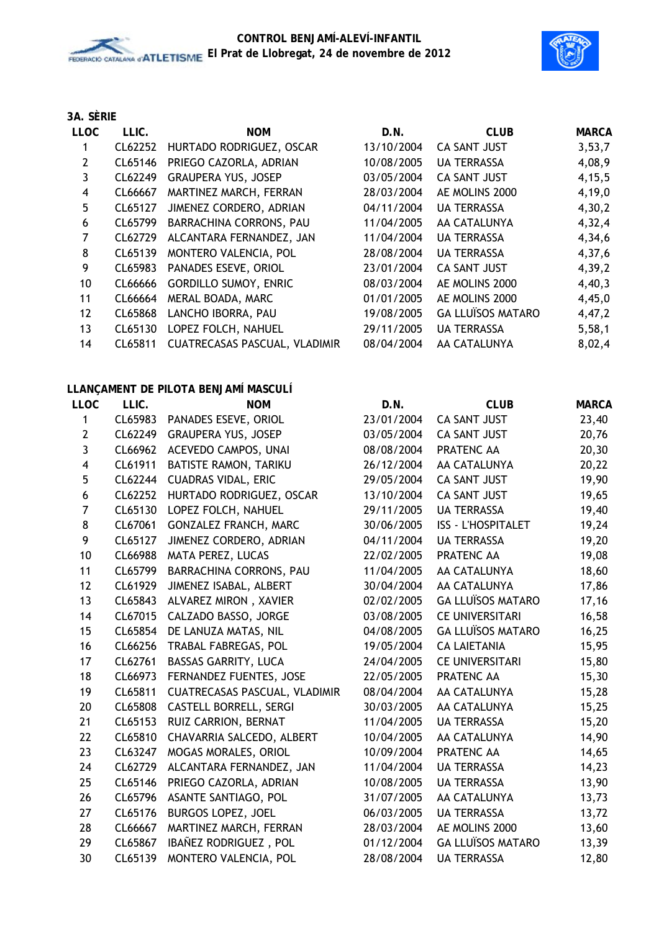

| 3A. SÈRIE   |         |                                      |            |                          |              |
|-------------|---------|--------------------------------------|------------|--------------------------|--------------|
| <b>LLOC</b> | LLIC.   | <b>NOM</b>                           | D.N.       | <b>CLUB</b>              | <b>MARCA</b> |
|             | CL62252 | HURTADO RODRIGUEZ, OSCAR             | 13/10/2004 | <b>CA SANT JUST</b>      | 3, 53, 7     |
| 2           | CL65146 | PRIEGO CAZORLA, ADRIAN               | 10/08/2005 | <b>UA TERRASSA</b>       | 4,08,9       |
| 3           | CL62249 | <b>GRAUPERA YUS, JOSEP</b>           | 03/05/2004 | <b>CA SANT JUST</b>      | 4, 15, 5     |
| 4           | CL66667 | MARTINEZ MARCH, FERRAN               | 28/03/2004 | AE MOLINS 2000           | 4,19,0       |
| 5           | CL65127 | JIMENEZ CORDERO, ADRIAN              | 04/11/2004 | <b>UA TERRASSA</b>       | 4,30,2       |
| 6           | CL65799 | BARRACHINA CORRONS, PAU              | 11/04/2005 | AA CATALUNYA             | 4,32,4       |
| 7           | CL62729 | ALCANTARA FERNANDEZ, JAN             | 11/04/2004 | <b>UA TERRASSA</b>       | 4,34,6       |
| 8           | CL65139 | MONTERO VALENCIA, POL                | 28/08/2004 | <b>UA TERRASSA</b>       | 4,37,6       |
| 9           | CL65983 | PANADES ESEVE, ORIOL                 | 23/01/2004 | <b>CA SANT JUST</b>      | 4,39,2       |
| 10          | CL66666 | <b>GORDILLO SUMOY, ENRIC</b>         | 08/03/2004 | AE MOLINS 2000           | 4,40,3       |
| 11          | CL66664 | MERAL BOADA, MARC                    | 01/01/2005 | AE MOLINS 2000           | 4,45,0       |
| 12          | CL65868 | LANCHO IBORRA, PAU                   | 19/08/2005 | <b>GA LLUÏSOS MATARO</b> | 4,47,2       |
| 13          | CL65130 | LOPEZ FOLCH, NAHUEL                  | 29/11/2005 | <b>UA TERRASSA</b>       | 5,58,1       |
| 14          | CL65811 | <b>CUATRECASAS PASCUAL, VLADIMIR</b> | 08/04/2004 | AA CATALUNYA             | 8,02,4       |
|             |         |                                      |            |                          |              |

#### **LLANÇAMENT DE PILOTA BENJAMÍ MASCULÍ**

| <b>LLOC</b>             | LLIC.   | <b>NOM</b>                    | D.N.       | <b>CLUB</b>               | <b>MARCA</b> |
|-------------------------|---------|-------------------------------|------------|---------------------------|--------------|
| 1                       | CL65983 | PANADES ESEVE, ORIOL          | 23/01/2004 | <b>CA SANT JUST</b>       | 23,40        |
| $\mathbf{2}$            | CL62249 | <b>GRAUPERA YUS, JOSEP</b>    | 03/05/2004 | <b>CA SANT JUST</b>       | 20,76        |
| 3                       | CL66962 | ACEVEDO CAMPOS, UNAI          | 08/08/2004 | PRATENC AA                | 20,30        |
| $\overline{\mathbf{4}}$ | CL61911 | BATISTE RAMON, TARIKU         | 26/12/2004 | AA CATALUNYA              | 20,22        |
| 5                       | CL62244 | <b>CUADRAS VIDAL, ERIC</b>    | 29/05/2004 | <b>CA SANT JUST</b>       | 19,90        |
| 6                       | CL62252 | HURTADO RODRIGUEZ, OSCAR      | 13/10/2004 | <b>CA SANT JUST</b>       | 19,65        |
| 7                       | CL65130 | LOPEZ FOLCH, NAHUEL           | 29/11/2005 | <b>UA TERRASSA</b>        | 19,40        |
| 8                       | CL67061 | GONZALEZ FRANCH, MARC         | 30/06/2005 | <b>ISS - L'HOSPITALET</b> | 19,24        |
| 9                       | CL65127 | JIMENEZ CORDERO, ADRIAN       | 04/11/2004 | <b>UA TERRASSA</b>        | 19,20        |
| 10                      | CL66988 | MATA PEREZ, LUCAS             | 22/02/2005 | PRATENC AA                | 19,08        |
| 11                      | CL65799 | BARRACHINA CORRONS, PAU       | 11/04/2005 | AA CATALUNYA              | 18,60        |
| 12                      | CL61929 | JIMENEZ ISABAL, ALBERT        | 30/04/2004 | AA CATALUNYA              | 17,86        |
| 13                      | CL65843 | ALVAREZ MIRON, XAVIER         | 02/02/2005 | <b>GA LLUÏSOS MATARO</b>  | 17,16        |
| 14                      | CL67015 | CALZADO BASSO, JORGE          | 03/08/2005 | <b>CE UNIVERSITARI</b>    | 16,58        |
| 15                      | CL65854 | DE LANUZA MATAS, NIL          | 04/08/2005 | <b>GA LLUÏSOS MATARO</b>  | 16,25        |
| 16                      | CL66256 | TRABAL FABREGAS, POL          | 19/05/2004 | <b>CA LAIETANIA</b>       | 15,95        |
| 17                      | CL62761 | <b>BASSAS GARRITY, LUCA</b>   | 24/04/2005 | <b>CE UNIVERSITARI</b>    | 15,80        |
| 18                      | CL66973 | FERNANDEZ FUENTES, JOSE       | 22/05/2005 | <b>PRATENC AA</b>         | 15,30        |
| 19                      | CL65811 | CUATRECASAS PASCUAL, VLADIMIR | 08/04/2004 | AA CATALUNYA              | 15,28        |
| 20                      | CL65808 | CASTELL BORRELL, SERGI        | 30/03/2005 | AA CATALUNYA              | 15,25        |
| 21                      | CL65153 | RUIZ CARRION, BERNAT          | 11/04/2005 | <b>UA TERRASSA</b>        | 15,20        |
| 22                      | CL65810 | CHAVARRIA SALCEDO, ALBERT     | 10/04/2005 | AA CATALUNYA              | 14,90        |
| 23                      | CL63247 | MOGAS MORALES, ORIOL          | 10/09/2004 | PRATENC AA                | 14,65        |
| 24                      | CL62729 | ALCANTARA FERNANDEZ, JAN      | 11/04/2004 | <b>UA TERRASSA</b>        | 14,23        |
| 25                      | CL65146 | PRIEGO CAZORLA, ADRIAN        | 10/08/2005 | <b>UA TERRASSA</b>        | 13,90        |
| 26                      | CL65796 | ASANTE SANTIAGO, POL          | 31/07/2005 | AA CATALUNYA              | 13,73        |
| 27                      | CL65176 | BURGOS LOPEZ, JOEL            | 06/03/2005 | <b>UA TERRASSA</b>        | 13,72        |
| 28                      | CL66667 | MARTINEZ MARCH, FERRAN        | 28/03/2004 | AE MOLINS 2000            | 13,60        |
| 29                      | CL65867 | IBAÑEZ RODRIGUEZ, POL         | 01/12/2004 | <b>GA LLUÏSOS MATARO</b>  | 13,39        |
| 30                      | CL65139 | MONTERO VALENCIA, POL         | 28/08/2004 | <b>UA TERRASSA</b>        | 12,80        |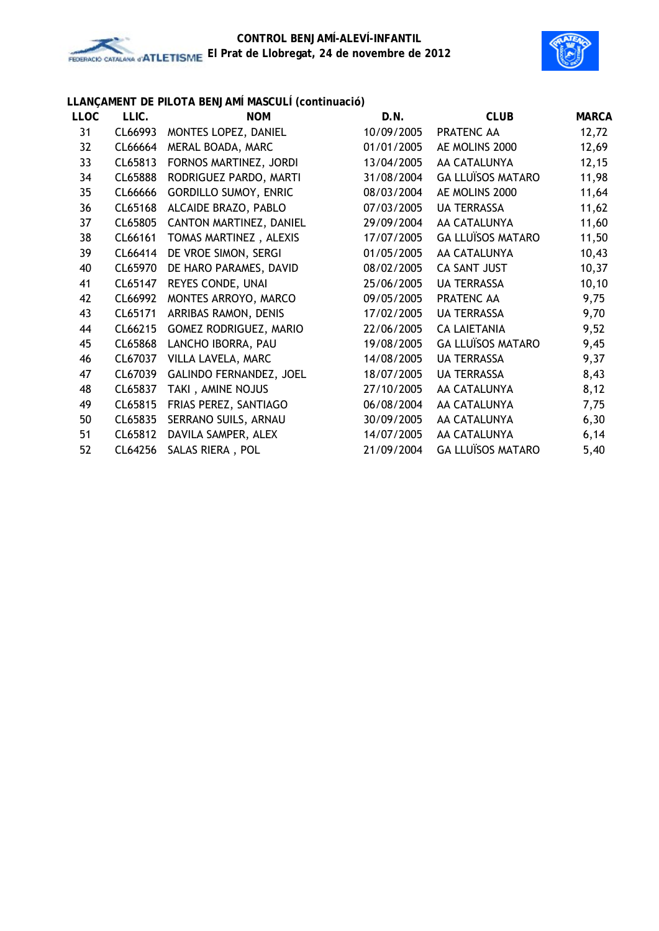

# **LLANÇAMENT DE PILOTA BENJAMÍ MASCULÍ (continuació)**

| <b>LLOC</b> | LLIC.   | <b>NOM</b>                   | D.N.       | <b>CLUB</b>              | <b>MARCA</b> |
|-------------|---------|------------------------------|------------|--------------------------|--------------|
| 31          | CL66993 | MONTES LOPEZ, DANIEL         | 10/09/2005 | PRATENC AA               | 12,72        |
| 32          | CL66664 | MERAL BOADA, MARC            | 01/01/2005 | AE MOLINS 2000           | 12,69        |
| 33          | CL65813 | FORNOS MARTINEZ, JORDI       | 13/04/2005 | AA CATALUNYA             | 12, 15       |
| 34          | CL65888 | RODRIGUEZ PARDO, MARTI       | 31/08/2004 | <b>GA LLUÏSOS MATARO</b> | 11,98        |
| 35          | CL66666 | <b>GORDILLO SUMOY, ENRIC</b> | 08/03/2004 | AE MOLINS 2000           | 11,64        |
| 36          | CL65168 | ALCAIDE BRAZO, PABLO         | 07/03/2005 | <b>UA TERRASSA</b>       | 11,62        |
| 37          | CL65805 | CANTON MARTINEZ, DANIEL      | 29/09/2004 | AA CATALUNYA             | 11,60        |
| 38          | CL66161 | TOMAS MARTINEZ, ALEXIS       | 17/07/2005 | <b>GA LLUÏSOS MATARO</b> | 11,50        |
| 39          | CL66414 | DE VROE SIMON, SERGI         | 01/05/2005 | AA CATALUNYA             | 10,43        |
| 40          | CL65970 | DE HARO PARAMES, DAVID       | 08/02/2005 | CA SANT JUST             | 10,37        |
| 41          | CL65147 | REYES CONDE, UNAI            | 25/06/2005 | <b>UA TERRASSA</b>       | 10, 10       |
| 42          | CL66992 | MONTES ARROYO, MARCO         | 09/05/2005 | PRATENC AA               | 9,75         |
| 43          | CL65171 | ARRIBAS RAMON, DENIS         | 17/02/2005 | <b>UA TERRASSA</b>       | 9,70         |
| 44          | CL66215 | GOMEZ RODRIGUEZ, MARIO       | 22/06/2005 | <b>CA LAIETANIA</b>      | 9,52         |
| 45          | CL65868 | LANCHO IBORRA, PAU           | 19/08/2005 | <b>GA LLUÏSOS MATARO</b> | 9,45         |
| 46          | CL67037 | VILLA LAVELA, MARC           | 14/08/2005 | <b>UA TERRASSA</b>       | 9,37         |
| 47          | CL67039 | GALINDO FERNANDEZ, JOEL      | 18/07/2005 | <b>UA TERRASSA</b>       | 8,43         |
| 48          | CL65837 | TAKI, AMINE NOJUS            | 27/10/2005 | AA CATALUNYA             | 8,12         |
| 49          | CL65815 | FRIAS PEREZ, SANTIAGO        | 06/08/2004 | AA CATALUNYA             | 7,75         |
| 50          | CL65835 | SERRANO SUILS, ARNAU         | 30/09/2005 | AA CATALUNYA             | 6, 30        |
| 51          | CL65812 | DAVILA SAMPER, ALEX          | 14/07/2005 | AA CATALUNYA             | 6,14         |
| 52          | CL64256 | SALAS RIERA, POL             | 21/09/2004 | <b>GA LLUÏSOS MATARO</b> | 5,40         |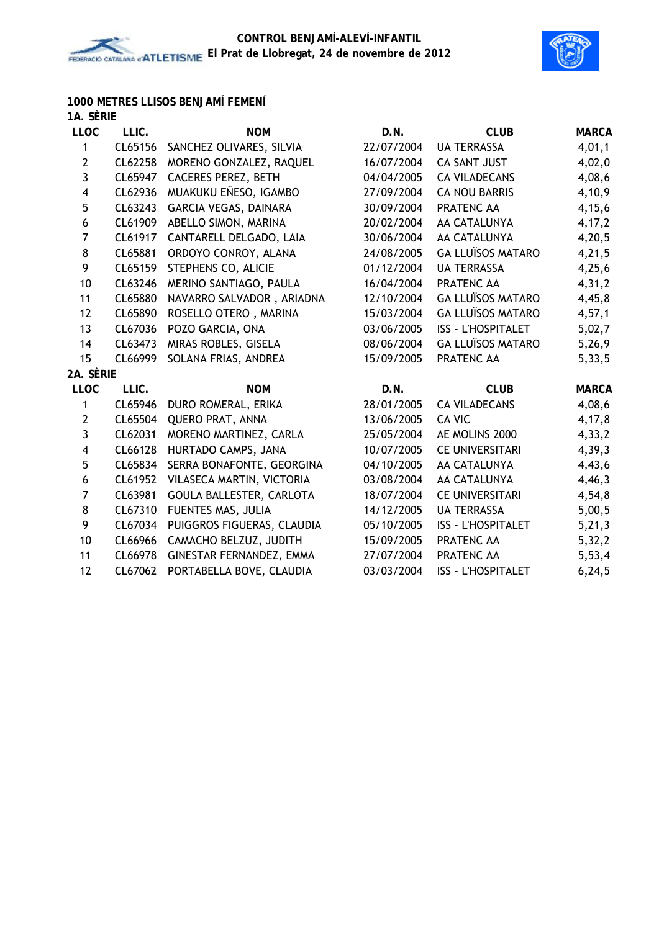

#### **1000 METRES LLISOS BENJAMÍ FEMENÍ 1A. SÈRIE**

| IA. JERIE               |         |                            |            |                           |              |
|-------------------------|---------|----------------------------|------------|---------------------------|--------------|
| <b>LLOC</b>             | LLIC.   | <b>NOM</b>                 | D.N.       | <b>CLUB</b>               | <b>MARCA</b> |
| $\mathbf{1}$            | CL65156 | SANCHEZ OLIVARES, SILVIA   | 22/07/2004 | <b>UA TERRASSA</b>        | 4,01,1       |
| $\overline{2}$          | CL62258 | MORENO GONZALEZ, RAQUEL    | 16/07/2004 | <b>CA SANT JUST</b>       | 4,02,0       |
| 3                       | CL65947 | <b>CACERES PEREZ, BETH</b> | 04/04/2005 | <b>CA VILADECANS</b>      | 4,08,6       |
| $\overline{\mathbf{4}}$ | CL62936 | MUAKUKU EÑESO, IGAMBO      | 27/09/2004 | <b>CA NOU BARRIS</b>      | 4,10,9       |
| 5                       | CL63243 | GARCIA VEGAS, DAINARA      | 30/09/2004 | PRATENC AA                | 4, 15, 6     |
| 6                       | CL61909 | ABELLO SIMON, MARINA       | 20/02/2004 | AA CATALUNYA              | 4, 17, 2     |
| $\overline{7}$          | CL61917 | CANTARELL DELGADO, LAIA    | 30/06/2004 | AA CATALUNYA              | 4,20,5       |
| 8                       | CL65881 | ORDOYO CONROY, ALANA       | 24/08/2005 | <b>GA LLUÏSOS MATARO</b>  | 4,21,5       |
| 9                       | CL65159 | STEPHENS CO, ALICIE        | 01/12/2004 | <b>UA TERRASSA</b>        | 4,25,6       |
| 10                      | CL63246 | MERINO SANTIAGO, PAULA     | 16/04/2004 | PRATENC AA                | 4,31,2       |
| 11                      | CL65880 | NAVARRO SALVADOR, ARIADNA  | 12/10/2004 | <b>GA LLUÏSOS MATARO</b>  | 4,45,8       |
| 12                      | CL65890 | ROSELLO OTERO, MARINA      | 15/03/2004 | <b>GA LLUÏSOS MATARO</b>  | 4, 57, 1     |
| 13                      | CL67036 | POZO GARCIA, ONA           | 03/06/2005 | <b>ISS - L'HOSPITALET</b> | 5,02,7       |
| 14                      | CL63473 | MIRAS ROBLES, GISELA       | 08/06/2004 | <b>GA LLUÏSOS MATARO</b>  | 5,26,9       |
| 15                      | CL66999 | SOLANA FRIAS, ANDREA       | 15/09/2005 | PRATENC AA                | 5,33,5       |
| 2A. SÈRIE               |         |                            |            |                           |              |
| <b>LLOC</b>             | LLIC.   | <b>NOM</b>                 | D.N.       | <b>CLUB</b>               | <b>MARCA</b> |
| 1                       | CL65946 | DURO ROMERAL, ERIKA        | 28/01/2005 | <b>CA VILADECANS</b>      | 4,08,6       |
| $\overline{2}$          | CL65504 | <b>QUERO PRAT, ANNA</b>    | 13/06/2005 | <b>CA VIC</b>             | 4, 17, 8     |
| 3                       | CL62031 | MORENO MARTINEZ, CARLA     | 25/05/2004 | AE MOLINS 2000            | 4,33,2       |
| 4                       | CL66128 | HURTADO CAMPS, JANA        | 10/07/2005 | <b>CE UNIVERSITARI</b>    | 4,39,3       |
| 5                       | CL65834 | SERRA BONAFONTE, GEORGINA  | 04/10/2005 | AA CATALUNYA              | 4,43,6       |
| 6                       | CL61952 | VILASECA MARTIN, VICTORIA  | 03/08/2004 | AA CATALUNYA              | 4,46,3       |
| 7                       | CL63981 | GOULA BALLESTER, CARLOTA   | 18/07/2004 | <b>CE UNIVERSITARI</b>    | 4,54,8       |
| 8                       | CL67310 | FUENTES MAS, JULIA         | 14/12/2005 | <b>UA TERRASSA</b>        | 5,00,5       |
| 9                       | CL67034 | PUIGGROS FIGUERAS, CLAUDIA | 05/10/2005 | <b>ISS - L'HOSPITALET</b> | 5,21,3       |
| 10                      | CL66966 | CAMACHO BELZUZ, JUDITH     | 15/09/2005 | PRATENC AA                | 5,32,2       |
| 11                      | CL66978 | GINESTAR FERNANDEZ, EMMA   | 27/07/2004 | PRATENC AA                | 5,53,4       |
| 12                      | CL67062 | PORTABELLA BOVE, CLAUDIA   | 03/03/2004 | <b>ISS - L'HOSPITALET</b> | 6, 24, 5     |